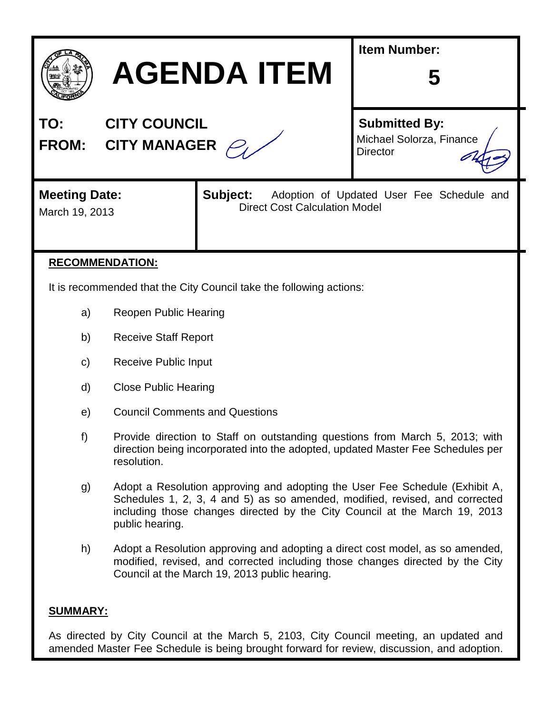

# **AGENDA ITEM**

| TO:          | <b>CITY COUNCIL</b> |
|--------------|---------------------|
| <b>FROM:</b> | <b>CITY MANAGER</b> |

**Submitted By:**

**Item Number:**

Michael Solorza, Finance **Director** 

**5**

# **Meeting Date:** Subject:

Adoption of Updated User Fee Schedule and March 19, 2013 **Direct Cost Calculation Model** 

# **RECOMMENDATION:**

It is recommended that the City Council take the following actions:

- a) Reopen Public Hearing
- b) Receive Staff Report
- c) Receive Public Input
- d) Close Public Hearing
- e) Council Comments and Questions
- f) Provide direction to Staff on outstanding questions from March 5, 2013; with direction being incorporated into the adopted, updated Master Fee Schedules per resolution.
- g) Adopt a Resolution approving and adopting the User Fee Schedule (Exhibit A, Schedules 1, 2, 3, 4 and 5) as so amended, modified, revised, and corrected including those changes directed by the City Council at the March 19, 2013 public hearing.
- h) Adopt a Resolution approving and adopting a direct cost model, as so amended, modified, revised, and corrected including those changes directed by the City Council at the March 19, 2013 public hearing.

#### **SUMMARY:**

As directed by City Council at the March 5, 2103, City Council meeting, an updated and amended Master Fee Schedule is being brought forward for review, discussion, and adoption.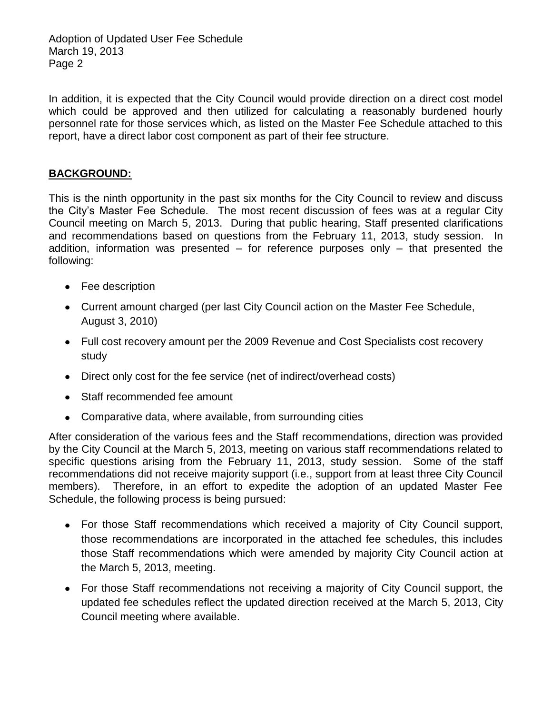Adoption of Updated User Fee Schedule March 19, 2013 Page 2

In addition, it is expected that the City Council would provide direction on a direct cost model which could be approved and then utilized for calculating a reasonably burdened hourly personnel rate for those services which, as listed on the Master Fee Schedule attached to this report, have a direct labor cost component as part of their fee structure.

#### **BACKGROUND:**

This is the ninth opportunity in the past six months for the City Council to review and discuss the City's Master Fee Schedule. The most recent discussion of fees was at a regular City Council meeting on March 5, 2013. During that public hearing, Staff presented clarifications and recommendations based on questions from the February 11, 2013, study session. In addition, information was presented  $-$  for reference purposes only  $-$  that presented the following:

- Fee description
- Current amount charged (per last City Council action on the Master Fee Schedule, August 3, 2010)
- Full cost recovery amount per the 2009 Revenue and Cost Specialists cost recovery study
- Direct only cost for the fee service (net of indirect/overhead costs)
- Staff recommended fee amount
- Comparative data, where available, from surrounding cities

After consideration of the various fees and the Staff recommendations, direction was provided by the City Council at the March 5, 2013, meeting on various staff recommendations related to specific questions arising from the February 11, 2013, study session. Some of the staff recommendations did not receive majority support (i.e., support from at least three City Council members). Therefore, in an effort to expedite the adoption of an updated Master Fee Schedule, the following process is being pursued:

- For those Staff recommendations which received a majority of City Council support, those recommendations are incorporated in the attached fee schedules, this includes those Staff recommendations which were amended by majority City Council action at the March 5, 2013, meeting.
- For those Staff recommendations not receiving a majority of City Council support, the updated fee schedules reflect the updated direction received at the March 5, 2013, City Council meeting where available.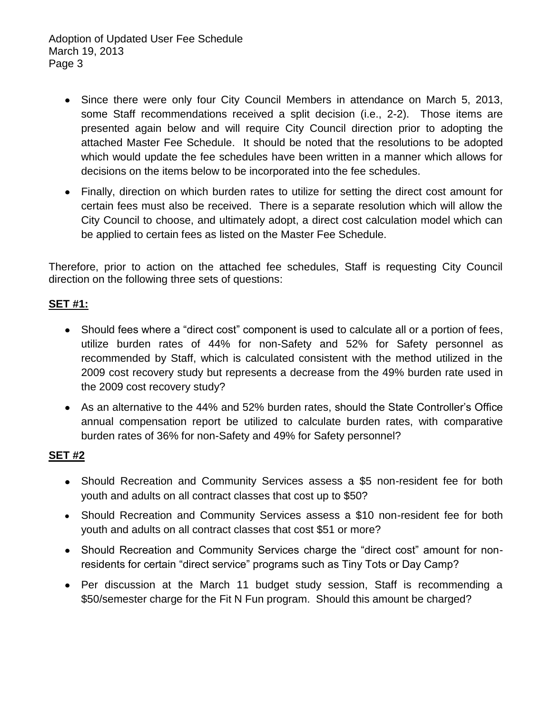Adoption of Updated User Fee Schedule March 19, 2013 Page 3

- Since there were only four City Council Members in attendance on March 5, 2013, some Staff recommendations received a split decision (i.e., 2-2). Those items are presented again below and will require City Council direction prior to adopting the attached Master Fee Schedule. It should be noted that the resolutions to be adopted which would update the fee schedules have been written in a manner which allows for decisions on the items below to be incorporated into the fee schedules.
- Finally, direction on which burden rates to utilize for setting the direct cost amount for certain fees must also be received. There is a separate resolution which will allow the City Council to choose, and ultimately adopt, a direct cost calculation model which can be applied to certain fees as listed on the Master Fee Schedule.

Therefore, prior to action on the attached fee schedules, Staff is requesting City Council direction on the following three sets of questions:

# **SET #1:**

- Should fees where a "direct cost" component is used to calculate all or a portion of fees, utilize burden rates of 44% for non-Safety and 52% for Safety personnel as recommended by Staff, which is calculated consistent with the method utilized in the 2009 cost recovery study but represents a decrease from the 49% burden rate used in the 2009 cost recovery study?
- As an alternative to the 44% and 52% burden rates, should the State Controller's Office annual compensation report be utilized to calculate burden rates, with comparative burden rates of 36% for non-Safety and 49% for Safety personnel?

#### **SET #2**

- Should Recreation and Community Services assess a \$5 non-resident fee for both youth and adults on all contract classes that cost up to \$50?
- Should Recreation and Community Services assess a \$10 non-resident fee for both youth and adults on all contract classes that cost \$51 or more?
- Should Recreation and Community Services charge the "direct cost" amount for nonresidents for certain "direct service" programs such as Tiny Tots or Day Camp?
- Per discussion at the March 11 budget study session, Staff is recommending a \$50/semester charge for the Fit N Fun program. Should this amount be charged?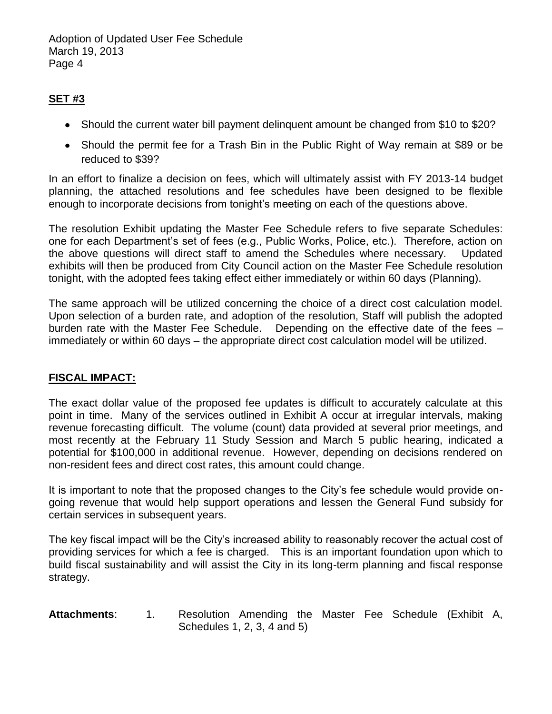Adoption of Updated User Fee Schedule March 19, 2013 Page 4

# **SET #3**

- Should the current water bill payment delinguent amount be changed from \$10 to \$20?
- Should the permit fee for a Trash Bin in the Public Right of Way remain at \$89 or be reduced to \$39?

In an effort to finalize a decision on fees, which will ultimately assist with FY 2013-14 budget planning, the attached resolutions and fee schedules have been designed to be flexible enough to incorporate decisions from tonight's meeting on each of the questions above.

The resolution Exhibit updating the Master Fee Schedule refers to five separate Schedules: one for each Department's set of fees (e.g., Public Works, Police, etc.). Therefore, action on the above questions will direct staff to amend the Schedules where necessary. Updated exhibits will then be produced from City Council action on the Master Fee Schedule resolution tonight, with the adopted fees taking effect either immediately or within 60 days (Planning).

The same approach will be utilized concerning the choice of a direct cost calculation model. Upon selection of a burden rate, and adoption of the resolution, Staff will publish the adopted burden rate with the Master Fee Schedule. Depending on the effective date of the fees – immediately or within 60 days – the appropriate direct cost calculation model will be utilized.

#### **FISCAL IMPACT:**

The exact dollar value of the proposed fee updates is difficult to accurately calculate at this point in time. Many of the services outlined in Exhibit A occur at irregular intervals, making revenue forecasting difficult. The volume (count) data provided at several prior meetings, and most recently at the February 11 Study Session and March 5 public hearing, indicated a potential for \$100,000 in additional revenue. However, depending on decisions rendered on non-resident fees and direct cost rates, this amount could change.

It is important to note that the proposed changes to the City's fee schedule would provide ongoing revenue that would help support operations and lessen the General Fund subsidy for certain services in subsequent years.

The key fiscal impact will be the City's increased ability to reasonably recover the actual cost of providing services for which a fee is charged. This is an important foundation upon which to build fiscal sustainability and will assist the City in its long-term planning and fiscal response strategy.

#### **Attachments**: 1. Resolution Amending the Master Fee Schedule (Exhibit A, Schedules 1, 2, 3, 4 and 5)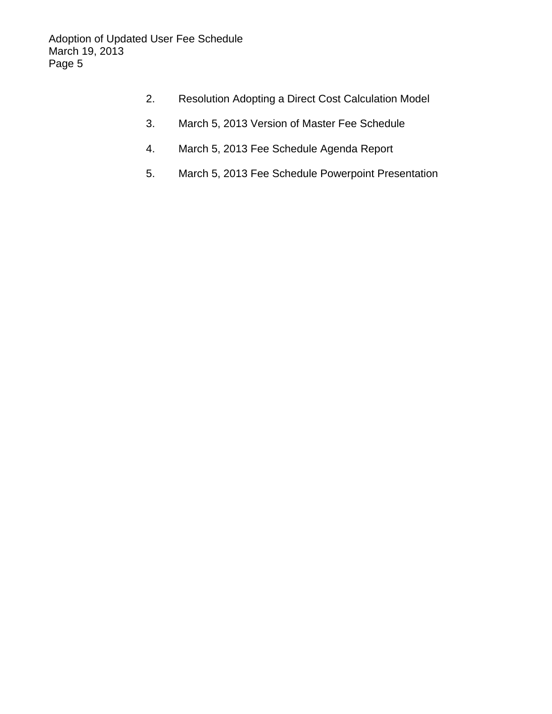- 2. Resolution Adopting a Direct Cost Calculation Model
- 3. March 5, 2013 Version of Master Fee Schedule
- 4. March 5, 2013 Fee Schedule Agenda Report
- 5. March 5, 2013 Fee Schedule Powerpoint Presentation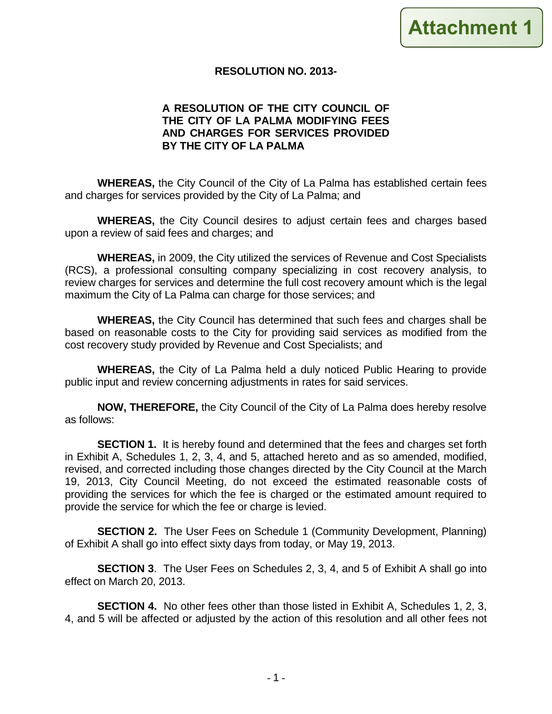#### **RESOLUTION NO. 2013-**

#### **A RESOLUTION OF THE CITY COUNCIL OF THE CITY OF LA PALMA MODIFYING FEES AND CHARGES FOR SERVICES PROVIDED BY THE CITY OF LA PALMA**

**WHEREAS,** the City Council of the City of La Palma has established certain fees and charges for services provided by the City of La Palma; and

**WHEREAS,** the City Council desires to adjust certain fees and charges based upon a review of said fees and charges; and

**WHEREAS,** in 2009, the City utilized the services of Revenue and Cost Specialists (RCS), a professional consulting company specializing in cost recovery analysis, to review charges for services and determine the full cost recovery amount which is the legal maximum the City of La Palma can charge for those services; and

**WHEREAS,** the City Council has determined that such fees and charges shall be based on reasonable costs to the City for providing said services as modified from the cost recovery study provided by Revenue and Cost Specialists; and

**WHEREAS,** the City of La Palma held a duly noticed Public Hearing to provide public input and review concerning adjustments in rates for said services.

**NOW, THEREFORE,** the City Council of the City of La Palma does hereby resolve as follows:

**SECTION 1.** It is hereby found and determined that the fees and charges set forth in Exhibit A, Schedules 1, 2, 3, 4, and 5, attached hereto and as so amended, modified, revised, and corrected including those changes directed by the City Council at the March 19, 2013, City Council Meeting, do not exceed the estimated reasonable costs of providing the services for which the fee is charged or the estimated amount required to provide the service for which the fee or charge is levied.

**SECTION 2.** The User Fees on Schedule 1 (Community Development, Planning) of Exhibit A shall go into effect sixty days from today, or May 19, 2013.

**SECTION 3**. The User Fees on Schedules 2, 3, 4, and 5 of Exhibit A shall go into effect on March 20, 2013.

**SECTION 4.** No other fees other than those listed in Exhibit A, Schedules 1, 2, 3, 4, and 5 will be affected or adjusted by the action of this resolution and all other fees not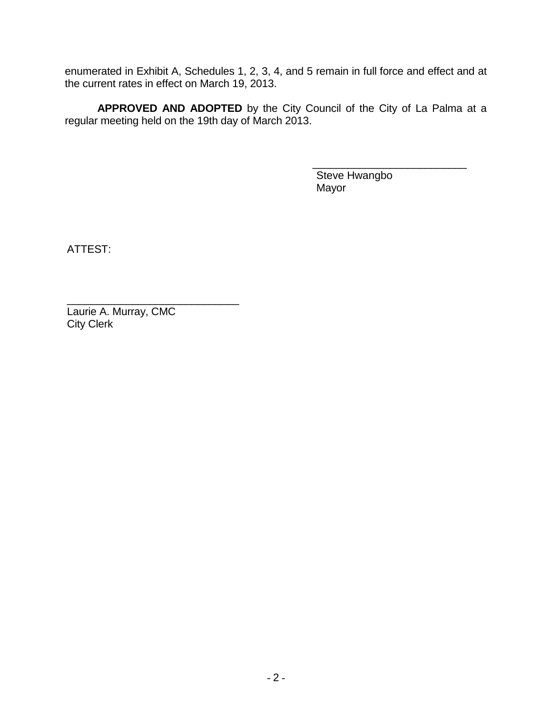enumerated in Exhibit A, Schedules 1, 2, 3, 4, and 5 remain in full force and effect and at the current rates in effect on March 19, 2013.

**APPROVED AND ADOPTED** by the City Council of the City of La Palma at a regular meeting held on the 19th day of March 2013.

> Steve Hwangbo Mayor

\_\_\_\_\_\_\_\_\_\_\_\_\_\_\_\_\_\_\_\_\_\_\_\_\_\_

ATTEST:

\_\_\_\_\_\_\_\_\_\_\_\_\_\_\_\_\_\_\_\_\_\_\_\_\_\_\_\_\_ Laurie A. Murray, CMC City Clerk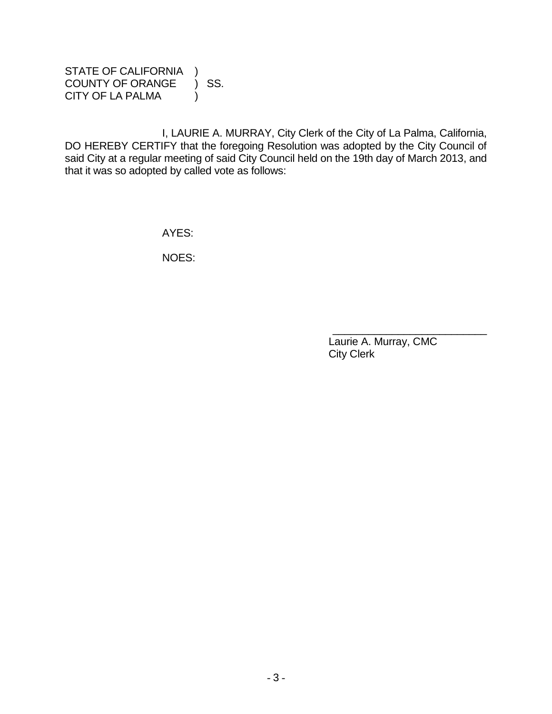STATE OF CALIFORNIA ) COUNTY OF ORANGE ) SS. CITY OF LA PALMA (1)

I, LAURIE A. MURRAY, City Clerk of the City of La Palma, California, DO HEREBY CERTIFY that the foregoing Resolution was adopted by the City Council of said City at a regular meeting of said City Council held on the 19th day of March 2013, and that it was so adopted by called vote as follows:

AYES:

NOES:

Laurie A. Murray, CMC City Clerk

\_\_\_\_\_\_\_\_\_\_\_\_\_\_\_\_\_\_\_\_\_\_\_\_\_\_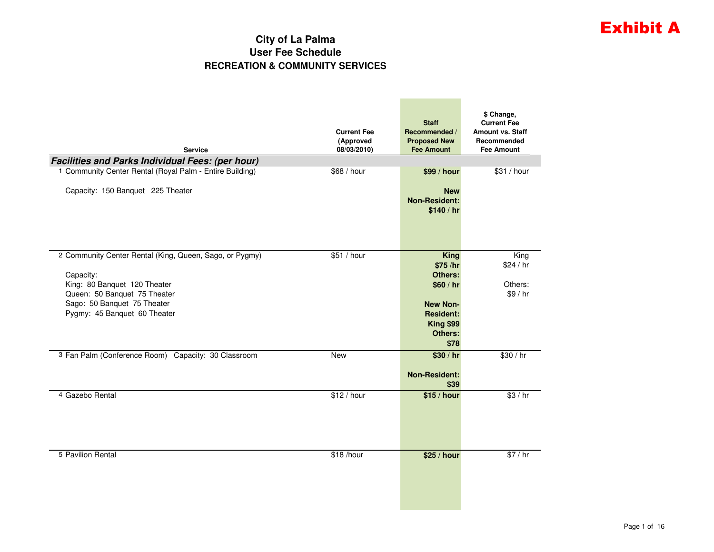# Exhibit A

#### **City of La Palma User Fee ScheduleRECREATION & COMMUNITY SERVICES**

**Contract Contract Contract Contract** 

| <b>Service</b>                                           | <b>Current Fee</b><br>(Approved<br>08/03/2010) | <b>Staff</b><br>Recommended /<br><b>Proposed New</b><br><b>Fee Amount</b> | \$ Change,<br><b>Current Fee</b><br><b>Amount vs. Staff</b><br>Recommended<br><b>Fee Amount</b> |
|----------------------------------------------------------|------------------------------------------------|---------------------------------------------------------------------------|-------------------------------------------------------------------------------------------------|
| <b>Facilities and Parks Individual Fees: (per hour)</b>  |                                                |                                                                           |                                                                                                 |
| 1 Community Center Rental (Royal Palm - Entire Building) | \$68 / hour                                    | \$99 / hour                                                               | \$31 / hour                                                                                     |
| Capacity: 150 Banquet 225 Theater                        |                                                | <b>New</b><br><b>Non-Resident:</b><br>\$140/hr                            |                                                                                                 |
| 2 Community Center Rental (King, Queen, Sago, or Pygmy)  | \$51 / hour                                    | <b>King</b>                                                               | King                                                                                            |
|                                                          |                                                | \$75 /hr<br>Others:                                                       | \$24/hr                                                                                         |
| Capacity:<br>King: 80 Banguet 120 Theater                |                                                | \$60/hr                                                                   | Others:                                                                                         |
| Queen: 50 Banquet 75 Theater                             |                                                |                                                                           | \$9/hr                                                                                          |
| Sago: 50 Banquet 75 Theater                              |                                                | <b>New Non-</b>                                                           |                                                                                                 |
| Pygmy: 45 Banquet 60 Theater                             |                                                | <b>Resident:</b>                                                          |                                                                                                 |
|                                                          |                                                | <b>King \$99</b>                                                          |                                                                                                 |
|                                                          |                                                | <b>Others:</b><br>\$78                                                    |                                                                                                 |
| 3 Fan Palm (Conference Room) Capacity: 30 Classroom      | <b>New</b>                                     | \$30/hr                                                                   | \$30 / hr                                                                                       |
|                                                          |                                                |                                                                           |                                                                                                 |
|                                                          |                                                | <b>Non-Resident:</b>                                                      |                                                                                                 |
| 4 Gazebo Rental                                          | \$12 / hour                                    | \$39                                                                      | \$3/hr                                                                                          |
|                                                          |                                                | \$15 / hour                                                               |                                                                                                 |
| 5 Pavilion Rental                                        | \$18 /hour                                     | \$25 / hour                                                               | \$7/hr                                                                                          |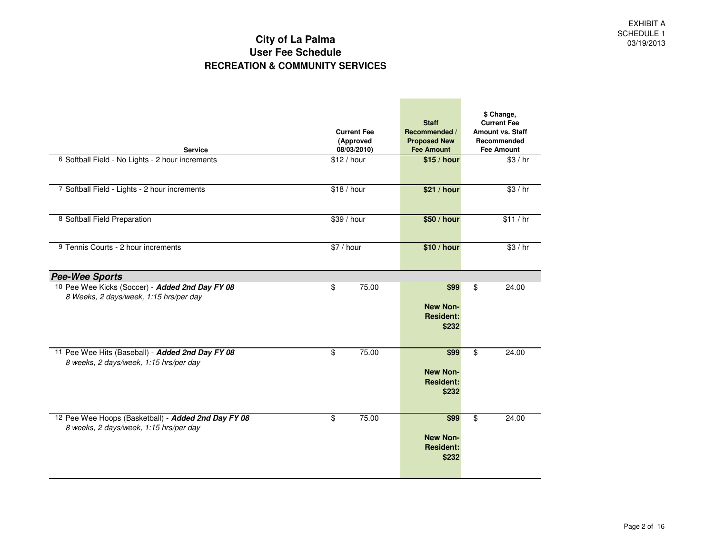**Contract Contract Contract Contract** 

| <b>Service</b>                                                                            | <b>Current Fee</b><br>(Approved<br>08/03/2010) | <b>Staff</b><br>Recommended /<br><b>Proposed New</b><br><b>Fee Amount</b> | \$ Change,<br><b>Current Fee</b><br><b>Amount vs. Staff</b><br>Recommended<br><b>Fee Amount</b> |
|-------------------------------------------------------------------------------------------|------------------------------------------------|---------------------------------------------------------------------------|-------------------------------------------------------------------------------------------------|
| 6 Softball Field - No Lights - 2 hour increments                                          | \$12/hour                                      | \$15 / hour                                                               | \$3/hr                                                                                          |
|                                                                                           |                                                |                                                                           |                                                                                                 |
| 7 Softball Field - Lights - 2 hour increments                                             | \$18 / hour                                    | \$21 / hour                                                               | \$3/hr                                                                                          |
|                                                                                           |                                                |                                                                           |                                                                                                 |
| 8 Softball Field Preparation                                                              | \$39 / hour                                    | \$50 / hour                                                               | \$11/hr                                                                                         |
| 9 Tennis Courts - 2 hour increments                                                       | \$7 / hour                                     | \$10 / hour                                                               | \$3/hr                                                                                          |
|                                                                                           |                                                |                                                                           |                                                                                                 |
| <b>Pee-Wee Sports</b>                                                                     |                                                |                                                                           |                                                                                                 |
| 10 Pee Wee Kicks (Soccer) - Added 2nd Day FY 08<br>8 Weeks, 2 days/week, 1:15 hrs/per day | \$<br>75.00                                    | \$99                                                                      | 24.00<br>\$                                                                                     |
|                                                                                           |                                                | <b>New Non-</b><br><b>Resident:</b>                                       |                                                                                                 |
|                                                                                           |                                                | \$232                                                                     |                                                                                                 |
| 11 Pee Wee Hits (Baseball) - Added 2nd Day FY 08                                          | 75.00<br>\$                                    | \$99                                                                      | \$<br>24.00                                                                                     |
| 8 weeks, 2 days/week, 1:15 hrs/per day                                                    |                                                | <b>New Non-</b>                                                           |                                                                                                 |
|                                                                                           |                                                | <b>Resident:</b>                                                          |                                                                                                 |
|                                                                                           |                                                | \$232                                                                     |                                                                                                 |
| 12 Pee Wee Hoops (Basketball) - Added 2nd Day FY 08                                       | 75.00<br>\$                                    | \$99                                                                      | \$<br>24.00                                                                                     |
| 8 weeks, 2 days/week, 1:15 hrs/per day                                                    |                                                | <b>New Non-</b>                                                           |                                                                                                 |
|                                                                                           |                                                | <b>Resident:</b>                                                          |                                                                                                 |
|                                                                                           |                                                | \$232                                                                     |                                                                                                 |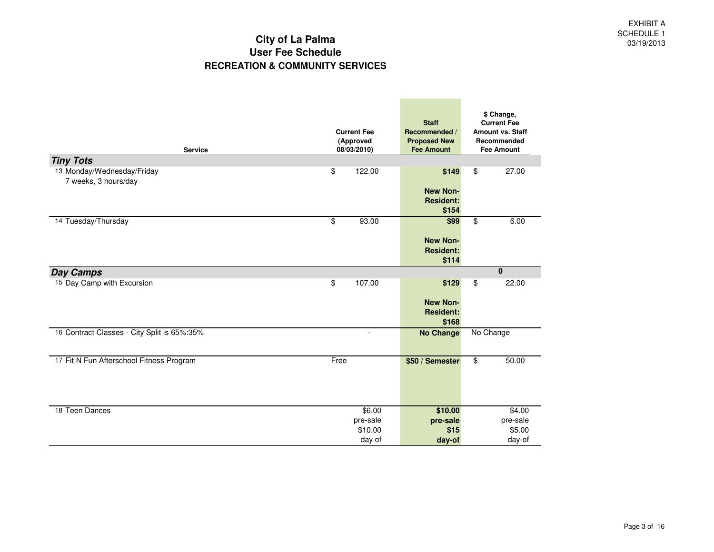| <b>Service</b>                                 | <b>Current Fee</b><br>(Approved<br>08/03/2010) | <b>Staff</b><br>Recommended /<br><b>Proposed New</b><br><b>Fee Amount</b> | \$ Change,<br><b>Current Fee</b><br><b>Amount vs. Staff</b><br>Recommended<br><b>Fee Amount</b> |
|------------------------------------------------|------------------------------------------------|---------------------------------------------------------------------------|-------------------------------------------------------------------------------------------------|
| <b>Tiny Tots</b><br>13 Monday/Wednesday/Friday | \$<br>122.00                                   | \$149                                                                     | 27.00<br>\$                                                                                     |
| 7 weeks, 3 hours/day                           |                                                | <b>New Non-</b><br><b>Resident:</b><br>\$154                              |                                                                                                 |
| 14 Tuesday/Thursday                            | \$<br>93.00                                    | \$99                                                                      | $\overline{\mathbf{e}}$<br>6.00                                                                 |
|                                                |                                                | <b>New Non-</b><br><b>Resident:</b><br>\$114                              |                                                                                                 |
| <b>Day Camps</b>                               |                                                |                                                                           | $\bf{0}$                                                                                        |
| 15 Day Camp with Excursion                     | \$<br>107.00                                   | \$129                                                                     | \$<br>22.00                                                                                     |
|                                                |                                                | <b>New Non-</b><br><b>Resident:</b><br>\$168                              |                                                                                                 |
| 16 Contract Classes - City Split is 65%:35%    | $\overline{a}$                                 | <b>No Change</b>                                                          | No Change                                                                                       |
| 17 Fit N Fun Afterschool Fitness Program       | Free                                           | \$50 / Semester                                                           | \$<br>50.00                                                                                     |
| 18 Teen Dances                                 | \$6.00                                         | \$10.00                                                                   | \$4.00                                                                                          |
|                                                | pre-sale                                       | pre-sale                                                                  | pre-sale                                                                                        |
|                                                | \$10.00<br>day of                              | \$15<br>day-of                                                            | \$5.00<br>day-of                                                                                |
|                                                |                                                |                                                                           |                                                                                                 |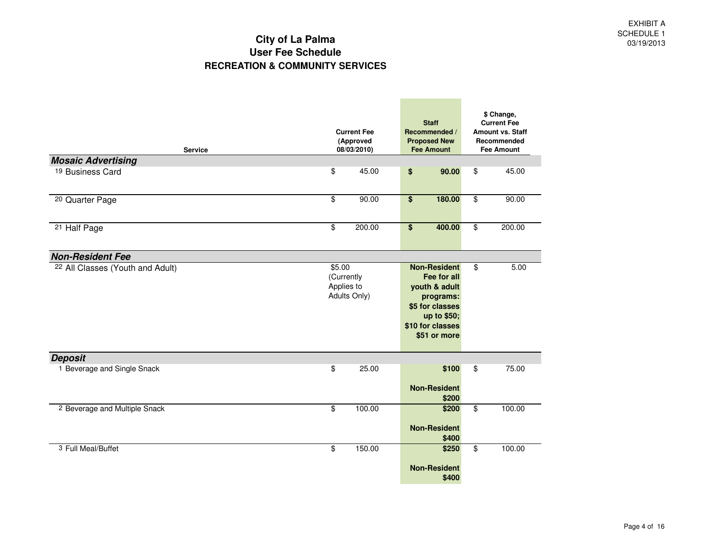| <b>Service</b>                              | <b>Current Fee</b><br>(Approved<br>08/03/2010)     |                                                                                                                                        |                         | \$ Change,<br><b>Current Fee</b><br><b>Amount vs. Staff</b><br>Recommended<br><b>Fee Amount</b> |
|---------------------------------------------|----------------------------------------------------|----------------------------------------------------------------------------------------------------------------------------------------|-------------------------|-------------------------------------------------------------------------------------------------|
| <b>Mosaic Advertising</b>                   |                                                    |                                                                                                                                        |                         |                                                                                                 |
| <sup>19</sup> Business Card                 | \$<br>45.00                                        | 90.00<br>\$                                                                                                                            | \$                      | 45.00                                                                                           |
| <sup>20</sup> Quarter Page                  | \$<br>90.00                                        | $\overline{\$}$<br>180.00                                                                                                              | $\overline{\$}$         | 90.00                                                                                           |
| <sup>21</sup> Half Page                     | \$<br>200.00                                       | $\overline{\bullet}$<br>400.00                                                                                                         | $\overline{\$}$         | 200.00                                                                                          |
| <b>Non-Resident Fee</b>                     |                                                    |                                                                                                                                        |                         |                                                                                                 |
| <sup>22</sup> All Classes (Youth and Adult) | \$5.00<br>(Currently<br>Applies to<br>Adults Only) | <b>Non-Resident</b><br>Fee for all<br>youth & adult<br>programs:<br>\$5 for classes<br>up to \$50;<br>\$10 for classes<br>\$51 or more | \$                      | 5.00                                                                                            |
| <b>Deposit</b>                              |                                                    |                                                                                                                                        |                         |                                                                                                 |
| 1 Beverage and Single Snack                 | \$<br>25.00                                        | \$100<br><b>Non-Resident</b><br>\$200                                                                                                  | \$                      | 75.00                                                                                           |
| 2 Beverage and Multiple Snack               | 100.00<br>\$                                       | \$200<br><b>Non-Resident</b><br>\$400                                                                                                  | $\overline{\mathbf{e}}$ | 100.00                                                                                          |
| 3 Full Meal/Buffet                          | 150.00<br>\$                                       | \$250<br><b>Non-Resident</b><br>\$400                                                                                                  | \$                      | 100.00                                                                                          |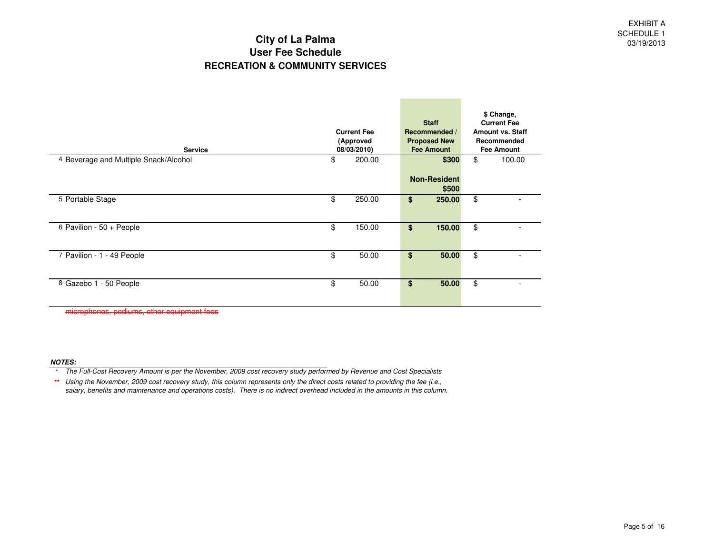**Contract Contract** 

| <b>Service</b>                        | <b>Current Fee</b><br>(Approved<br>08/03/2010) |        |    | <b>Staff</b><br>Recommended /<br><b>Proposed New</b><br><b>Fee Amount</b> | \$ Change,<br><b>Current Fee</b><br><b>Amount vs. Staff</b><br>Recommended<br><b>Fee Amount</b> |
|---------------------------------------|------------------------------------------------|--------|----|---------------------------------------------------------------------------|-------------------------------------------------------------------------------------------------|
| 4 Beverage and Multiple Snack/Alcohol | \$                                             | 200.00 |    | \$300                                                                     | \$<br>100.00                                                                                    |
|                                       |                                                |        |    | <b>Non-Resident</b><br>\$500                                              |                                                                                                 |
| 5 Portable Stage                      | \$                                             | 250.00 | \$ | 250.00                                                                    | \$                                                                                              |
| 6 Pavilion - 50 + People              | \$                                             | 150.00 | \$ | 150.00                                                                    | \$                                                                                              |
| 7 Pavilion - 1 - 49 People            | \$                                             | 50.00  | \$ | 50.00                                                                     | \$                                                                                              |
| 8 Gazebo 1 - 50 People                | \$                                             | 50.00  | \$ | 50.00                                                                     | \$                                                                                              |

microphones, podiums, other equipment fees

#### **NOTES:**

 The Full-Cost Recovery Amount is per the November, 2009 cost recovery study performed by Revenue and Cost Specialists**\***

\* Using the November, 2009 cost recovery study, this column represents only the direct costs related to providing the fee (i.e., **\*\***salary, benefits and maintenance and operations costs). There is no indirect overhead included in the amounts in this column.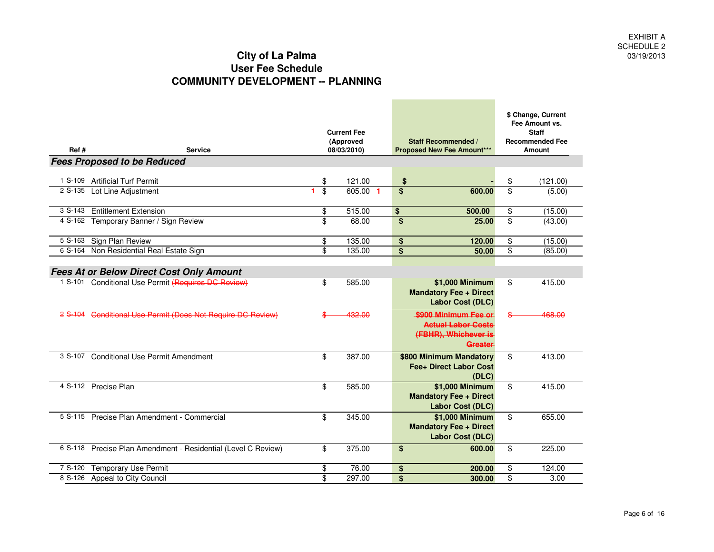| Ref#       | <b>Service</b>                                                |          | <b>Current Fee</b><br>(Approved<br>08/03/2010) |                         | <b>Staff Recommended /</b><br><b>Proposed New Fee Amount***</b>                      | \$ Change, Current<br>Fee Amount vs.<br><b>Staff</b><br><b>Recommended Fee</b><br>Amount |          |  |
|------------|---------------------------------------------------------------|----------|------------------------------------------------|-------------------------|--------------------------------------------------------------------------------------|------------------------------------------------------------------------------------------|----------|--|
|            | <b>Fees Proposed to be Reduced</b>                            |          |                                                |                         |                                                                                      |                                                                                          |          |  |
| $1 S-109$  | <b>Artificial Turf Permit</b>                                 | \$       | 121.00                                         | \$                      |                                                                                      | \$                                                                                       | (121.00) |  |
|            | 2 S-135 Lot Line Adjustment                                   | \$<br>1. | 605.00 1                                       | \$                      | 600.00                                                                               | \$                                                                                       | (5.00)   |  |
| $3 S-143$  | <b>Entitlement Extension</b>                                  | \$       | 515.00                                         | $\overline{\mathbf{S}}$ | 500.00                                                                               | $\overline{\mathbf{e}}$                                                                  | (15.00)  |  |
|            | 4 S-162 Temporary Banner / Sign Review                        | \$       | 68.00                                          | \$                      | 25.00                                                                                | \$                                                                                       | (43.00)  |  |
| 5 S-163    | Sign Plan Review                                              | \$       | 135.00                                         | \$                      | 120.00                                                                               | \$                                                                                       | (15.00)  |  |
| 6 S-164    | Non Residential Real Estate Sign                              | \$       | 135.00                                         | \$                      | 50.00                                                                                | \$                                                                                       | (85.00)  |  |
|            | <b>Fees At or Below Direct Cost Only Amount</b>               |          |                                                |                         |                                                                                      |                                                                                          |          |  |
|            | 1 S-101 Conditional Use Permit (Requires DC Review)           | \$       | 585.00                                         |                         | \$1,000 Minimum<br><b>Mandatory Fee + Direct</b><br><b>Labor Cost (DLC)</b>          | \$                                                                                       | 415.00   |  |
| $28 - 104$ | Conditional Use Permit (Does Not Require DC Review)           |          | 432.00                                         |                         | \$900 Minimum Fee or<br><b>Actual Labor Costs</b><br>(FBHR), Whichever is<br>Greater | ℭ                                                                                        | 468.00   |  |
|            | 3 S-107 Conditional Use Permit Amendment                      | \$       | 387.00                                         |                         | \$800 Minimum Mandatory<br>Fee+ Direct Labor Cost<br>(DLC)                           | \$                                                                                       | 413.00   |  |
|            | 4 S-112 Precise Plan                                          | \$       | 585.00                                         |                         | \$1,000 Minimum<br><b>Mandatory Fee + Direct</b><br><b>Labor Cost (DLC)</b>          | \$                                                                                       | 415.00   |  |
|            | 5 S-115 Precise Plan Amendment - Commercial                   | \$       | 345.00                                         |                         | \$1,000 Minimum<br><b>Mandatory Fee + Direct</b><br>Labor Cost (DLC)                 | \$                                                                                       | 655.00   |  |
|            | 6 S-118 Precise Plan Amendment - Residential (Level C Review) | \$       | 375.00                                         | \$                      | 600.00                                                                               | \$                                                                                       | 225.00   |  |
| 7 S-120    | <b>Temporary Use Permit</b>                                   | \$       | 76.00                                          | \$                      | 200.00                                                                               | \$                                                                                       | 124.00   |  |
| 8 S-126    | Appeal to City Council                                        | \$       | 297.00                                         | \$                      | 300.00                                                                               | \$                                                                                       | 3.00     |  |

the control of the control of the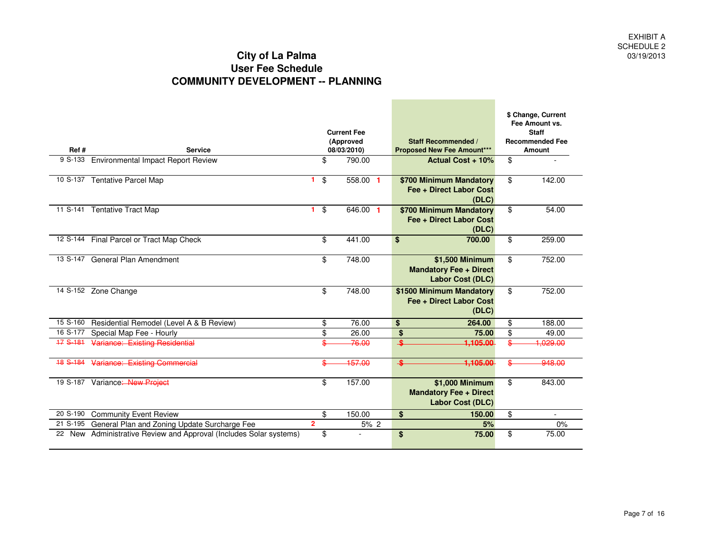| Ref#     | <b>Service</b>                                                     |                      | <b>Current Fee</b><br>(Approved<br>08/03/2010) | <b>Staff Recommended /</b><br><b>Proposed New Fee Amount***</b>      |                          | \$ Change, Current<br>Fee Amount vs.<br><b>Staff</b><br><b>Recommended Fee</b><br><b>Amount</b> |
|----------|--------------------------------------------------------------------|----------------------|------------------------------------------------|----------------------------------------------------------------------|--------------------------|-------------------------------------------------------------------------------------------------|
| 9 S-133  | <b>Environmental Impact Report Review</b>                          | \$                   | 790.00                                         | Actual Cost + 10%                                                    | \$                       |                                                                                                 |
| 10 S-137 | <b>Tentative Parcel Map</b>                                        | \$<br>1              | 558.00 1                                       | \$700 Minimum Mandatory<br>Fee + Direct Labor Cost<br>(DLC)          | \$                       | 142.00                                                                                          |
|          | 11 S-141 Tentative Tract Map                                       | \$<br>$\blacksquare$ | 646.00 1                                       | \$700 Minimum Mandatory<br>Fee + Direct Labor Cost<br>(DLC)          | \$                       | 54.00                                                                                           |
|          | 12 S-144 Final Parcel or Tract Map Check                           | \$                   | 441.00                                         | \$<br>700.00                                                         | \$                       | 259.00                                                                                          |
|          | 13 S-147 General Plan Amendment                                    | \$                   | 748.00                                         | \$1,500 Minimum<br><b>Mandatory Fee + Direct</b><br>Labor Cost (DLC) | \$                       | 752.00                                                                                          |
|          | 14 S-152 Zone Change                                               | \$                   | 748.00                                         | \$1500 Minimum Mandatory<br>Fee + Direct Labor Cost<br>(DLC)         | \$                       | 752.00                                                                                          |
| 15 S-160 | Residential Remodel (Level A & B Review)                           | \$                   | 76.00                                          | \$<br>264.00                                                         | \$                       | 188.00                                                                                          |
| 16 S-177 | Special Map Fee - Hourly                                           | \$                   | 26.00                                          | $\overline{\mathbf{S}}$<br>75.00                                     | $\overline{\mathbf{e}}$  | 49.00                                                                                           |
| 17 S-181 | Variance: Existing Residential                                     | ¢                    | -76.00                                         | 1.105.00<br>$\bullet$                                                | ¢                        | 1.029.00                                                                                        |
| 18 S-184 | Variance: Existing Commercial                                      | \$                   | 157.00                                         | 1,105.00                                                             |                          | 948.00                                                                                          |
|          | 19 S-187 Variance: New Project                                     | \$                   | 157.00                                         | \$1,000 Minimum<br><b>Mandatory Fee + Direct</b><br>Labor Cost (DLC) | $\overline{\mathcal{S}}$ | 843.00                                                                                          |
| 20 S-190 | <b>Community Event Review</b>                                      | \$                   | 150.00                                         | \$<br>150.00                                                         | \$                       |                                                                                                 |
| 21 S-195 | General Plan and Zoning Update Surcharge Fee                       | $\overline{2}$       | 5% 2                                           | 5%                                                                   |                          | 0%                                                                                              |
|          | 22 New Administrative Review and Approval (Includes Solar systems) | \$                   |                                                | \$<br>75.00                                                          | \$                       | 75.00                                                                                           |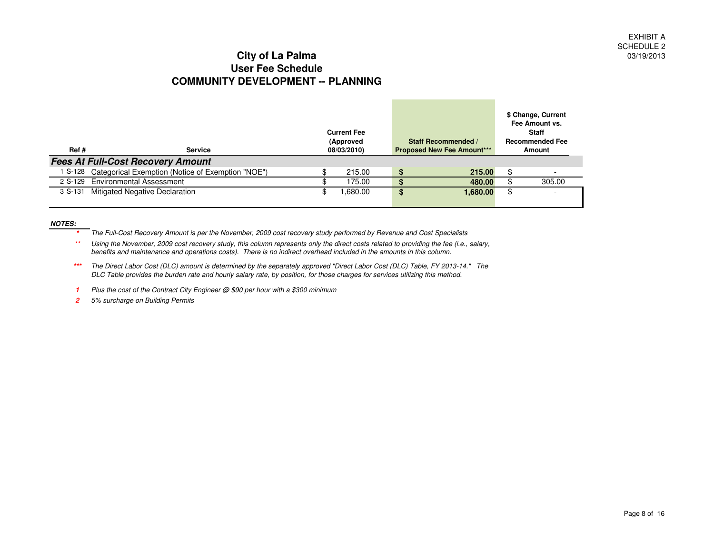| Ref# | <b>Service</b>                                            | <b>Current Fee</b><br>(Approved<br>08/03/2010) |         | <b>Staff Recommended /</b><br><b>Proposed New Fee Amount***</b> |          |     | \$ Change, Current<br>Fee Amount vs.<br><b>Staff</b><br><b>Recommended Fee</b><br>Amount |
|------|-----------------------------------------------------------|------------------------------------------------|---------|-----------------------------------------------------------------|----------|-----|------------------------------------------------------------------------------------------|
|      | <b>Fees At Full-Cost Recovery Amount</b>                  |                                                |         |                                                                 |          |     |                                                                                          |
|      | 1 S-128 Categorical Exemption (Notice of Exemption "NOE") | Φ                                              | 215.00  |                                                                 | 215.00   | \$  |                                                                                          |
|      | 2 S-129 Environmental Assessment                          |                                                | 175.00  |                                                                 | 480.00   | \$. | 305.00                                                                                   |
|      | 3 S-131 Mitigated Negative Declaration                    |                                                | .680.00 |                                                                 | 1,680.00 | \$  | $\overline{\phantom{0}}$                                                                 |

#### **NOTES:**

- **\***The Full-Cost Recovery Amount is per the November, 2009 cost recovery study performed by Revenue and Cost Specialists
- **\*\*** Using the November, 2009 cost recovery study, this column represents only the direct costs related to providing the fee (i.e., salary, benefits and maintenance and operations costs). There is no indirect overhead included in the amounts in this column.
- **\*\*\***The Direct Labor Cost (DLC) amount is determined by the separately approved "Direct Labor Cost (DLC) Table, FY 2013-14." The DLC Table provides the burden rate and hourly salary rate, by position, for those charges for services utilizing this method.
- **1** Plus the cost of the Contract City Engineer @ \$90 per hour with a \$300 minimum
- **2** 5% surcharge on Building Permits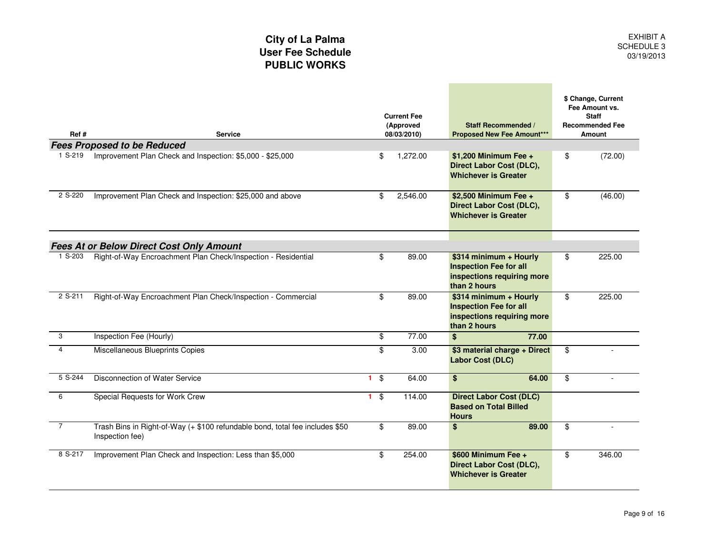and the control of the control of

| Ref #          | <b>Service</b>                                                                                  |                                         | <b>Current Fee</b><br>(Approved<br>08/03/2010) | <b>Staff Recommended /</b><br><b>Proposed New Fee Amount***</b>                                       | \$ Change, Current<br>Fee Amount vs.<br><b>Staff</b><br><b>Recommended Fee</b><br>Amount |
|----------------|-------------------------------------------------------------------------------------------------|-----------------------------------------|------------------------------------------------|-------------------------------------------------------------------------------------------------------|------------------------------------------------------------------------------------------|
|                | <b>Fees Proposed to be Reduced</b>                                                              |                                         |                                                |                                                                                                       |                                                                                          |
| 1 S-219        | Improvement Plan Check and Inspection: \$5,000 - \$25,000                                       | \$                                      | 1,272.00                                       | \$1,200 Minimum Fee +<br>Direct Labor Cost (DLC),<br><b>Whichever is Greater</b>                      | \$<br>(72.00)                                                                            |
| 2 S-220        | Improvement Plan Check and Inspection: \$25,000 and above                                       | \$                                      | 2,546.00                                       | \$2,500 Minimum Fee +<br><b>Direct Labor Cost (DLC),</b><br><b>Whichever is Greater</b>               | \$<br>(46.00)                                                                            |
|                | <b>Fees At or Below Direct Cost Only Amount</b>                                                 |                                         |                                                |                                                                                                       |                                                                                          |
| 1 S-203        | Right-of-Way Encroachment Plan Check/Inspection - Residential                                   | \$                                      | 89.00                                          | \$314 minimum + Hourly<br><b>Inspection Fee for all</b><br>inspections requiring more<br>than 2 hours | \$<br>225.00                                                                             |
| 2 S-211        | Right-of-Way Encroachment Plan Check/Inspection - Commercial                                    | \$                                      | 89.00                                          | \$314 minimum + Hourly<br><b>Inspection Fee for all</b><br>inspections requiring more<br>than 2 hours | \$<br>225.00                                                                             |
| 3              | Inspection Fee (Hourly)                                                                         | \$                                      | 77.00                                          | 77.00<br>\$                                                                                           |                                                                                          |
| $\overline{4}$ | Miscellaneous Blueprints Copies                                                                 | \$                                      | 3.00                                           | \$3 material charge + Direct<br><b>Labor Cost (DLC)</b>                                               | \$<br>$\sim$                                                                             |
| 5 S-244        | Disconnection of Water Service                                                                  | $\overline{\mathbf{3}}$<br>$\mathbf{1}$ | 64.00                                          | \$<br>64.00                                                                                           | \$                                                                                       |
| 6              | Special Requests for Work Crew                                                                  | $1 \quad$                               | 114.00                                         | <b>Direct Labor Cost (DLC)</b><br><b>Based on Total Billed</b><br><b>Hours</b>                        |                                                                                          |
| $\overline{7}$ | Trash Bins in Right-of-Way (+ \$100 refundable bond, total fee includes \$50<br>Inspection fee) | \$                                      | 89.00                                          | \$<br>89.00                                                                                           | \$                                                                                       |
| 8 S-217        | Improvement Plan Check and Inspection: Less than \$5,000                                        | \$                                      | 254.00                                         | \$600 Minimum Fee +<br>Direct Labor Cost (DLC),<br><b>Whichever is Greater</b>                        | \$<br>346.00                                                                             |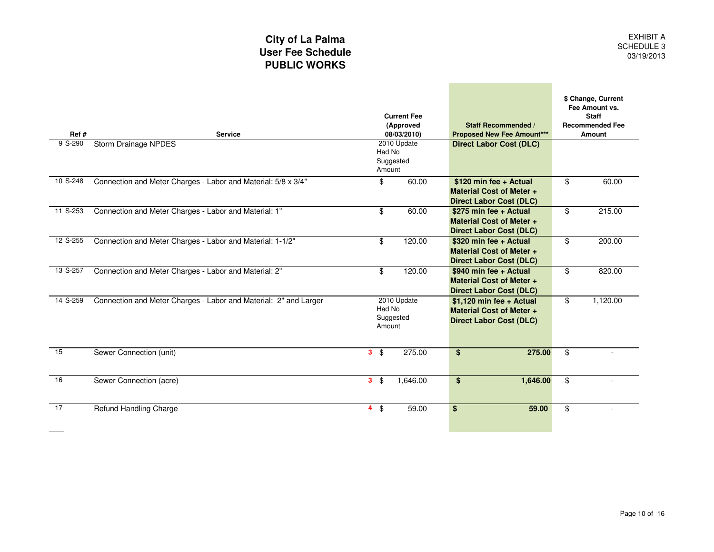and the company of the company

| Ref #    | <b>Service</b>                                                   | <b>Current Fee</b><br>(Approved<br>08/03/2010) |                                              |                          | <b>Staff Recommended /</b><br><b>Proposed New Fee Amount***</b>                             | \$ Change, Current<br>Fee Amount vs.<br><b>Staff</b><br><b>Recommended Fee</b><br>Amount |                                |  |
|----------|------------------------------------------------------------------|------------------------------------------------|----------------------------------------------|--------------------------|---------------------------------------------------------------------------------------------|------------------------------------------------------------------------------------------|--------------------------------|--|
| 9 S-290  | <b>Storm Drainage NPDES</b>                                      |                                                | 2010 Update<br>Had No<br>Suggested<br>Amount |                          |                                                                                             |                                                                                          | <b>Direct Labor Cost (DLC)</b> |  |
| 10 S-248 | Connection and Meter Charges - Labor and Material: 5/8 x 3/4"    |                                                | \$                                           | 60.00                    | \$120 min fee + Actual<br><b>Material Cost of Meter +</b><br><b>Direct Labor Cost (DLC)</b> | \$<br>60.00                                                                              |                                |  |
| 11 S-253 | Connection and Meter Charges - Labor and Material: 1"            |                                                | \$                                           | 60.00                    | \$275 min fee + Actual<br><b>Material Cost of Meter +</b><br><b>Direct Labor Cost (DLC)</b> | \$<br>215.00                                                                             |                                |  |
| 12 S-255 | Connection and Meter Charges - Labor and Material: 1-1/2"        |                                                | \$                                           | 120.00                   | \$320 min fee + Actual<br><b>Material Cost of Meter +</b><br><b>Direct Labor Cost (DLC)</b> | \$<br>200.00                                                                             |                                |  |
| 13 S-257 | Connection and Meter Charges - Labor and Material: 2"            |                                                | \$                                           | 120.00                   | \$940 min fee + Actual<br><b>Material Cost of Meter +</b><br><b>Direct Labor Cost (DLC)</b> | \$<br>820.00                                                                             |                                |  |
| 14 S-259 | Connection and Meter Charges - Labor and Material: 2" and Larger |                                                | Had No<br>Amount                             | 2010 Update<br>Suggested | \$1,120 min fee + Actual<br>Material Cost of Meter +<br><b>Direct Labor Cost (DLC)</b>      | \$<br>1,120.00                                                                           |                                |  |
| 15       | Sewer Connection (unit)                                          |                                                | $3 \quad$                                    | 275.00                   | \$<br>275.00                                                                                | \$                                                                                       |                                |  |
| 16       | Sewer Connection (acre)                                          |                                                | $3 \text{ } $5$                              | 1,646.00                 | \$<br>1,646.00                                                                              | \$                                                                                       |                                |  |
| 17       | <b>Refund Handling Charge</b>                                    |                                                | $4 \text{ } $$                               | 59.00                    | \$<br>59.00                                                                                 | \$                                                                                       |                                |  |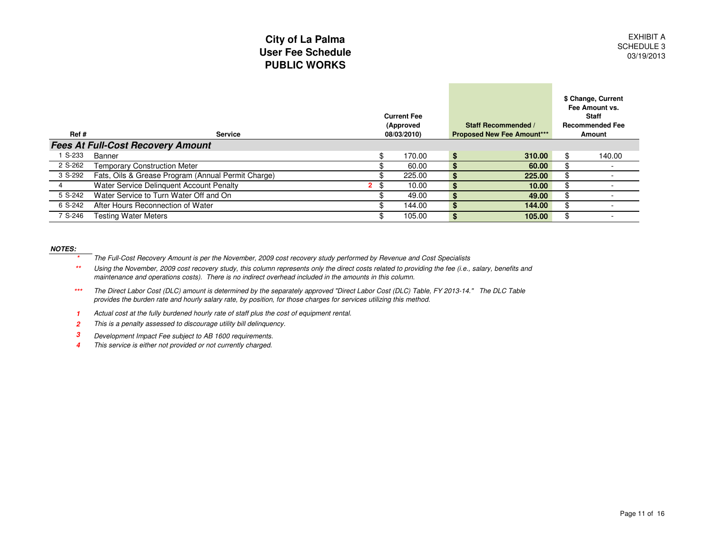| Ref #   | <b>Service</b>                                     | <b>Current Fee</b><br>(Approved<br>08/03/2010) |        |     | <b>Staff Recommended /</b><br><b>Proposed New Fee Amount***</b> | \$ Change, Current<br>Fee Amount vs.<br><b>Staff</b><br><b>Recommended Fee</b><br>Amount |
|---------|----------------------------------------------------|------------------------------------------------|--------|-----|-----------------------------------------------------------------|------------------------------------------------------------------------------------------|
|         | <b>Fees At Full-Cost Recovery Amount</b>           |                                                |        |     |                                                                 |                                                                                          |
| S-233   | Banner                                             | \$.                                            | 170.00 | \$  | 310.00                                                          | 140.00                                                                                   |
| 2 S-262 | <b>Temporary Construction Meter</b>                |                                                | 60.00  | \$. | 60.00                                                           |                                                                                          |
| 3 S-292 | Fats, Oils & Grease Program (Annual Permit Charge) |                                                | 225.00 | \$. | 225.00                                                          | \$                                                                                       |
|         | Water Service Delinquent Account Penalty           | -\$<br>$\mathbf{2}$                            | 10.00  | \$. | 10.00                                                           | \$                                                                                       |
| 5 S-242 | Water Service to Turn Water Off and On             |                                                | 49.00  | \$. | 49.00                                                           |                                                                                          |
| 6 S-242 | After Hours Reconnection of Water                  |                                                | 144.00 | \$. | 144.00                                                          |                                                                                          |
| 7 S-246 | <b>Testing Water Meters</b>                        |                                                | 105.00 | \$  | 105.00                                                          | \$                                                                                       |

#### **NOTES:**

- **\***The Full-Cost Recovery Amount is per the November, 2009 cost recovery study performed by Revenue and Cost Specialists
- Using the November, 2009 cost recovery study, this column represents only the direct costs related to providing the fee (i.e., salary, benefits and **\*\***maintenance and operations costs). There is no indirect overhead included in the amounts in this column.
- **\*\*\***The Direct Labor Cost (DLC) amount is determined by the separately approved "Direct Labor Cost (DLC) Table, FY 2013-14." The DLC Table provides the burden rate and hourly salary rate, by position, for those charges for services utilizing this method.
- **1**Actual cost at the fully burdened hourly rate of staff plus the cost of equipment rental.
- **2**This is a penalty assessed to discourage utility bill delinquency.
- **3**Development Impact Fee subject to AB 1600 requirements.
- **4**This service is either not provided or not currently charged.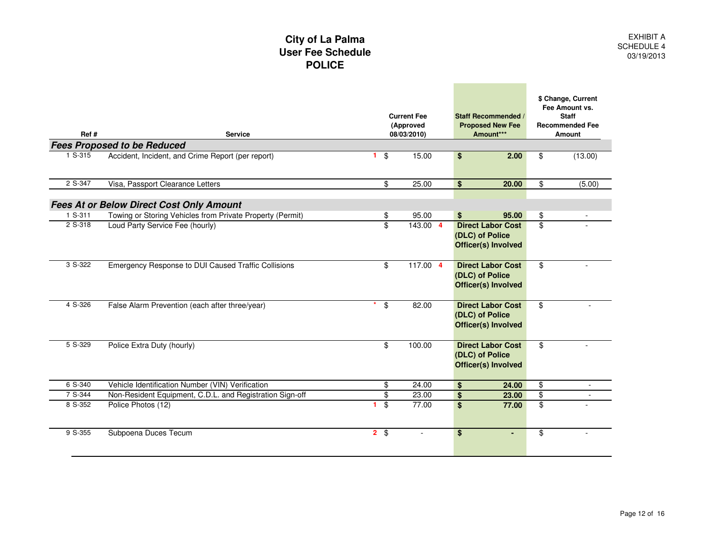|         | City of La Palma<br><b>User Fee Schedule</b><br><b>POLICE</b>                           |                         |                                                |                                                                           |                         |                                                                                          |
|---------|-----------------------------------------------------------------------------------------|-------------------------|------------------------------------------------|---------------------------------------------------------------------------|-------------------------|------------------------------------------------------------------------------------------|
| Ref #   | <b>Service</b>                                                                          |                         | <b>Current Fee</b><br>(Approved<br>08/03/2010) | <b>Staff Recommended /</b><br><b>Proposed New Fee</b><br>Amount***        |                         | \$ Change, Current<br>Fee Amount vs.<br><b>Staff</b><br><b>Recommended Fee</b><br>Amount |
| 1 S-315 | <b>Fees Proposed to be Reduced</b><br>Accident, Incident, and Crime Report (per report) | \$<br>$\mathbf{1}$      | 15.00                                          | \$<br>2.00                                                                | \$                      | (13.00)                                                                                  |
|         |                                                                                         |                         |                                                |                                                                           |                         |                                                                                          |
| 2 S-347 | Visa, Passport Clearance Letters                                                        | \$                      | 25.00                                          | \$<br>20.00                                                               | \$                      | (5.00)                                                                                   |
|         |                                                                                         |                         |                                                |                                                                           |                         |                                                                                          |
|         | <b>Fees At or Below Direct Cost Only Amount</b>                                         |                         |                                                |                                                                           |                         |                                                                                          |
| 1 S-311 | Towing or Storing Vehicles from Private Property (Permit)                               | \$                      | 95.00                                          | 95.00<br>\$                                                               | \$                      |                                                                                          |
| 2 S-318 | Loud Party Service Fee (hourly)                                                         | \$                      | 143.00 4                                       | <b>Direct Labor Cost</b><br>(DLC) of Police<br><b>Officer(s) Involved</b> | $\mathfrak{L}$          |                                                                                          |
| 3 S-322 | Emergency Response to DUI Caused Traffic Collisions                                     | $\overline{\mathbf{e}}$ | $117.00$ 4                                     | <b>Direct Labor Cost</b><br>(DLC) of Police<br><b>Officer(s) Involved</b> | $\overline{\mathbb{S}}$ |                                                                                          |
| 4 S-326 | False Alarm Prevention (each after three/year)                                          | \$                      | 82.00                                          | <b>Direct Labor Cost</b><br>(DLC) of Police<br><b>Officer(s) Involved</b> | \$                      |                                                                                          |
| 5 S-329 | Police Extra Duty (hourly)                                                              | \$                      | 100.00                                         | <b>Direct Labor Cost</b><br>(DLC) of Police<br><b>Officer(s) Involved</b> | \$                      |                                                                                          |
| 6 S-340 | Vehicle Identification Number (VIN) Verification                                        | \$                      | 24.00                                          | \$<br>24.00                                                               | $\overline{\mathbf{S}}$ | $\overline{\phantom{a}}$                                                                 |
| 7 S-344 | Non-Resident Equipment, C.D.L. and Registration Sign-off                                | \$                      | 23.00                                          | \$<br>23.00                                                               | \$                      |                                                                                          |
| 8 S-352 | Police Photos (12)                                                                      | \$<br>1.                | 77.00                                          | \$<br>77.00                                                               | $\overline{\mathbf{e}}$ |                                                                                          |
| 9 S-355 | Subpoena Duces Tecum                                                                    | $2 \sqrt{3}$            | $\overline{a}$                                 | $\overline{\mathbf{S}}$<br>۰                                              | \$                      |                                                                                          |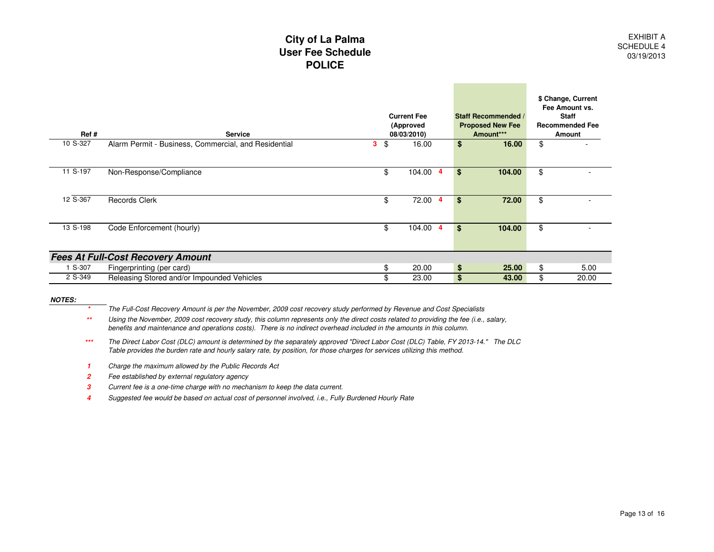#### **City of La Palma User Fee SchedulePOLICE**

| Ref #    | <b>Service</b>                                       |   | <b>Current Fee</b><br>(Approved<br>08/03/2010) |     | <b>Staff Recommended /</b><br><b>Proposed New Fee</b><br>Amount*** | \$ Change, Current<br>Fee Amount vs.<br><b>Staff</b><br><b>Recommended Fee</b><br>Amount |
|----------|------------------------------------------------------|---|------------------------------------------------|-----|--------------------------------------------------------------------|------------------------------------------------------------------------------------------|
| 10 S-327 | Alarm Permit - Business, Commercial, and Residential | 3 | \$<br>16.00                                    | \$  | 16.00                                                              | \$                                                                                       |
| 11 S-197 | Non-Response/Compliance                              |   | \$<br>104.00<br>$\overline{4}$                 | \$  | 104.00                                                             | \$                                                                                       |
| 12 S-367 | <b>Records Clerk</b>                                 |   | \$<br>72.00<br>4                               | \$. | 72.00                                                              | \$                                                                                       |
| 13 S-198 | Code Enforcement (hourly)                            |   | \$<br>104.00<br>4                              | \$  | 104.00                                                             | \$                                                                                       |
|          | <b>Fees At Full-Cost Recovery Amount</b>             |   |                                                |     |                                                                    |                                                                                          |
| S-307    | Fingerprinting (per card)                            |   | \$<br>20.00                                    | \$  | 25.00                                                              | \$<br>5.00                                                                               |
| 2 S-349  | Releasing Stored and/or Impounded Vehicles           |   | 23.00                                          | \$  | 43.00                                                              | \$<br>20.00                                                                              |

**NOTES:**

**\***The Full-Cost Recovery Amount is per the November, 2009 cost recovery study performed by Revenue and Cost Specialists

 Using the November, 2009 cost recovery study, this column represents only the direct costs related to providing the fee (i.e., salary, **\*\***benefits and maintenance and operations costs). There is no indirect overhead included in the amounts in this column.

- **\*\*\***The Direct Labor Cost (DLC) amount is determined by the separately approved "Direct Labor Cost (DLC) Table, FY 2013-14." The DLC Table provides the burden rate and hourly salary rate, by position, for those charges for services utilizing this method.
- **1**Charge the maximum allowed by the Public Records Act
- **2**Fee established by external regulatory agency
- **3**Current fee is a one-time charge with no mechanism to keep the data current.
- **4**Suggested fee would be based on actual cost of personnel involved, i.e., Fully Burdened Hourly Rate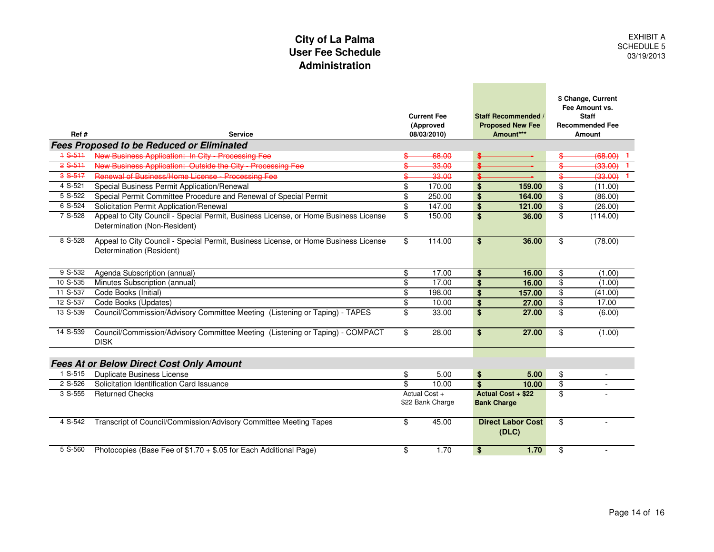# **City of La PalmaUser Fee Schedule**

|           | <b>User Fee Schedule</b><br>Administration                                                                          |                         |                                                |                    |                                                                    |                                  | 03                                                                                              |
|-----------|---------------------------------------------------------------------------------------------------------------------|-------------------------|------------------------------------------------|--------------------|--------------------------------------------------------------------|----------------------------------|-------------------------------------------------------------------------------------------------|
| Ref#      | Service                                                                                                             |                         | <b>Current Fee</b><br>(Approved<br>08/03/2010) |                    | <b>Staff Recommended /</b><br><b>Proposed New Fee</b><br>Amount*** |                                  | \$ Change, Current<br>Fee Amount vs.<br><b>Staff</b><br><b>Recommended Fee</b><br><b>Amount</b> |
|           | <b>Fees Proposed to be Reduced or Eliminated</b>                                                                    |                         |                                                |                    |                                                                    |                                  |                                                                                                 |
| $4S-511$  | New Business Application: In City - Processing Fee                                                                  |                         | 68.00                                          |                    |                                                                    |                                  | (68.00)                                                                                         |
| $2S-511$  | New Business Application: Outside the City Processing Fee                                                           |                         | 33.00                                          | \$.                |                                                                    | \$                               | (33.00)                                                                                         |
| $3S-517$  | Renewal of Business/Home License - Processing Fee                                                                   |                         | 33.00                                          |                    |                                                                    | \$                               | (33.00)                                                                                         |
| 4 S-521   | Special Business Permit Application/Renewal                                                                         | \$                      | 170.00                                         | \$                 | 159.00                                                             | \$                               | (11.00)                                                                                         |
| 5 S-522   | Special Permit Committee Procedure and Renewal of Special Permit                                                    | $\overline{\mathbf{e}}$ | 250.00                                         | \$                 | 164.00                                                             | \$                               | (86.00)                                                                                         |
| 6 S-524   | Solicitation Permit Application/Renewal                                                                             | $\overline{\mathbf{e}}$ | 147.00                                         | \$                 | 121.00                                                             | $\overline{\boldsymbol{\theta}}$ | (26.00)                                                                                         |
| 7 S-528   | Appeal to City Council - Special Permit, Business License, or Home Business License<br>Determination (Non-Resident) | \$                      | 150.00                                         | \$                 | 36.00                                                              | \$                               | (114.00)                                                                                        |
| 8 S-528   | Appeal to City Council - Special Permit, Business License, or Home Business License<br>Determination (Resident)     | \$                      | 114.00                                         | \$                 | 36.00                                                              | \$                               | (78.00)                                                                                         |
| 9 S-532   | Agenda Subscription (annual)                                                                                        | \$                      | 17.00                                          | \$                 | 16.00                                                              | \$                               | (1.00)                                                                                          |
| 10 S-535  | Minutes Subscription (annual)                                                                                       | \$                      | 17.00                                          | $\mathbf{s}$       | 16.00                                                              | \$                               | (1.00)                                                                                          |
| 11 S-537  | Code Books (Initial)                                                                                                | \$                      | 198.00                                         | \$                 | 157.00                                                             | $\overline{\mathbf{S}}$          | (41.00)                                                                                         |
| 12 S-537  | Code Books (Updates)                                                                                                | \$                      | 10.00                                          | \$                 | 27.00                                                              | \$                               | 17.00                                                                                           |
| 13 S-539  | Council/Commission/Advisory Committee Meeting (Listening or Taping) - TAPES                                         | \$                      | 33.00                                          | \$                 | 27.00                                                              | \$                               | (6.00)                                                                                          |
| 14 S-539  | Council/Commission/Advisory Committee Meeting (Listening or Taping) - COMPACT<br><b>DISK</b>                        | \$                      | 28.00                                          | \$                 | 27.00                                                              | $\overline{\mathbf{S}}$          | (1.00)                                                                                          |
|           | <b>Fees At or Below Direct Cost Only Amount</b>                                                                     |                         |                                                |                    |                                                                    |                                  |                                                                                                 |
| 1 S-515   | <b>Duplicate Business License</b>                                                                                   | \$                      | 5.00                                           | \$                 | 5.00                                                               | \$                               |                                                                                                 |
| 2 S-526   | Solicitation Identification Card Issuance                                                                           | \$                      | 10.00                                          | $\mathbf{s}$       | 10.00                                                              | \$                               | $\overline{\phantom{a}}$                                                                        |
| 3 S-555   | <b>Returned Checks</b>                                                                                              |                         | Actual Cost +<br>\$22 Bank Charge              | <b>Bank Charge</b> | Actual Cost + \$22                                                 | \$                               |                                                                                                 |
| 4 S-542   | Transcript of Council/Commission/Advisory Committee Meeting Tapes                                                   | \$                      | 45.00                                          |                    | <b>Direct Labor Cost</b><br>(DLC)                                  | \$                               |                                                                                                 |
| $5 S-560$ | Photocopies (Base Fee of \$1.70 + \$.05 for Each Additional Page)                                                   | \$                      | 1.70                                           | \$                 | 1.70                                                               | \$                               | $\mathbf{r}$                                                                                    |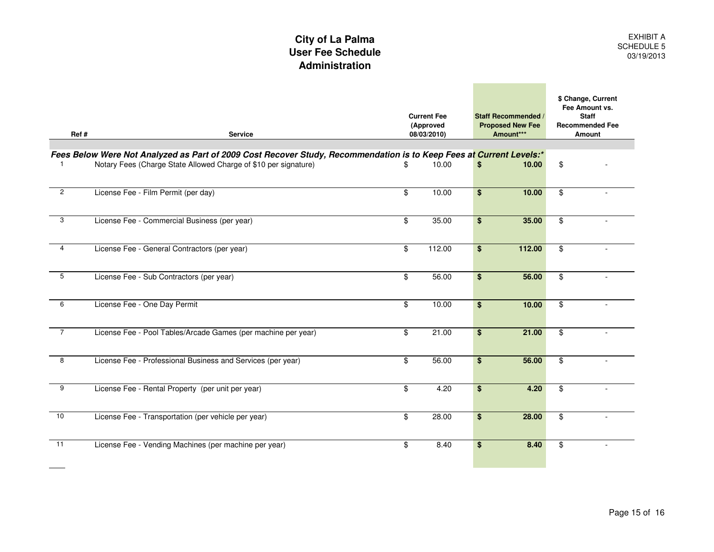#### **User Fee Schedule AdministrationCity of La Palma**

| Ref#           | <b>Service</b>                                                                                                                                                                         | <b>Current Fee</b><br>(Approved<br>08/03/2010) | <b>Staff Recommended /</b><br><b>Proposed New Fee</b><br>Amount*** | \$ Change, Current<br>Fee Amount vs.<br><b>Staff</b><br><b>Recommended Fee</b><br>Amount |
|----------------|----------------------------------------------------------------------------------------------------------------------------------------------------------------------------------------|------------------------------------------------|--------------------------------------------------------------------|------------------------------------------------------------------------------------------|
|                |                                                                                                                                                                                        |                                                |                                                                    |                                                                                          |
|                | Fees Below Were Not Analyzed as Part of 2009 Cost Recover Study, Recommendation is to Keep Fees at Current Levels:*<br>Notary Fees (Charge State Allowed Charge of \$10 per signature) | \$<br>10.00                                    | \$<br>10.00                                                        | \$                                                                                       |
| $\overline{2}$ | License Fee - Film Permit (per day)                                                                                                                                                    | \$<br>10.00                                    | \$<br>10.00                                                        | \$                                                                                       |
| 3              | License Fee - Commercial Business (per year)                                                                                                                                           | \$<br>35.00                                    | \$<br>35.00                                                        | \$                                                                                       |
| $\overline{4}$ | License Fee - General Contractors (per year)                                                                                                                                           | \$<br>112.00                                   | \$<br>112.00                                                       | \$                                                                                       |
| 5              | License Fee - Sub Contractors (per year)                                                                                                                                               | \$<br>56.00                                    | \$<br>56.00                                                        | \$                                                                                       |
| 6              | License Fee - One Day Permit                                                                                                                                                           | \$<br>10.00                                    | \$<br>10.00                                                        | \$                                                                                       |
| $\overline{7}$ | License Fee - Pool Tables/Arcade Games (per machine per year)                                                                                                                          | \$<br>21.00                                    | \$<br>21.00                                                        | \$                                                                                       |
| 8              | License Fee - Professional Business and Services (per year)                                                                                                                            | \$<br>56.00                                    | \$<br>56.00                                                        | \$                                                                                       |
| 9              | License Fee - Rental Property (per unit per year)                                                                                                                                      | \$<br>4.20                                     | \$<br>4.20                                                         | \$                                                                                       |
| 10             | License Fee - Transportation (per vehicle per year)                                                                                                                                    | \$<br>28.00                                    | \$<br>28.00                                                        | \$                                                                                       |
| 11             | License Fee - Vending Machines (per machine per year)                                                                                                                                  | \$<br>8.40                                     | \$<br>8.40                                                         | \$                                                                                       |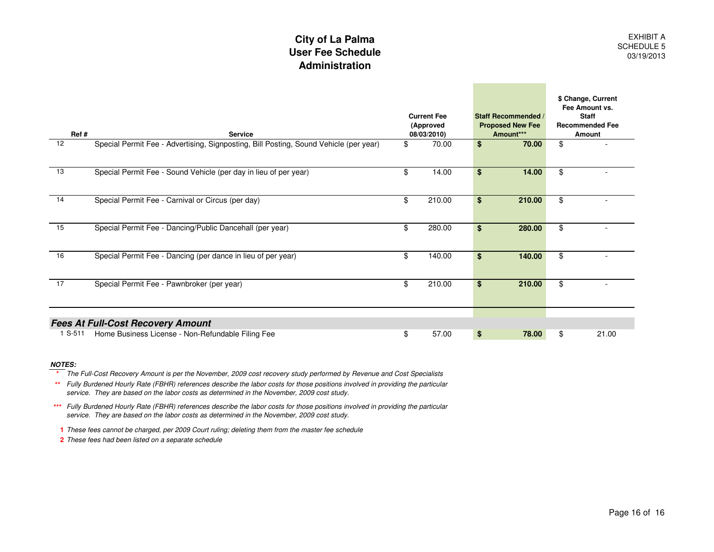#### **User Fee Schedule AdministrationCity of La Palma**

| Ref#            | <b>Service</b>                                                                        | <b>Current Fee</b><br>(Approved<br>08/03/2010) | <b>Staff Recommended /</b><br><b>Proposed New Fee</b><br>Amount*** | \$ Change, Current<br>Fee Amount vs.<br><b>Staff</b><br><b>Recommended Fee</b><br><b>Amount</b> |
|-----------------|---------------------------------------------------------------------------------------|------------------------------------------------|--------------------------------------------------------------------|-------------------------------------------------------------------------------------------------|
| 12              | Special Permit Fee - Advertising, Signposting, Bill Posting, Sound Vehicle (per year) | \$<br>70.00                                    | \$<br>70.00                                                        | \$                                                                                              |
| 13              | Special Permit Fee - Sound Vehicle (per day in lieu of per year)                      | \$<br>14.00                                    | \$<br>14.00                                                        | \$                                                                                              |
| 14              | Special Permit Fee - Carnival or Circus (per day)                                     | \$<br>210.00                                   | \$<br>210.00                                                       | \$                                                                                              |
| 15              | Special Permit Fee - Dancing/Public Dancehall (per year)                              | \$<br>280.00                                   | \$<br>280.00                                                       | \$                                                                                              |
| 16              | Special Permit Fee - Dancing (per dance in lieu of per year)                          | \$<br>140.00                                   | \$<br>140.00                                                       | \$                                                                                              |
| $\overline{17}$ | Special Permit Fee - Pawnbroker (per year)                                            | \$<br>210.00                                   | \$<br>210.00                                                       | \$                                                                                              |
|                 | <b>Fees At Full-Cost Recovery Amount</b>                                              |                                                |                                                                    |                                                                                                 |
| 1 S-511         | Home Business License - Non-Refundable Filing Fee                                     | \$<br>57.00                                    | \$<br>78.00                                                        | \$<br>21.00                                                                                     |

#### **NOTES:**

**\*** The Full-Cost Recovery Amount is per the November, 2009 cost recovery study performed by Revenue and Cost Specialists

 **\*\***Fully Burdened Hourly Rate (FBHR) references describe the labor costs for those positions involved in providing the particular service. They are based on the labor costs as determined in the November, 2009 cost study.

**\*\*\***Fully Burdened Hourly Rate (FBHR) references describe the labor costs for those positions involved in providing the particular service. They are based on the labor costs as determined in the November, 2009 cost study.

**1** These fees cannot be charged, per 2009 Court ruling; deleting them from the master fee schedule

**2** These fees had been listed on a separate schedule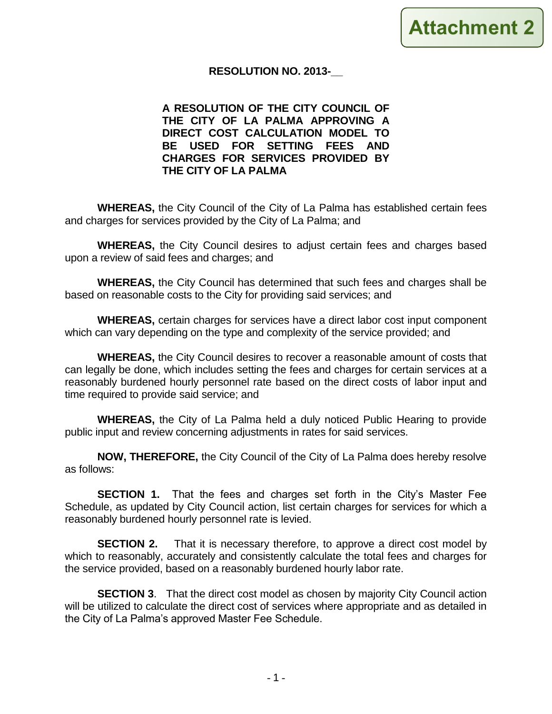#### **RESOLUTION NO. 2013-\_\_**

**A RESOLUTION OF THE CITY COUNCIL OF THE CITY OF LA PALMA APPROVING A DIRECT COST CALCULATION MODEL TO BE USED FOR SETTING FEES AND CHARGES FOR SERVICES PROVIDED BY THE CITY OF LA PALMA**

**WHEREAS,** the City Council of the City of La Palma has established certain fees and charges for services provided by the City of La Palma; and

**WHEREAS,** the City Council desires to adjust certain fees and charges based upon a review of said fees and charges; and

**WHEREAS,** the City Council has determined that such fees and charges shall be based on reasonable costs to the City for providing said services; and

**WHEREAS,** certain charges for services have a direct labor cost input component which can vary depending on the type and complexity of the service provided; and

**WHEREAS,** the City Council desires to recover a reasonable amount of costs that can legally be done, which includes setting the fees and charges for certain services at a reasonably burdened hourly personnel rate based on the direct costs of labor input and time required to provide said service; and

**WHEREAS,** the City of La Palma held a duly noticed Public Hearing to provide public input and review concerning adjustments in rates for said services.

**NOW, THEREFORE,** the City Council of the City of La Palma does hereby resolve as follows:

**SECTION 1.** That the fees and charges set forth in the City's Master Fee Schedule, as updated by City Council action, list certain charges for services for which a reasonably burdened hourly personnel rate is levied.

**SECTION 2.** That it is necessary therefore, to approve a direct cost model by which to reasonably, accurately and consistently calculate the total fees and charges for the service provided, based on a reasonably burdened hourly labor rate.

**SECTION 3.** That the direct cost model as chosen by majority City Council action will be utilized to calculate the direct cost of services where appropriate and as detailed in the City of La Palma's approved Master Fee Schedule.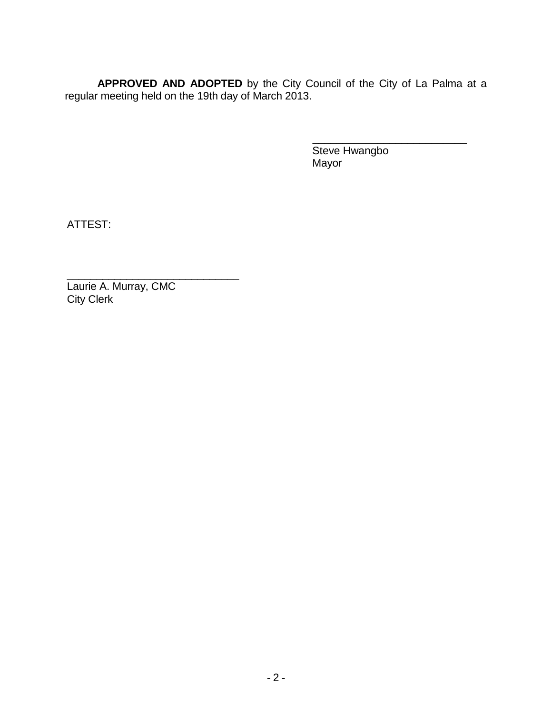**APPROVED AND ADOPTED** by the City Council of the City of La Palma at a regular meeting held on the 19th day of March 2013.

> \_\_\_\_\_\_\_\_\_\_\_\_\_\_\_\_\_\_\_\_\_\_\_\_\_\_ Steve Hwangbo Mayor

ATTEST:

\_\_\_\_\_\_\_\_\_\_\_\_\_\_\_\_\_\_\_\_\_\_\_\_\_\_\_\_\_ Laurie A. Murray, CMC City Clerk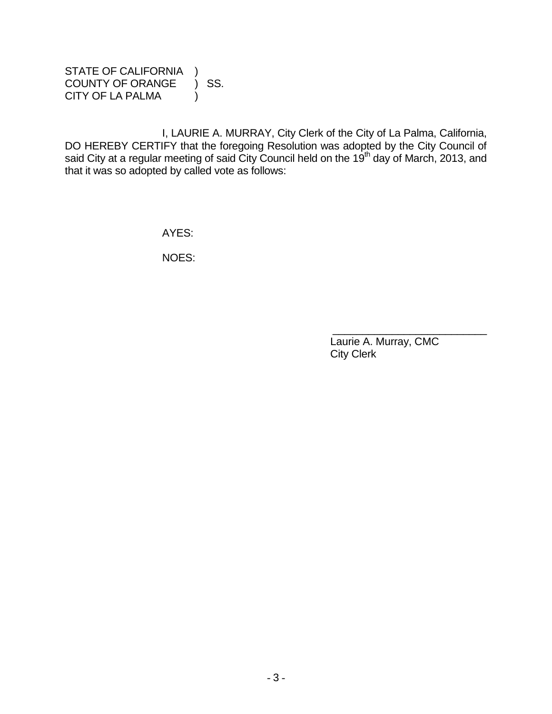STATE OF CALIFORNIA ) COUNTY OF ORANGE ) SS. CITY OF LA PALMA (1)

I, LAURIE A. MURRAY, City Clerk of the City of La Palma, California, DO HEREBY CERTIFY that the foregoing Resolution was adopted by the City Council of said City at a regular meeting of said City Council held on the 19<sup>th</sup> day of March, 2013, and that it was so adopted by called vote as follows:

AYES:

NOES:

 Laurie A. Murray, CMC City Clerk

\_\_\_\_\_\_\_\_\_\_\_\_\_\_\_\_\_\_\_\_\_\_\_\_\_\_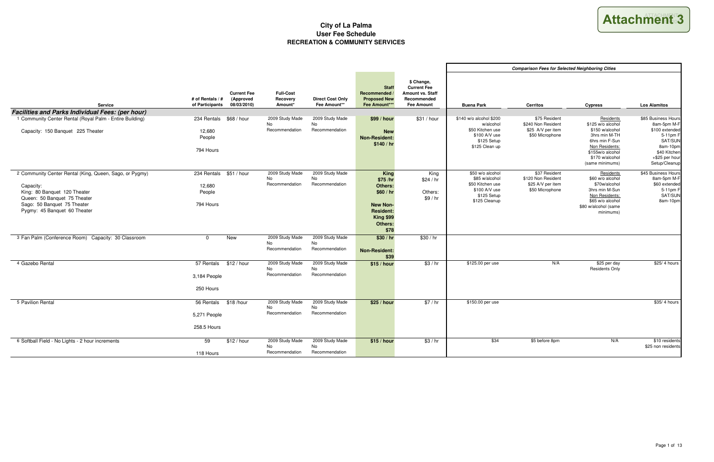|                                                                                                                                                                                                     |                                              |                                                |                                                |                                                |                                                                                                                             |                                                                                          |                                                                                                            | Compa |
|-----------------------------------------------------------------------------------------------------------------------------------------------------------------------------------------------------|----------------------------------------------|------------------------------------------------|------------------------------------------------|------------------------------------------------|-----------------------------------------------------------------------------------------------------------------------------|------------------------------------------------------------------------------------------|------------------------------------------------------------------------------------------------------------|-------|
| <b>Service</b>                                                                                                                                                                                      | # of Rentals / #<br>of Participants          | <b>Current Fee</b><br>(Approved<br>08/03/2010) | <b>Full-Cost</b><br>Recovery<br>Amount*        | <b>Direct Cost Only</b><br>Fee Amount**        | <b>Staff</b><br>Recommended /<br><b>Proposed New</b><br>Fee Amount***                                                       | \$ Change,<br><b>Current Fee</b><br>Amount vs. Staff<br>Recommended<br><b>Fee Amount</b> | <b>Buena Park</b>                                                                                          |       |
| <b>Facilities and Parks Individual Fees: (per hour)</b>                                                                                                                                             |                                              |                                                |                                                |                                                |                                                                                                                             |                                                                                          |                                                                                                            |       |
| 1 Community Center Rental (Royal Palm - Entire Building)<br>Capacity: 150 Banquet 225 Theater                                                                                                       | 234 Rentals<br>12,680<br>People<br>794 Hours | \$68 / hour                                    | 2009 Study Made<br><b>No</b><br>Recommendation | 2009 Study Made<br><b>No</b><br>Recommendation | \$99/hour<br><b>New</b><br><b>Non-Resident:</b><br>\$140/hr                                                                 | \$31 / hour                                                                              | \$140 w/o alcohol \$200<br>w/alcohol<br>\$50 Kitchen use<br>\$100 A/V use<br>\$125 Setup<br>\$125 Clean up | \$    |
| 2 Community Center Rental (King, Queen, Sago, or Pygmy)<br>Capacity:<br>King: 80 Banquet 120 Theater<br>Queen: 50 Banquet 75 Theater<br>Sago: 50 Banquet 75 Theater<br>Pygmy: 45 Banquet 60 Theater | 234 Rentals<br>12.680<br>People<br>794 Hours | \$51 / hour                                    | 2009 Study Made<br>No.<br>Recommendation       | 2009 Study Made<br>No<br>Recommendation        | <b>King</b><br>\$75 /hr<br>Others:<br>\$60/hr<br><b>New Non-</b><br><b>Resident:</b><br><b>King \$99</b><br>Others:<br>\$78 | King<br>\$24/hr<br>Others:<br>\$9/hr                                                     | \$50 w/o alcohol<br>\$85 w/alcohol<br>\$50 Kitchen use<br>\$100 A/V use<br>\$125 Setup<br>\$125 Cleanup    |       |
| 3 Fan Palm (Conference Room) Capacity: 30 Classroom                                                                                                                                                 | $\mathbf 0$                                  | <b>New</b>                                     | 2009 Study Made<br>No.<br>Recommendation       | 2009 Study Made<br>No<br>Recommendation        | \$30/hr<br><b>Non-Resident:</b><br>\$39                                                                                     | \$30/hr                                                                                  |                                                                                                            |       |
| 4 Gazebo Rental                                                                                                                                                                                     | 57 Rentals<br>3,184 People<br>250 Hours      | \$12/hour                                      | 2009 Study Made<br>No.<br>Recommendation       | 2009 Study Made<br>No.<br>Recommendation       | \$15/hour                                                                                                                   | \$3/hr                                                                                   | \$125.00 per use                                                                                           |       |
| 5 Pavilion Rental                                                                                                                                                                                   | 56 Rentals<br>5,271 People<br>258.5 Hours    | \$18/hour                                      | 2009 Study Made<br>No<br>Recommendation        | 2009 Study Made<br>No<br>Recommendation        | \$25 / hour                                                                                                                 | \$7/hr                                                                                   | \$150.00 per use                                                                                           |       |
| 6 Softball Field - No Lights - 2 hour increments                                                                                                                                                    | 59<br>118 Hours                              | \$12 / hour                                    | 2009 Study Made<br><b>No</b><br>Recommendation | 2009 Study Made<br>No<br>Recommendation        | \$15/hour                                                                                                                   | \$3/hr                                                                                   | \$34                                                                                                       |       |

Attachment 3

|                                  |                                                                                                            | <b>Comparison Fees for Selected Neighboring Cities</b>                      |                                                                                                                                                                  |                                                                                                                                            |
|----------------------------------|------------------------------------------------------------------------------------------------------------|-----------------------------------------------------------------------------|------------------------------------------------------------------------------------------------------------------------------------------------------------------|--------------------------------------------------------------------------------------------------------------------------------------------|
| taff<br>ed<br>$\mathbf{t}$       | <b>Buena Park</b>                                                                                          | <b>Cerritos</b>                                                             | <b>Cypress</b>                                                                                                                                                   | <b>Los Alamitos</b>                                                                                                                        |
| our                              | \$140 w/o alcohol \$200<br>w/alcohol<br>\$50 Kitchen use<br>\$100 A/V use<br>\$125 Setup<br>\$125 Clean up | \$75 Resident<br>\$240 Non Resident<br>\$25 A/V per item<br>\$50 Microphone | Residents<br>\$125 w/o alcohol<br>\$150 w/alcohol<br>3hrs min M-TH<br>6hrs min F-Sun<br>Non Residents:<br>\$155w/o alcohol<br>\$170 w/alcohol<br>(same minimums) | \$85 Business Hours<br>8am-5pm M-F<br>\$100 extended<br>5-11pm F<br>SAT/SUN<br>8am-10pm<br>\$40 Kitchen<br>+\$25 per hour<br>Setup/Cleanup |
| .<br>ing<br>/ hr<br>ers:<br>/ hr | \$50 w/o alcohol<br>\$85 w/alcohol<br>\$50 Kitchen use<br>\$100 A/V use<br>\$125 Setup<br>\$125 Cleanup    | \$37 Resident<br>\$120 Non Resident<br>\$25 A/V per item<br>\$50 Microphone | <b>Residents</b><br>\$60 w/o alcohol<br>\$70w/alcohol<br>3hrs min M-Sun<br>Non Residents:<br>\$65 w/o alcohol<br>\$80 w/alcohol (same<br>minimums)               | \$45 Business Hours<br>8am-5pm M-F<br>\$60 extended<br>5-11pm F<br>SAT/SUN<br>8am-10pm                                                     |
| hr                               |                                                                                                            |                                                                             |                                                                                                                                                                  |                                                                                                                                            |
| / hr                             | \$125.00 per use                                                                                           | N/A                                                                         | \$25 per day<br><b>Residents Only</b>                                                                                                                            | \$25/4 hours                                                                                                                               |
| $/$ hr                           | \$150.00 per use                                                                                           |                                                                             |                                                                                                                                                                  | \$35/4 hours                                                                                                                               |
| / hr                             | \$34                                                                                                       | \$5 before 8pm                                                              | N/A                                                                                                                                                              | \$10 residents<br>\$25 non residents                                                                                                       |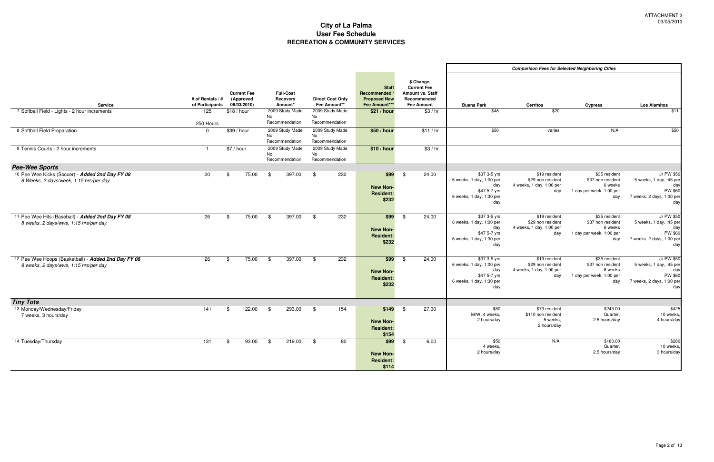|                                                                                              |                                     |            |                                                |               |                                         |    |                                         |                                                                     |      |                                                                                                 |                                                                                                    | <b>Comparison Fees for S</b>                                      |
|----------------------------------------------------------------------------------------------|-------------------------------------|------------|------------------------------------------------|---------------|-----------------------------------------|----|-----------------------------------------|---------------------------------------------------------------------|------|-------------------------------------------------------------------------------------------------|----------------------------------------------------------------------------------------------------|-------------------------------------------------------------------|
| <b>Service</b>                                                                               | # of Rentals / #<br>of Participants |            | <b>Current Fee</b><br>(Approved<br>08/03/2010) |               | <b>Full-Cost</b><br>Recovery<br>Amount* |    | <b>Direct Cost Only</b><br>Fee Amount** | <b>Staff</b><br>Recommended<br><b>Proposed New</b><br>Fee Amount*** |      | \$ Change,<br><b>Current Fee</b><br><b>Amount vs. Staff</b><br>Recommended<br><b>Fee Amount</b> | <b>Buena Park</b>                                                                                  | <b>Cerritos</b>                                                   |
| 7 Softball Field - Lights - 2 hour increments                                                | 125                                 |            | \$18 / hour                                    |               | 2009 Study Made                         |    | 2009 Study Made                         | \$21 / hour                                                         |      | \$3/hr                                                                                          | \$48                                                                                               | \$20                                                              |
|                                                                                              | 250 Hours                           |            |                                                | No            | Recommendation                          | No | Recommendation                          |                                                                     |      |                                                                                                 |                                                                                                    |                                                                   |
| 8 Softball Field Preparation                                                                 | $\Omega$                            |            | \$39/hour                                      | No            | 2009 Study Made<br>Recommendation       | No | 2009 Study Made<br>Recommendation       | \$50 / hour                                                         |      | \$11/hr                                                                                         | \$50                                                                                               | varies                                                            |
| 9 Tennis Courts - 2 hour increments                                                          | $\mathbf{1}$                        | \$7 / hour |                                                | No            | 2009 Study Made<br>Recommendation       | No | 2009 Study Made<br>Recommendation       | \$10 / hour                                                         |      | \$3/hr                                                                                          |                                                                                                    |                                                                   |
| <b>Pee-Wee Sports</b>                                                                        |                                     |            |                                                |               |                                         |    |                                         |                                                                     |      |                                                                                                 |                                                                                                    |                                                                   |
| 10 Pee Wee Kicks (Soccer) - Added 2nd Day FY 08<br>8 Weeks, 2 days/week, 1:15 hrs/per day    | 20                                  | \$         | 75.00                                          | \$            | 397.00                                  | \$ | 232                                     | \$99<br><b>New Non-</b><br><b>Resident:</b><br>\$232                | \$   | 24.00                                                                                           | \$37 3-5 yrs<br>6 weeks, 1 day, 1:00 per<br>day<br>\$47 5-7 yrs<br>6 weeks, 1 day, 1:30 per<br>day | \$19 resider<br>\$29 non resider<br>4 weeks, 1 day, 1:00 pe<br>da |
| 11 Pee Wee Hits (Baseball) - Added 2nd Day FY 08<br>8 weeks, 2 days/wwe, 1:15 hrs/per day    | $\overline{26}$                     | \$         | 75.00                                          | \$            | 397.00                                  | \$ | 232                                     | \$99<br><b>New Non-</b><br><b>Resident:</b><br>\$232                | \$   | 24.00                                                                                           | \$37 3-5 yrs<br>6 weeks, 1 day, 1:00 per<br>day<br>\$47 5-7 yrs<br>6 weeks, 1 day, 1:30 per<br>day | \$19 resider<br>\$29 non resider<br>4 weeks, 1 day, 1:00 pe<br>da |
| 12 Pee Wee Hoops (Basketball) - Added 2nd Day FY 08<br>8 weeks, 2 days/wwe, 1:15 hrs/per day | 26                                  | \$         | 75.00                                          | \$            | 397.00                                  | \$ | 232                                     | \$99<br><b>New Non-</b><br><b>Resident:</b><br>\$232                | -\$  | 24.00                                                                                           | \$37 3-5 yrs<br>6 weeks, 1 day, 1:00 per<br>day<br>\$47 5-7 yrs<br>6 weeks, 1 day, 1:30 per<br>day | \$19 resider<br>\$29 non resider<br>4 weeks, 1 day, 1:00 pe<br>da |
| <b>Tiny Tots</b>                                                                             |                                     |            |                                                |               |                                         |    |                                         |                                                                     |      |                                                                                                 |                                                                                                    |                                                                   |
| 13 Monday/Wednesday/Friday<br>7 weeks, 3 hours/day                                           | 141                                 | \$         | 122.00                                         | \$            | 293.00                                  | \$ | 154                                     | \$149<br><b>New Non-</b><br><b>Resident:</b><br>\$154               | - \$ | 27.00                                                                                           | \$50<br>M/W, 4 weeks,<br>2 hours/day                                                               | \$73 resider<br>\$110 non resider<br>5 weeks<br>2 hours/da        |
| 14 Tuesday/Thursday                                                                          | 131                                 | \$         | 93.00                                          | $\frac{1}{2}$ | 219.00                                  | \$ | 80                                      | $$99$ \$<br>New Non-<br><b>Resident:</b><br>\$114                   |      | 6.00                                                                                            | \$50<br>4 weeks,<br>2 hours/day                                                                    | N/A                                                               |

|                 |                                                 | <b>Comparison Fees for Selected Neighboring Cities</b> |                                     |                                                    |
|-----------------|-------------------------------------------------|--------------------------------------------------------|-------------------------------------|----------------------------------------------------|
| taff<br>ed<br>t | <b>Buena Park</b>                               | <b>Cerritos</b>                                        | <b>Cypress</b>                      | <b>Los Alamitos</b>                                |
| / hr            | \$48                                            | \$20                                                   |                                     | \$11                                               |
|                 |                                                 |                                                        |                                     |                                                    |
| / hr            | \$50                                            | varies                                                 | N/A                                 | \$50                                               |
| / hr            |                                                 |                                                        |                                     |                                                    |
| 90              | \$37 3-5 yrs                                    | \$19 resident                                          | \$35 resident                       | Jr PW \$50                                         |
|                 | 6 weeks, 1 day, 1:00 per<br>day                 | \$29 non resident<br>4 weeks, 1 day, 1:00 per          | \$37 non resident<br>6 weeks        | 5 weeks, 1 day, :45 per<br>day                     |
|                 | \$47 5-7 yrs<br>6 weeks, 1 day, 1:30 per<br>day | day                                                    | 1 day per week, 1:00 per<br>day     | <b>PW \$60</b><br>7 weeks. 2 days, 1:00 per<br>day |
| $\overline{50}$ | $$373-5$ yrs                                    | \$19 resident                                          | \$35 resident                       | Jr PW \$50                                         |
|                 | 6 weeks, 1 day, 1:00 per                        | \$29 non resident                                      | \$37 non resident<br>6 weeks        | 5 weeks, 1 day, :45 per                            |
|                 | day<br>\$47 5-7 yrs                             | 4 weeks, 1 day, 1:00 per<br>day                        | 1 day per week, 1:00 per            | day<br>PW \$60                                     |
|                 | 6 weeks, 1 day, 1:30 per<br>day                 |                                                        | day                                 | 7 weeks. 2 days, 1:00 per<br>day                   |
| $\overline{50}$ | \$37 3-5 yrs                                    | \$19 resident                                          | \$35 resident                       | Jr PW \$50                                         |
|                 | 6 weeks, 1 day, 1:00 per                        | \$29 non resident                                      | \$37 non resident                   | 5 weeks, 1 day, :45 per                            |
|                 | day<br>\$47 5-7 yrs                             | 4 weeks, 1 day, 1:00 per<br>day                        | 6 weeks<br>1 day per week, 1:00 per | day<br>PW \$60                                     |
|                 | 6 weeks, 1 day, 1:30 per<br>day                 |                                                        | day                                 | 7 weeks. 2 days, 1:00 per<br>day                   |
|                 | \$50                                            | \$73 resident                                          | \$243.00                            | \$425                                              |
| 00              | M/W, 4 weeks,                                   | \$110 non resident                                     | Quarter,                            | 10 weeks.                                          |
|                 | 2 hours/day                                     | 5 weeks,<br>2 hours/day                                | 2.5 hours/day                       | 4 hours/day                                        |
| 00              | \$50                                            | N/A                                                    | \$180.00                            | \$280                                              |
|                 | 4 weeks,<br>2 hours/day                         |                                                        | Quarter,<br>2.5 hours/day           | 10 weeks.<br>3 hours/day                           |
|                 |                                                 |                                                        |                                     |                                                    |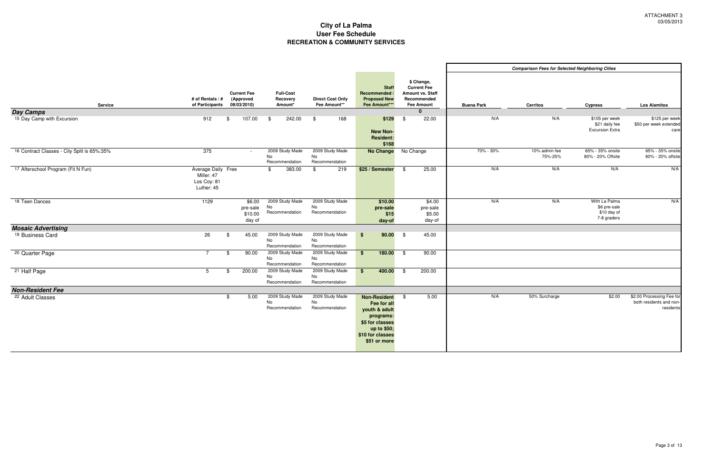|                                                |                                                               |                                                |                                         |                                         |                                                                                                                                        |                                                                                                          |                   | <b>Comparison Fees for Selected Neighboring Cities</b> |                                                             |                                                                |
|------------------------------------------------|---------------------------------------------------------------|------------------------------------------------|-----------------------------------------|-----------------------------------------|----------------------------------------------------------------------------------------------------------------------------------------|----------------------------------------------------------------------------------------------------------|-------------------|--------------------------------------------------------|-------------------------------------------------------------|----------------------------------------------------------------|
| <b>Service</b>                                 | # of Rentals / #<br>of Participants                           | <b>Current Fee</b><br>(Approved<br>08/03/2010) | <b>Full-Cost</b><br>Recovery<br>Amount* | <b>Direct Cost Only</b><br>Fee Amount** | <b>Staff</b><br>Recommended /<br><b>Proposed New</b><br>Fee Amount***                                                                  | \$ Change,<br><b>Current Fee</b><br>Amount vs. Staff<br>Recommended<br><b>Fee Amount</b><br>$\mathbf{0}$ | <b>Buena Park</b> | <b>Cerritos</b>                                        | <b>Cypress</b>                                              | <b>Los Alamitos</b>                                            |
| <b>Day Camps</b><br>15 Day Camp with Excursion | 912                                                           | \$<br>107.00                                   | 242.00<br>- \$                          | \$<br>168                               | \$129                                                                                                                                  | \$<br>22.00                                                                                              | N/A               | N/A                                                    | \$105 per week                                              | \$125 per wee                                                  |
|                                                |                                                               |                                                |                                         |                                         | <b>New Non-</b><br><b>Resident:</b><br>\$168                                                                                           |                                                                                                          |                   |                                                        | \$21 daily fee<br><b>Excursion Extra</b>                    | \$50 per week extende<br>car                                   |
| 16 Contract Classes - City Split is 65%:35%    | 375                                                           | $\sim$                                         | 2009 Study Made<br>No<br>Recommendation | 2009 Study Made<br>No<br>Recommendation |                                                                                                                                        | No Change No Change                                                                                      | 70% - 30%         | 10% admin fee<br>75%-25%                               | 65% - 35% onsite<br>80% - 20% Offsite                       | 65% - 35% onsit<br>80% - 20% offsit                            |
| 17 Afterschool Program (Fit N Fun)             | Average Daily Free<br>Miller: 47<br>Los Coy: 81<br>Luther: 45 |                                                | 383.00<br>\$                            | 219<br>\$                               | \$25 / Semester                                                                                                                        | 25.00<br>\$                                                                                              | N/A               | N/A                                                    | N/A                                                         | N/A                                                            |
| 18 Teen Dances                                 | 1129                                                          | \$6.00<br>pre-sale<br>\$10.00<br>day of        | 2009 Study Made<br>No<br>Recommendation | 2009 Study Made<br>No<br>Recommendation | \$10.00<br>pre-sale<br>\$15<br>day-of                                                                                                  | \$4.00<br>pre-sale<br>\$5.00<br>day-of                                                                   | N/A               | N/A                                                    | With La Palma<br>\$6 pre-sale<br>\$10 day of<br>7-8 graders | N/A                                                            |
| <b>Mosaic Advertising</b>                      |                                                               |                                                |                                         |                                         |                                                                                                                                        |                                                                                                          |                   |                                                        |                                                             |                                                                |
| 19 Business Card                               | 26                                                            | 45.00<br>\$                                    | 2009 Study Made<br>No<br>Recommendation | 2009 Study Made<br>No<br>Recommendation | $90.00$ \$<br>\$                                                                                                                       | 45.00                                                                                                    |                   |                                                        |                                                             |                                                                |
| <sup>20</sup> Quarter Page                     | $7\overline{ }$                                               | 90.00<br>\$                                    | 2009 Study Made<br>No<br>Recommendation | 2009 Study Made<br>No<br>Recommendation | $180.00$ \$<br>$$^{\circ}$                                                                                                             | 90.00                                                                                                    |                   |                                                        |                                                             |                                                                |
| <sup>21</sup> Half Page                        | 5                                                             | 200.00<br>\$.                                  | 2009 Study Made<br>No<br>Recommendation | 2009 Study Made<br>No<br>Recommendation | 400.00<br>\$                                                                                                                           | 200.00<br>- \$                                                                                           |                   |                                                        |                                                             |                                                                |
| <b>Non-Resident Fee</b>                        |                                                               |                                                |                                         |                                         |                                                                                                                                        |                                                                                                          |                   |                                                        |                                                             |                                                                |
| <sup>22</sup> Adult Classes                    |                                                               | 5.00<br>\$                                     | 2009 Study Made<br>No<br>Recommendation | 2009 Study Made<br>No<br>Recommendation | <b>Non-Resident</b><br>Fee for all<br>youth & adult<br>programs:<br>\$5 for classes<br>up to \$50;<br>\$10 for classes<br>\$51 or more | 5.00<br>- \$                                                                                             | N/A               | 50% Surcharge                                          | \$2.00                                                      | \$2.00 Processing Fee fo<br>both residents and nor<br>resident |

|                                        |                   | <b>Comparison Fees for Selected Neighboring Cities</b> |                                                             |                                                                   |
|----------------------------------------|-------------------|--------------------------------------------------------|-------------------------------------------------------------|-------------------------------------------------------------------|
| taff<br>ed<br>$\overline{\phantom{a}}$ | <b>Buena Park</b> | Cerritos                                               | <b>Cypress</b>                                              | <b>Los Alamitos</b>                                               |
|                                        |                   |                                                        |                                                             |                                                                   |
| $\overline{00}$                        | N/A               | N/A                                                    | \$105 per week<br>\$21 daily fee<br><b>Excursion Extra</b>  | \$125 per week<br>\$50 per week extended<br>care                  |
|                                        | 70% - 30%         | 10% admin fee<br>75%-25%                               | 65% - 35% onsite<br>80% - 20% Offsite                       | 65% - 35% onsite<br>80% - 20% offsite                             |
| $\overline{00}$                        | N/A               | N/A                                                    | N/A                                                         | N/A                                                               |
| .00.<br>ale<br>.00<br>/-of             | N/A               | N/A                                                    | With La Palma<br>\$6 pre-sale<br>\$10 day of<br>7-8 graders | N/A                                                               |
| $\overline{0}$                         |                   |                                                        |                                                             |                                                                   |
| $\overline{50}$                        |                   |                                                        |                                                             |                                                                   |
| $\overline{50}$                        |                   |                                                        |                                                             |                                                                   |
|                                        |                   |                                                        |                                                             |                                                                   |
| $\overline{00}$                        | N/A               | 50% Surcharge                                          | \$2.00                                                      | \$2.00 Processing Fee for<br>both residents and non-<br>residents |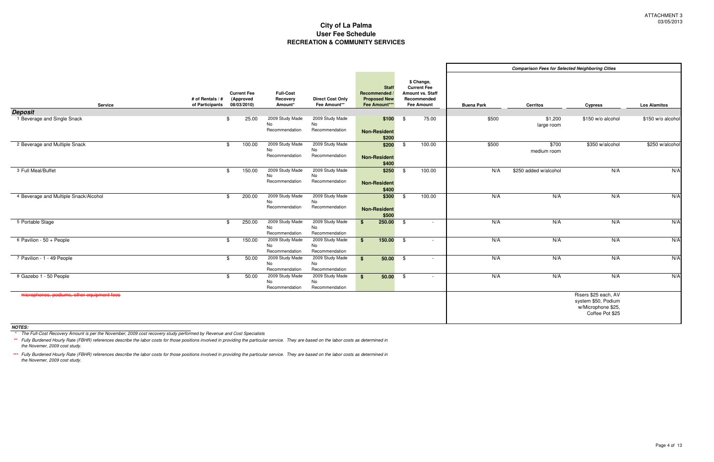|                                            |                                     |                                                |                                         |                                                |                                                                     |               |                                                                                          |                   | <b>Comparison Fees for Selected Neighboring Cities</b> |                                                                                      |                     |
|--------------------------------------------|-------------------------------------|------------------------------------------------|-----------------------------------------|------------------------------------------------|---------------------------------------------------------------------|---------------|------------------------------------------------------------------------------------------|-------------------|--------------------------------------------------------|--------------------------------------------------------------------------------------|---------------------|
| <b>Service</b>                             | # of Rentals / #<br>of Participants | <b>Current Fee</b><br>(Approved<br>08/03/2010) | <b>Full-Cost</b><br>Recovery<br>Amount* | <b>Direct Cost Only</b><br>Fee Amount**        | <b>Staff</b><br>Recommended<br><b>Proposed New</b><br>Fee Amount*** |               | \$ Change,<br><b>Current Fee</b><br>Amount vs. Staff<br>Recommended<br><b>Fee Amount</b> | <b>Buena Park</b> | <b>Cerritos</b>                                        | <b>Cypress</b>                                                                       | <b>Los Alamitos</b> |
| <b>Deposit</b>                             |                                     |                                                |                                         |                                                |                                                                     |               |                                                                                          |                   |                                                        |                                                                                      |                     |
| 1 Beverage and Single Snack                |                                     | 25.00                                          | 2009 Study Made<br>No<br>Recommendation | 2009 Study Made<br>No<br>Recommendation        | \$100<br><b>Non-Resident</b><br>\$200                               | $\frac{1}{2}$ | 75.00                                                                                    | \$500             | \$1,200<br>large room                                  | \$150 w/o alcohol                                                                    | \$150 w/o alcohol   |
| 2 Beverage and Multiple Snack              |                                     | 100.00<br>\$                                   | 2009 Study Made<br>No<br>Recommendation | 2009 Study Made<br>No.<br>Recommendation       | \$200<br><b>Non-Resident</b><br>\$400                               | \$            | 100.00                                                                                   | \$500             | \$700<br>medium room                                   | \$350 w/alcohol                                                                      | \$250 w/alcoho      |
| 3 Full Meal/Buffet                         |                                     | 150.00<br>\$                                   | 2009 Study Made<br>No<br>Recommendation | 2009 Study Made<br>No<br>Recommendation        | \$250<br><b>Non-Resident</b><br>\$400                               | \$            | 100.00                                                                                   | N/A               | \$250 added w/alcohol                                  | N/A                                                                                  | N/A                 |
| 4 Beverage and Multiple Snack/Alcohol      |                                     | 200.00                                         | 2009 Study Made<br>No<br>Recommendation | 2009 Study Made<br>No<br>Recommendation        | \$300<br><b>Non-Resident</b><br>\$500                               | \$            | 100.00                                                                                   | N/A               | N/A                                                    | N/A                                                                                  | N/A                 |
| 5 Portable Stage                           |                                     | 250.00<br>\$                                   | 2009 Study Made<br>No<br>Recommendation | 2009 Study Made<br>No<br>Recommendation        | 250.00<br>$$^{\circ}$                                               | - \$          | $\sim$                                                                                   | N/A               | N/A                                                    | N/A                                                                                  | N/A                 |
| 6 Pavilion - 50 + People                   |                                     | 150.00<br>\$                                   | 2009 Study Made<br>No<br>Recommendation | 2009 Study Made<br><b>No</b><br>Recommendation | $$^{\circ}$                                                         | $150.00$ \$   |                                                                                          | N/A               | N/A                                                    | N/A                                                                                  | N/A                 |
| 7 Pavilion - 1 - 49 People                 |                                     | 50.00<br>-86                                   | 2009 Study Made<br>No<br>Recommendation | 2009 Study Made<br>No<br>Recommendation        | $\mathbf{s}$                                                        | $50.00$ \$    | $\overline{\phantom{a}}$                                                                 | N/A               | N/A                                                    | N/A                                                                                  | N/A                 |
| 8 Gazebo 1 - 50 People                     |                                     | 50.00<br>-\$                                   | 2009 Study Made<br>No<br>Recommendation | 2009 Study Made<br>No<br>Recommendation        | $$^{\circ}$                                                         | $50.00$ \$    | $\sim$                                                                                   | N/A               | N/A                                                    | N/A                                                                                  | N/A                 |
| microphones, podiums, other equipment fees |                                     |                                                |                                         |                                                |                                                                     |               |                                                                                          |                   |                                                        | Risers \$25 each, AV<br>system \$50, Podium<br>w/Microphone \$25,<br>Coffee Pot \$25 |                     |

|                                                                                          |                          |                   | <b>Comparison Fees for Selected Neighboring Cities</b> |                                             |                     |
|------------------------------------------------------------------------------------------|--------------------------|-------------------|--------------------------------------------------------|---------------------------------------------|---------------------|
| \$ Change,<br><b>Current Fee</b><br>Amount vs. Staff<br>Recommended<br><b>Fee Amount</b> |                          | <b>Buena Park</b> | <b>Cerritos</b>                                        | <b>Cypress</b>                              | <b>Los Alamitos</b> |
| \$                                                                                       | 75.00                    | \$500             | \$1,200                                                | \$150 w/o alcohol                           | \$150 w/o alcohol   |
|                                                                                          |                          |                   | large room                                             |                                             |                     |
| $\overline{\mathcal{L}}$                                                                 | 100.00                   | \$500             | \$700                                                  | \$350 w/alcohol                             | \$250 w/alcohol     |
|                                                                                          |                          |                   | medium room                                            |                                             |                     |
| $\overline{\$}$                                                                          | 100.00                   | N/A               | \$250 added w/alcohol                                  | N/A                                         | N/A                 |
|                                                                                          |                          |                   |                                                        |                                             |                     |
| $\overline{\mathcal{L}}$                                                                 | 100.00                   | N/A               | N/A                                                    | N/A                                         | N/A                 |
|                                                                                          |                          |                   |                                                        |                                             |                     |
| $\sqrt[6]{\frac{1}{2}}$                                                                  | $\overline{a}$           | N/A               | N/A                                                    | N/A                                         | N/A                 |
|                                                                                          |                          |                   |                                                        |                                             |                     |
| $\overline{\$}$                                                                          | $\overline{a}$           | N/A               | N/A                                                    | N/A                                         | N/A                 |
| $\overline{\$}$                                                                          | $\overline{a}$           | N/A               | N/A                                                    | N/A                                         | N/A                 |
|                                                                                          |                          |                   |                                                        |                                             |                     |
| $\overline{\$}$                                                                          | $\overline{\phantom{a}}$ | N/A               | N/A                                                    | N/A                                         | N/A                 |
|                                                                                          |                          |                   |                                                        |                                             |                     |
|                                                                                          |                          |                   |                                                        | Risers \$25 each, AV<br>system \$50, Podium |                     |
|                                                                                          |                          |                   |                                                        | w/Microphone \$25,                          |                     |
|                                                                                          |                          |                   |                                                        | Coffee Pot \$25                             |                     |

**NOTES:**

**\*** The Full-Cost Recovery Amount is per the November, 2009 cost recovery study performed by Revenue and Cost Specialists

\*\* Fully Burdened Hourly Rate (FBHR) references describe the labor costs for those positions involved in providing the particular service. They are based on the labor costs as determined in<br>the Novemer, 2009 cost study.

**\*\*\*** Fully Burdened Hourly Rate (FBHR) references describe the labor costs for those positions involved in providing the particular service. They are based on the labor costs as determined in the Novemer, 2009 cost study.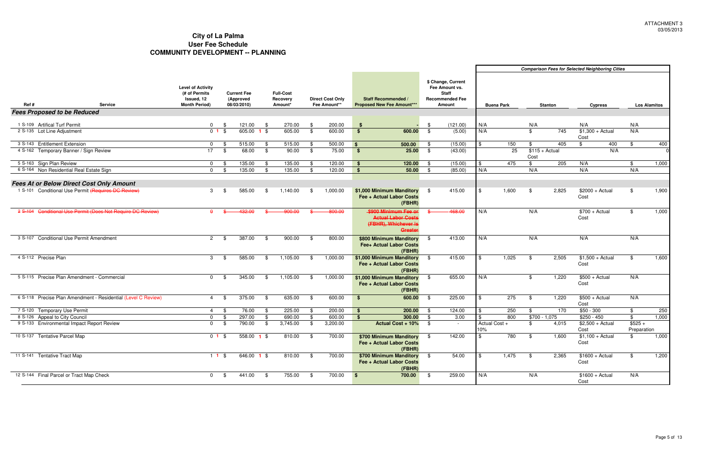|      |                                             |                                                               |                                                                                 |                     |                                                |      |                                         |      |                                         |                                                                                                                                                      |               |          | <b>Comparison Fees for Selected Neighboring Cities</b> |                   |                         |                  |                           |                         |                     |
|------|---------------------------------------------|---------------------------------------------------------------|---------------------------------------------------------------------------------|---------------------|------------------------------------------------|------|-----------------------------------------|------|-----------------------------------------|------------------------------------------------------------------------------------------------------------------------------------------------------|---------------|----------|--------------------------------------------------------|-------------------|-------------------------|------------------|---------------------------|-------------------------|---------------------|
| Ref# |                                             | <b>Service</b>                                                | <b>Level of Activity</b><br>(# of Permits<br>Issued, 12<br><b>Month Period)</b> |                     | <b>Current Fee</b><br>(Approved<br>08/03/2010) |      | <b>Full-Cost</b><br>Recovery<br>Amount* |      | <b>Direct Cost Only</b><br>Fee Amount** | \$ Change, Current<br>Fee Amount vs.<br><b>Staff</b><br><b>Recommended Fee</b><br>Staff Recommended /<br><b>Proposed New Fee Amount***</b><br>Amount |               |          |                                                        | <b>Buena Park</b> |                         | <b>Stanton</b>   | <b>Cypress</b>            |                         | <b>Los Alamitos</b> |
|      | <b>Fees Proposed to be Reduced</b>          |                                                               |                                                                                 |                     |                                                |      |                                         |      |                                         |                                                                                                                                                      |               |          |                                                        |                   |                         |                  |                           |                         |                     |
|      |                                             |                                                               |                                                                                 |                     |                                                |      |                                         |      |                                         |                                                                                                                                                      |               |          |                                                        |                   |                         |                  |                           |                         |                     |
|      | 1 S-109 Artifical Turf Permit               |                                                               | $\mathbf{0}$                                                                    | - \$                | 121.00                                         |      | 270.00                                  | - \$ | 200.00                                  |                                                                                                                                                      | - \$          | (121.00) | N/A                                                    |                   | N/A                     |                  | N/A                       | N/A                     |                     |
|      | 2 S-135 Lot Line Adjustment                 |                                                               |                                                                                 | $\overline{0}$ 1 \$ | 605.00 1 \$                                    |      | 605.00                                  | \$   | 600.00                                  | $\mathbf{s}$<br>600.00                                                                                                                               | $\mathbb{S}$  | (5.00)   | N/A                                                    |                   | \$                      | $\overline{745}$ | $$1,300 + Actual$<br>Cost | N/A                     |                     |
|      | 3 S-143 Entitlement Extension               |                                                               | $\Omega$                                                                        | - SS                | 515.00                                         | - \$ | 515.00                                  | - \$ | 500.00                                  | 500.00<br>$\sqrt{3}$                                                                                                                                 | - \$          | (15.00)  |                                                        | 150               | \$                      | 405              | -\$<br>400                | \$                      | 400                 |
|      | 4 S-162 Temporary Banner / Sign Review      |                                                               | 17                                                                              | -\$                 | 68.00                                          | \$   | 90.00                                   | \$   | 75.00                                   | $\overline{\bullet}$<br>25.00                                                                                                                        | - \$          | (43.00)  |                                                        | 25                | $$115 + Actual$<br>Cost |                  | N/A                       |                         |                     |
|      | 5 S-163 Sign Plan Review                    |                                                               | $\mathbf{0}$                                                                    |                     | 135.00                                         |      | 135.00                                  | -\$  | 120.00                                  | 120.00<br>- \$                                                                                                                                       | - \$          | (15.00)  | \$                                                     | 475               | \$                      | 205              | N/A                       | \$                      | 1,000               |
|      | 6 S-164 Non Residential Real Estate Sign    |                                                               |                                                                                 | $0 \quad$ \$        | 135.00                                         | -\$  | 135.00                                  | \$   | 120.00                                  | 50.00<br>$^{\circ}$                                                                                                                                  | <b>S</b>      | (85.00)  | N/A                                                    |                   | N/A                     |                  | N/A                       | N/A                     |                     |
|      |                                             |                                                               |                                                                                 |                     |                                                |      |                                         |      |                                         |                                                                                                                                                      |               |          |                                                        |                   |                         |                  |                           |                         |                     |
|      |                                             | <b>Fees At or Below Direct Cost Only Amount</b>               |                                                                                 |                     |                                                |      |                                         |      |                                         |                                                                                                                                                      |               |          |                                                        |                   |                         |                  |                           |                         |                     |
|      |                                             | 1 S-101 Conditional Use Permit (Requires DC Review)           | 3                                                                               |                     | 585.00                                         | \$   | 1,140.00                                | -\$  | 1,000.00                                | \$1,000 Minimum Manditory \$<br>Fee + Actual Labor Costs<br>(FBHR)                                                                                   |               | 415.00   |                                                        | 1,600             | - \$                    | 2,825            | $$2000 + Actual$<br>Cost  | \$                      | 1,900               |
|      |                                             | 2 S-104 Conditional Use Permit (Does Not Require DC Review)   |                                                                                 |                     | 132.00                                         |      | 900.00                                  |      | 800.00                                  | \$900 Minimum Fee or<br><b>Actual Labor Costs</b><br>(FBHR), Whichever is<br>Greater                                                                 |               | 468.00   | N/A                                                    |                   | N/A                     |                  | $$700 + Actual$<br>Cost   | \$                      | 1,000               |
|      | 3 S-107 Conditional Use Permit Amendment    |                                                               | $\mathbf{2}$                                                                    | - \$                | 387.00                                         | \$   | 900.00                                  | -\$  | 800.00                                  | \$800 Minimum Manditory<br>Fee+ Actual Labor Costs<br>(FBHR)                                                                                         | - \$          | 413.00   | N/A                                                    |                   | N/A                     |                  | N/A                       | N/A                     |                     |
|      | 4 S-112 Precise Plan                        |                                                               | 3                                                                               | - SS                | 585.00                                         | -\$  | 1,105.00                                | -\$  | 1,000.00                                | \$1,000 Minimum Manditory<br>Fee + Actual Labor Costs<br>(FBHR)                                                                                      | - \$          | 415.00   | <b>S</b>                                               | 1,025             | -\$                     | 2,505            | $$1,500 + Actual$<br>Cost | \$                      | 1,600               |
|      | 5 S-115 Precise Plan Amendment - Commercial |                                                               | $^{\circ}$                                                                      | - \$                | 345.00                                         | \$   | 1,105.00                                | - \$ | 1,000.00                                | \$1,000 Minimum Manditory<br>Fee + Actual Labor Costs<br>(FBHR)                                                                                      | - \$          | 655.00   | N/A                                                    |                   | \$                      | 1,220            | $$500 + Actual$<br>Cost   | N/A                     |                     |
|      |                                             | 6 S-118 Precise Plan Amendment - Residential (Level C Review) | 4                                                                               | - \$                | 375.00                                         | \$   | 635.00                                  | - \$ | 600.00                                  | 600.00<br>$\sqrt{3}$                                                                                                                                 | - \$          | 225.00   | - \$                                                   | $\overline{275}$  | -\$                     | 1,220            | $$500 + Actual$<br>Cost   | N/A                     |                     |
|      | 7 S-120 Temporary Use Permit                |                                                               | $\overline{4}$                                                                  | - \$                | 76.00                                          | -96  | 225.00                                  | - \$ | 200.00                                  | 200.00<br>- \$                                                                                                                                       | - \$          | 124.00   | \$                                                     | 250               | \$                      | 170              | $$50 - 300$               | \$                      | 250                 |
|      | 8 S-126 Appeal to City Council              |                                                               | $\Omega$                                                                        |                     | 297.00                                         |      | 690.00                                  | .\$  | 600.00                                  | 300.00<br><b>S</b>                                                                                                                                   | - \$          | 3.00     |                                                        | 800               | $$700 - 1,075$          |                  | $$250 - 450$              | \$                      | 1,000               |
|      | 9 S-133 Environmental Impact Report Review  |                                                               | $\mathbf{0}$                                                                    | \$                  | 790.00                                         | - \$ | 3,745.00                                | \$   | 3,200.00                                | <b>Actual Cost + 10%</b>                                                                                                                             | - \$          |          | Actual Cost +<br>10%                                   |                   | \$                      | 4,015            | $$2,500 + Actual$<br>Cost | $$525 +$<br>Preparation |                     |
|      | 10 S-137 Tentative Parcel Map               |                                                               |                                                                                 | $01$ \$             | 558.00 <b>1</b> \$                             |      | 810.00                                  | - \$ | 700.00                                  | \$700 Minimum Manditory<br>Fee + Actual Labor Costs<br>(FBHR)                                                                                        | <b>S</b>      | 142.00   | \$                                                     | 780               | - \$                    | 1,600            | $$1,100 + Actual$<br>Cost | \$                      | 1,000               |
|      | 11 S-141 Tentative Tract Map                |                                                               |                                                                                 | $11$ \$             | $646.00$ 1 \$                                  |      | 810.00                                  | - \$ | 700.00                                  | \$700 Minimum Manditory<br>Fee + Actual Labor Costs<br>(FBHR)                                                                                        | $\frac{1}{2}$ | 54.00    | l \$                                                   | 1,475             | $\bullet$               | 2,365            | $$1600 + Actual$<br>Cost  | \$                      | 1,200               |
|      | 12 S-144 Final Parcel or Tract Map Check    |                                                               | 0                                                                               | - \$                | 441.00                                         | - \$ | 755.00                                  | - \$ | 700.00                                  | 700.00<br>-\$                                                                                                                                        | \$            | 259.00   | N/A                                                    |                   | N/A                     |                  | $$1600 + Actual$<br>Cost  | N/A                     |                     |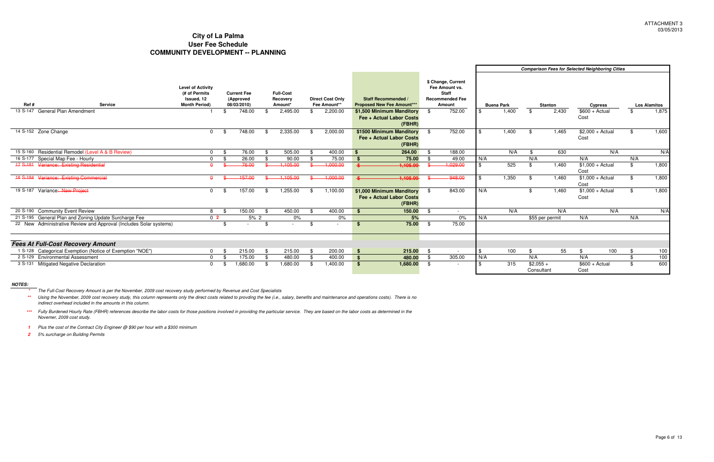**\*\*** Using the November, 2009 cost recovery study, this column represents only the direct costs related to provding the fee (i.e., salary, benefits and maintenance and operations costs). There is no<br>indirect overhead included i

|                                                                    |                                                                                 |                                                |                                         |                                         |      |                                                                 |      |                                                                                          | <b>Comparison Fees for Selected Neighboring Cities</b> |                   |                          |                |                           |     |     |                     |
|--------------------------------------------------------------------|---------------------------------------------------------------------------------|------------------------------------------------|-----------------------------------------|-----------------------------------------|------|-----------------------------------------------------------------|------|------------------------------------------------------------------------------------------|--------------------------------------------------------|-------------------|--------------------------|----------------|---------------------------|-----|-----|---------------------|
| <b>Service</b><br>Ref#                                             | <b>Level of Activity</b><br>(# of Permits<br>Issued, 12<br><b>Month Period)</b> | <b>Current Fee</b><br>(Approved<br>08/03/2010) | <b>Full-Cost</b><br>Recovery<br>Amount* | <b>Direct Cost Only</b><br>Fee Amount** |      | <b>Staff Recommended /</b><br><b>Proposed New Fee Amount***</b> |      | \$ Change, Current<br>Fee Amount vs.<br><b>Staff</b><br><b>Recommended Fee</b><br>Amount |                                                        | <b>Buena Park</b> |                          | <b>Stanton</b> | <b>Cypress</b>            |     |     | <b>Los Alamitos</b> |
| 13 S-147 General Plan Amendment                                    |                                                                                 | 748.00                                         | 2,495.00                                | \$<br>2,200.00                          |      | \$1,500 Minimum Manditory<br>Fee + Actual Labor Costs<br>(FBHR) | - \$ | 752.00                                                                                   |                                                        | 1,400             | \$                       | 2,430          | $$600 + Actual$<br>Cost   |     |     | 1,875               |
| 14 S-152 Zone Change                                               | $\Omega$                                                                        | 748.00                                         | 2,335.00                                | 2,000.00                                |      | \$1500 Minimum Manditory<br>Fee + Actual Labor Costs<br>(FBHR)  | - \$ | 752.00                                                                                   |                                                        | 1,400             |                          | 1,465          | $$2,000 + Actual$<br>Cost |     |     | 1,600               |
| 15 S-160 Residential Remodel (Level A & B Review)                  |                                                                                 | 76.00                                          | 505.00                                  | 400.00                                  | \$   | 264.00                                                          |      | 188.00                                                                                   |                                                        | N/A               |                          | 630            |                           | N/A |     | N/A                 |
| 16 S-177 Special Map Fee - Hourly                                  |                                                                                 | 26.00                                          | 90.00                                   | 75.00                                   | - \$ | 75.00                                                           |      | 49.00                                                                                    | N/A                                                    |                   | N/A                      |                | N/A                       |     | N/A |                     |
| 17 S-181 Variance: Existing Residential                            |                                                                                 | 76.00                                          | 1,105.00                                | 1,000.00                                |      | 1,105.00                                                        |      | 1,029.00                                                                                 |                                                        | 525               | \$.                      | 1.460          | $$1,000 + Actual$<br>Cost |     | \$  | 1,800               |
| 18 S-184 Variance: Existing Commercial                             | $\mathbf{a}$                                                                    | $-157.00$                                      | 1.105.00                                | 1,000.00                                |      | 1.105.00                                                        |      | 948.00                                                                                   | \$                                                     | 1,350             | \$.                      | 1,460          | $$1,000 + Actual$<br>Cost |     |     | 1,800               |
| Variance: New Project<br>19 S-187                                  | $\Omega$                                                                        | 157.00                                         | 1,255.00                                | 1,100.00                                |      | \$1,000 Minimum Manditory<br>Fee + Actual Labor Costs<br>(FBHR) | - \$ | 843.00                                                                                   | N/A                                                    |                   |                          | 1.460          | $$1,000 + Actual$<br>Cost |     | \$  | 1,800               |
| 20 S-190 Community Event Review                                    |                                                                                 | 150.00                                         | 450.00                                  | 400.00                                  | - 9  | 150.00                                                          |      | $\sim$                                                                                   |                                                        | N/A               |                          | N/A            |                           | N/A |     | N/A                 |
| 21 S-195 General Plan and Zoning Update Surcharge Fee              | 0 <sup>2</sup>                                                                  | 5%2                                            | 0%                                      | 0%                                      |      | 5%                                                              |      | $0\%$                                                                                    | N/A                                                    |                   | \$55 per permit          |                | N/A                       |     | N/A |                     |
| 22 New Administrative Review and Approval (Includes Solar systems) |                                                                                 |                                                |                                         | \$                                      | \$   | 75.00                                                           | - \$ | 75.00                                                                                    |                                                        |                   |                          |                |                           |     |     |                     |
| <b>Fees At Full-Cost Recovery Amount</b>                           |                                                                                 |                                                |                                         |                                         |      |                                                                 |      |                                                                                          |                                                        |                   |                          |                |                           |     |     |                     |
| 1 S-128 Categorical Exemption (Notice of Exemption "NOE")          |                                                                                 | 215.00                                         | 215.00                                  | 200.00                                  | -\$  | 215.00                                                          | - \$ | $\sim$                                                                                   | -\$                                                    | 100               | \$                       | 55             | \$                        | 100 | \$  | 100                 |
| 2 S-129 Environmental Assessment                                   |                                                                                 | 175.00                                         | 480.00                                  | 400.00                                  | - \$ | 480.00                                                          | - \$ | 305.00                                                                                   | N/A                                                    |                   | N/A                      |                | N/A                       |     | \$. | 100                 |
| 3 S-131 Mitigated Negative Declaration                             |                                                                                 | 1,680.00                                       | 1,680.00                                | 1,400.00                                | - \$ | 1,680.00                                                        | - \$ |                                                                                          |                                                        | 315               | $$2,055 +$<br>Consultant |                | $$600 + Actual$<br>Cost   |     | \$  | 600                 |

**NOTES:**

**1** Plus the cost of the Contract City Engineer @ \$90 per hour with a \$300 minimum

**2** 5% surcharge on Building Permits

**\*\*\***Fully Burdened Hourly Rate (FBHR) references describe the labor costs for those positions involved in providing the particular service. They are based on the labor costs as determined in the Novemer, 2009 cost study.

**\***The Full-Cost Recovery Amount is per the November, 2009 cost recovery study performed by Revenue and Cost Specialists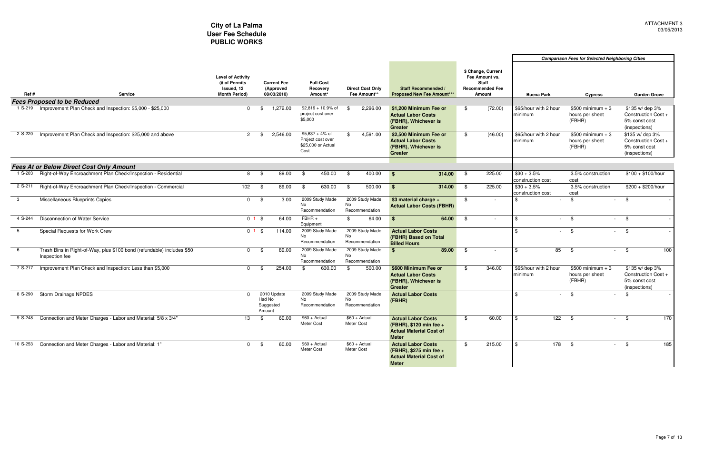| Ref #    | <b>Service</b><br><b>Fees Proposed to be Reduced</b>                                     | <b>Level of Activity</b><br>(# of Permits<br>Issued, 12<br><b>Month Period)</b> | <b>Current Fee</b><br>(Approved<br>08/03/2010) | <b>Full-Cost</b><br>Recovery<br>Amount*                              | <b>Direct Cost Only</b><br>Fee Amount** | <b>Staff Recommended /</b><br><b>Proposed New Fee Amount***</b>                                        | \$ Change, Current<br>Fee Amount vs.<br><b>Staff</b><br><b>Recommended Fee</b><br>Amount | <b>Buena Park</b>                  | <b>Cypress</b>                                  | <b>Garden Grove</b>                                                      |
|----------|------------------------------------------------------------------------------------------|---------------------------------------------------------------------------------|------------------------------------------------|----------------------------------------------------------------------|-----------------------------------------|--------------------------------------------------------------------------------------------------------|------------------------------------------------------------------------------------------|------------------------------------|-------------------------------------------------|--------------------------------------------------------------------------|
|          | 1 S-219 Improvement Plan Check and Inspection: \$5,000 - \$25,000                        | $\Omega$                                                                        | 1,272.00<br>- SS                               | $$2,819 + 10.9\%$ of<br>project cost over<br>\$5,000                 | 2,296.00<br>\$                          | \$1.200 Minimum Fee or<br><b>Actual Labor Costs</b><br>(FBHR), Whichever is<br><b>Greater</b>          | (72.00)<br>\$                                                                            | \$65/hour with 2 hour<br>minimum   | $$500$ minimum + 3<br>hours per sheet<br>(FBHR) | \$135 w/ dep 3%<br>Construction Cost +<br>5% const cost<br>(inspections) |
| 2 S-220  | Improvement Plan Check and Inspection: \$25,000 and above                                | $\mathbf{2}$                                                                    | 2,546.00<br>\$                                 | $$5.637 + 4\%$ of<br>Project cost over<br>\$25,000 or Actual<br>Cost | 4,591.00<br>\$                          | \$2,500 Minimum Fee or<br><b>Actual Labor Costs</b><br>(FBHR), Whichever is<br><b>Greater</b>          | (46.00)<br>\$                                                                            | \$65/hour with 2 hour<br>minimum   | $$500$ minimum + 3<br>hours per sheet<br>(FBHR) | \$135 w/ dep 3%<br>Construction Cost +<br>5% const cost<br>(inspections) |
|          | <b>Fees At or Below Direct Cost Only Amount</b>                                          |                                                                                 |                                                |                                                                      |                                         |                                                                                                        |                                                                                          |                                    |                                                 |                                                                          |
|          | 1 S-203 Right-of-Way Encroachment Plan Check/Inspection - Residential                    | 8                                                                               | 89.00<br>- \$                                  | 450.00<br>-\$                                                        | 400.00<br>- \$                          | 314.00<br>$\mathbf{s}$                                                                                 | 225.00<br>- \$                                                                           | $$30 + 3.5\%$<br>construction cost | 3.5% construction<br>cost                       | $$100 + $100/h$ our                                                      |
| 2 S-211  | Right-of-Way Encroachment Plan Check/Inspection - Commercial                             | 102                                                                             | 89.00<br>- \$                                  | 630.00<br>\$                                                         | 500.00<br>\$                            | \$<br>314.00                                                                                           | 225.00<br>- \$                                                                           | $$30 + 3.5\%$<br>construction cost | 3.5% construction<br>cost                       | $$200 + $200/hour$                                                       |
| -3       | Miscellaneous Blueprints Copies                                                          | $\Omega$                                                                        | 3.00<br>-\$                                    | 2009 Study Made<br>No<br>Recommendation                              | 2009 Study Made<br>No<br>Recommendation | \$3 material charge +<br><b>Actual Labor Costs (FBHR)</b>                                              | $\mathbf{\$}$<br>$\sim$                                                                  | $\sim$                             | \$<br>$\sim$                                    | $\sqrt{3}$                                                               |
| 4 S-244  | Disconnection of Water Service                                                           | 01S                                                                             | 64.00                                          | $FBHR +$<br>Equipment                                                | \$<br>64.00                             | \$<br>64.00                                                                                            | - \$<br>$\sim$                                                                           | \$.                                | $-$ \$                                          | $-$ \$                                                                   |
| 5        | Special Requests for Work Crew                                                           | $01$ \$                                                                         | 114.00                                         | 2009 Study Made<br>No<br>Recommendation                              | 2009 Study Made<br>No<br>Recommendation | <b>Actual Labor Costs</b><br>(FBHR) Based on Total<br><b>Billed Hours</b>                              |                                                                                          |                                    | $-$ \$                                          | $-$ \$                                                                   |
| - 6      | Trash Bins in Right-of-Way, plus \$100 bond (refundable) includes \$50<br>Inspection fee | $\mathbf{0}$                                                                    | 89.00<br>- \$                                  | 2009 Study Made<br><b>No</b><br>Recommendation                       | 2009 Study Made<br>No<br>Recommendation | \$<br>89.00                                                                                            | \$                                                                                       | 85<br>\$                           | \$<br>$\sim$                                    | 100<br>- \$                                                              |
| 7 S-217  | Improvement Plan Check and Inspection: Less than \$5,000                                 | $\Omega$                                                                        | 254.00<br>\$                                   | \$<br>630.00                                                         | \$<br>500.00                            | \$600 Minimum Fee or<br><b>Actual Labor Costs</b><br>(FBHR), Whichever is<br><b>Greater</b>            | 346.00<br>\$                                                                             | \$65/hour with 2 hour<br>minimum   | $$500$ minimum + 3<br>hours per sheet<br>(FBHR) | \$135 w/ dep 3%<br>Construction Cost +<br>5% const cost<br>(inspections) |
| 8 S-290  | <b>Storm Drainage NPDES</b>                                                              | $\Omega$                                                                        | 2010 Update<br>Had No<br>Suggested<br>Amount   | 2009 Study Made<br><b>No</b><br>Recommendation                       | 2009 Study Made<br>No<br>Recommendation | <b>Actual Labor Costs</b><br>(FBHR)                                                                    |                                                                                          |                                    | \$                                              | \$                                                                       |
| 9 S-248  | Connection and Meter Charges - Labor and Material: 5/8 x 3/4"                            | 13                                                                              | 60.00<br>- \$                                  | $$60 + Actual$<br>Meter Cost                                         | $$60 + Actual$<br>Meter Cost            | <b>Actual Labor Costs</b><br>(FBHR), \$120 min fee +<br><b>Actual Material Cost of</b><br><b>Meter</b> | 60.00<br>\$                                                                              | 122<br>\$                          | - \$                                            | 170<br>\$                                                                |
| 10 S-253 | Connection and Meter Charges - Labor and Material: 1"                                    | $\overline{0}$                                                                  | 60.00<br>- \$                                  | $$60 + Actual$<br>Meter Cost                                         | $$60 + Actual$<br>Meter Cost            | <b>Actual Labor Costs</b><br>(FBHR), \$275 min fee +<br><b>Actual Material Cost of</b><br><b>Meter</b> | 215.00<br>\$                                                                             | 178<br>\$                          | - \$<br>$\sim$                                  | - \$<br>185                                                              |

#### **Comparison Fees for Selected Neighboring Cities**

#### **City of La Palma User Fee SchedulePUBLIC WORKS**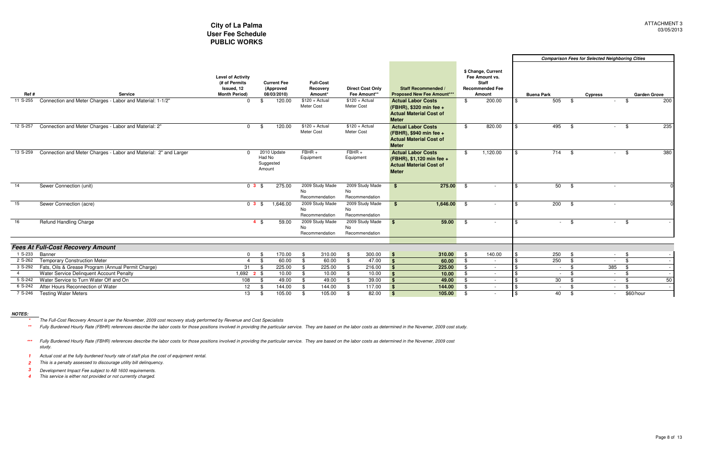|          |                                                                  |                                                                                 |                                                |                                                |                                          |                                                                                                          |                                                                                          |          | <b>Comparison Fees for Selected Neighboring Cities</b> |      |                        |                     |  |
|----------|------------------------------------------------------------------|---------------------------------------------------------------------------------|------------------------------------------------|------------------------------------------------|------------------------------------------|----------------------------------------------------------------------------------------------------------|------------------------------------------------------------------------------------------|----------|--------------------------------------------------------|------|------------------------|---------------------|--|
| Ref #    | <b>Service</b>                                                   | <b>Level of Activity</b><br>(# of Permits<br>Issued, 12<br><b>Month Period)</b> | <b>Current Fee</b><br>(Approved<br>08/03/2010) | <b>Full-Cost</b><br>Recovery<br>Amount*        | <b>Direct Cost Only</b><br>Fee Amount**  | Staff Recommended<br><b>Proposed New Fee Amount***</b>                                                   | \$ Change, Current<br>Fee Amount vs.<br><b>Staff</b><br><b>Recommended Fee</b><br>Amount |          | <b>Buena Park</b>                                      |      | <b>Cypress</b>         | <b>Garden Grove</b> |  |
| 11 S-255 | Connection and Meter Charges - Labor and Material: 1-1/2"        | $\Omega$                                                                        | 120.00                                         | $$120 + Actual$<br>Meter Cost                  | $$120 + Actual$<br>Meter Cost            | <b>Actual Labor Costs</b><br>(FBHR), \$320 min fee +<br><b>Actual Material Cost of</b><br><b>Meter</b>   | \$                                                                                       | 200.00   | 505                                                    | - \$ | \$<br>$\sim$           | 200                 |  |
| 12 S-257 | Connection and Meter Charges - Labor and Material: 2"            | $\Omega$<br>- \$                                                                | 120.00                                         | $$120 + Actual$<br>Meter Cost                  | $$120 + Actual$<br>Meter Cost            | <b>Actual Labor Costs</b><br>(FBHR), \$940 min fee +<br><b>Actual Material Cost of</b><br><b>Meter</b>   | \$                                                                                       | 820.00   | 495                                                    | - \$ | -\$<br>$\sim$          | 235                 |  |
| 13 S-259 | Connection and Meter Charges - Labor and Material: 2" and Larger |                                                                                 | 2010 Update<br>Had No<br>Suggested<br>Amount   | $FBHR +$<br>Equipment                          | $FBHR +$<br>Equipment                    | <b>Actual Labor Costs</b><br>(FBHR), \$1,120 min fee +<br><b>Actual Material Cost of</b><br><b>Meter</b> | \$                                                                                       | 1,120.00 | 714                                                    | - \$ | \$<br>$\sim$           | 380                 |  |
| 14       | Sewer Connection (unit)                                          | 03S                                                                             | 275.00                                         | 2009 Study Made<br>No<br>Recommendation        | 2009 Study Made<br>No<br>Recommendation  | 275.00<br>$$^{\circ}$                                                                                    | -\$                                                                                      |          | 50                                                     | -\$  |                        |                     |  |
| 15       | Sewer Connection (acre)                                          | $0$ 3 $$$                                                                       | 1,646.00                                       | 2009 Study Made<br>No<br>Recommendation        | 2009 Study Made<br>No<br>Recommendation  | 1,646.00<br>\$                                                                                           | - \$                                                                                     |          | 200                                                    | - \$ |                        |                     |  |
| 16       | <b>Refund Handling Charge</b>                                    | $4 \text{ } $$                                                                  | 59.00                                          | 2009 Study Made<br><b>No</b><br>Recommendation | 2009 Study Made<br>No.<br>Recommendation | 59.00<br>\$                                                                                              | -\$                                                                                      | $\sim$   | $\sim 100$                                             | - \$ | \$<br>$\sim 100$       |                     |  |
|          | <b>Fees At Full-Cost Recovery Amount</b>                         |                                                                                 |                                                |                                                |                                          |                                                                                                          |                                                                                          |          |                                                        |      |                        |                     |  |
| 1 S-233  | Banner                                                           | $\Omega$<br>- \$                                                                | 170.00                                         | 310.00<br>\$                                   | 300.00<br>-\$                            | 310.00<br>- \$                                                                                           | - \$                                                                                     | 140.00   | 250                                                    | -\$  | - \$<br>$\sim 100$     |                     |  |
| 2 S-262  | <b>Temporary Construction Meter</b>                              | $\overline{4}$<br>- \$                                                          | 60.00                                          | 60.00<br>\$                                    | 47.00<br>\$                              | $\sqrt{3}$<br>60.00                                                                                      | -\$                                                                                      | $\sim$   | 250                                                    | \$   | -\$<br>$\sim 100$      |                     |  |
| 3 S-292  | Fats, Oils & Grease Program (Annual Permit Charge)               | 31<br>- \$                                                                      | 225.00                                         | 225.00<br>\$                                   | 216.00<br>-\$                            | 225.00<br>$\mathbf{s}$                                                                                   | -\$                                                                                      | $\sim$   | $\sim$ 100 $\mu$                                       | - \$ | 385<br>- \$            | $\sim$              |  |
|          | Water Service Delinquent Account Penalty                         | 1,692 <b>2</b> \$                                                               | 10.00                                          | 10.00<br>\$                                    | 10.00<br>-\$                             | $\mathbf{s}$<br>10.00                                                                                    | - \$                                                                                     | $\sim$   | $\sim$                                                 | - \$ | -\$<br>$\sim 100$      | $\sim$              |  |
|          | 5 S-242 Water Service to Turn Water Off and On                   | 108<br>- \$                                                                     | 49.00                                          | 49.00<br>\$                                    | 39.00<br>-\$                             | 49.00<br>$\mathbf{s}$                                                                                    | -\$                                                                                      | $\sim$   | 30                                                     | - \$ | \$<br>$\sim$ 100 $\mu$ | 50                  |  |
| 6 S-242  | After Hours Reconnection of Water                                | 12 <sup>12</sup><br>_\$                                                         | 144.00                                         | 144.00<br>-\$                                  | 117.00                                   | 144.00<br>$\mathbf{s}$                                                                                   | -\$                                                                                      | $\sim$   | $\sim$ 10 $\pm$                                        | - \$ | . \$<br>$\sim$         |                     |  |
|          | 7 S-246 Testing Water Meters                                     | 13<br>-\$                                                                       | 105.00                                         | 105.00<br>\$                                   | 82.00<br>-\$                             | 105.00<br>$\mathbf{s}$                                                                                   | -\$                                                                                      | $\sim$   | 40                                                     | -\$  | $\sim$                 | \$60/hour           |  |

#### **NOTES:**

**\***The Full-Cost Recovery Amount is per the November, 2009 cost recovery study performed by Revenue and Cost Specialists

\*\* Fully Burdened Hourly Rate (FBHR) references describe the labor costs for those positions involved in providing the particular service. They are based on the labor costs as determined in the Novemer, 2009 cost study.

**1** Actual cost at the fully burdened hourly rate of staff plus the cost of equipment rental.

**2**This is a penalty assessed to discourage utility bill delinquency.

- **3**Development Impact Fee subject to AB 1600 requirements.
- **4** This service is either not provided or not currently charged.

**\*\*\***Fully Burdened Hourly Rate (FBHR) references describe the labor costs for those positions involved in providing the particular service. They are based on the labor costs as determined in the Novemer, 2009 cost study.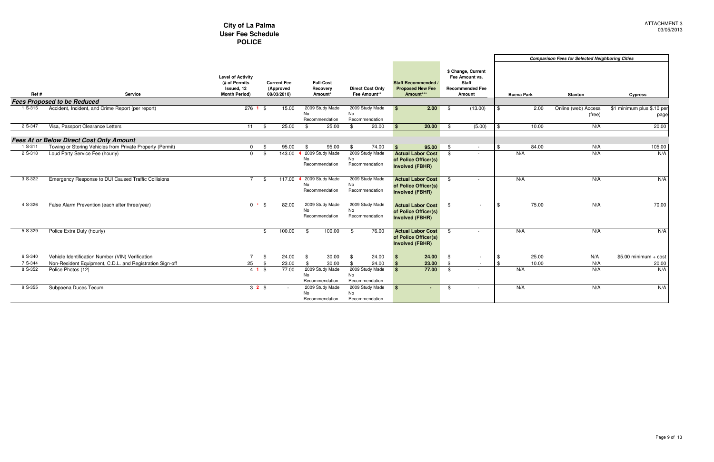|                    |                                                                                              | City of La Palma<br><b>User Fee Schedule</b><br><b>POLICE</b>                   |                                                |                                                     |                                         |                                                                            |            |                                                                                          |            |                   |                                                        | <b>ATTAGHM</b><br>03/05            |
|--------------------|----------------------------------------------------------------------------------------------|---------------------------------------------------------------------------------|------------------------------------------------|-----------------------------------------------------|-----------------------------------------|----------------------------------------------------------------------------|------------|------------------------------------------------------------------------------------------|------------|-------------------|--------------------------------------------------------|------------------------------------|
|                    |                                                                                              |                                                                                 |                                                |                                                     |                                         |                                                                            |            |                                                                                          |            |                   | <b>Comparison Fees for Selected Neighboring Cities</b> |                                    |
| Ref#               | <b>Service</b>                                                                               | <b>Level of Activity</b><br>(# of Permits<br>Issued, 12<br><b>Month Period)</b> | <b>Current Fee</b><br>(Approved<br>08/03/2010) | <b>Full-Cost</b><br>Recovery<br>Amount*             | <b>Direct Cost Only</b><br>Fee Amount** | Staff Recommended<br><b>Proposed New Fee</b><br>Amount***                  |            | \$ Change, Current<br>Fee Amount vs.<br><b>Staff</b><br><b>Recommended Fee</b><br>Amount |            | <b>Buena Park</b> | <b>Stanton</b>                                         | <b>Cypress</b>                     |
|                    | <b>Fees Proposed to be Reduced</b>                                                           |                                                                                 |                                                |                                                     |                                         |                                                                            |            |                                                                                          |            |                   |                                                        |                                    |
| 1 S-315            | Accident, Incident, and Crime Report (per report)                                            | $276$ 1 \$                                                                      | 15.00                                          | 2009 Study Made<br><b>No</b><br>Recommendation      | 2009 Study Made<br>No<br>Recommendation | 2.00<br><b>S</b>                                                           | - \$       | (13.00)                                                                                  | -\$        | 2.00              | Online (web) Access<br>(free)                          | \$1 minimum plus \$.10 per<br>page |
| 2 S-347            | Visa, Passport Clearance Letters                                                             | 11                                                                              | 25.00<br>\$                                    | 25.00<br>-\$                                        | 20.00<br>\$                             | 20.00<br><b>S</b>                                                          | . ድ        | (5.00)                                                                                   | -\$        | 10.00             | N/A                                                    | 20.00                              |
|                    |                                                                                              |                                                                                 |                                                |                                                     |                                         |                                                                            |            |                                                                                          |            |                   |                                                        |                                    |
|                    | <b>Fees At or Below Direct Cost Only Amount</b>                                              |                                                                                 |                                                |                                                     |                                         |                                                                            |            |                                                                                          |            |                   |                                                        |                                    |
| 1 S-311<br>2 S-318 | Towing or Storing Vehicles from Private Property (Permit)<br>Loud Party Service Fee (hourly) | $\overline{0}$<br>$\overline{0}$                                                | 95.00<br>- \$<br>\$<br>143.00                  | 95.00<br>-\$<br>4 2009 Study Made                   | 74.00<br>\$<br>2009 Study Made          | $\mathbf{s}$<br>95.00<br><b>Actual Labor Cost</b>                          | -\$<br>-\$ | $\sim$ $-$                                                                               |            | 84.00<br>N/A      | N/A<br>N/A                                             | 105.00<br>N/A                      |
|                    |                                                                                              |                                                                                 |                                                | No<br>Recommendation                                | No<br>Recommendation                    | of Police Officer(s)<br><b>Involved (FBHR)</b>                             |            |                                                                                          |            |                   |                                                        |                                    |
| 3 S-322            | Emergency Response to DUI Caused Traffic Collisions                                          | $\overline{7}$                                                                  | 117.00<br>\$                                   | 4 2009 Study Made<br><b>No</b><br>Recommendation    | 2009 Study Made<br>No<br>Recommendation | <b>Actual Labor Cost</b><br>of Police Officer(s)<br><b>Involved (FBHR)</b> |            |                                                                                          |            | N/A               | N/A                                                    | N/A                                |
| 4 S-326            | False Alarm Prevention (each after three/year)                                               | $0 *$                                                                           | 82.00                                          | 2009 Study Made<br>No<br>Recommendation             | 2009 Study Made<br>No<br>Recommendation | <b>Actual Labor Cost</b><br>of Police Officer(s)<br><b>Involved (FBHR)</b> | \$         | $\sim$                                                                                   | $\sqrt{3}$ | 75.00             | N/A                                                    | 70.00                              |
| 5 S-329            | Police Extra Duty (hourly)                                                                   |                                                                                 | $$^{\circ}$<br>100.00                          | 100.00<br>\$                                        | 76.00<br>- \$                           | <b>Actual Labor Cost</b><br>of Police Officer(s)<br><b>Involved (FBHR)</b> | \$         | $\sim$                                                                                   |            | N/A               | N/A                                                    | N/A                                |
| 6 S-340            | Vehicle Identification Number (VIN) Verification                                             | $\overline{7}$                                                                  | - \$<br>24.00                                  | - \$<br>30.00                                       | 24.00<br>\$                             | 24.00<br>$\mathbf{s}$                                                      | - \$       | $\sim$                                                                                   |            | 25.00             | N/A                                                    | $$5.00$ minimum + cost             |
| 7 S-344            | Non-Resident Equipment, C.D.L. and Registration Sign-off                                     | 25                                                                              | 23.00<br>\$                                    | 30.00<br>-\$                                        | 24.00<br>\$                             | 23.00<br>$\mathbf{s}$                                                      | \$         | $\sim$                                                                                   | -\$        | 10.00             | N/A                                                    | 20.00                              |
| 8 S-352            | Police Photos (12)                                                                           | $41$ \$                                                                         | 77.00                                          | 2009 Study Made<br>N <sub>0</sub><br>Recommendation | 2009 Study Made<br>No<br>Recommendation | 77.00<br>$\mathbf{s}$                                                      | -\$        |                                                                                          |            | N/A               | N/A                                                    | N/A                                |
| 9 S-355            | Subpoena Duces Tecum                                                                         | $32$ \$                                                                         |                                                | 2009 Study Made<br>No.<br>Recommendation            | 2009 Study Made<br>No<br>Recommendation | $\sim 10$                                                                  | \$         |                                                                                          |            | N/A               | N/A                                                    | N/A                                |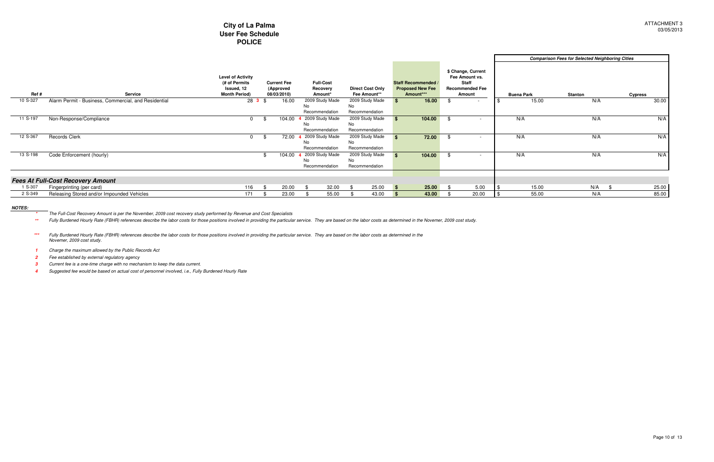### **City of La Palma User Fee SchedulePOLICE**

|          |                                                      |                                                                                 |                                                |                                         |                                                |     |                                                                    |  |                                                                                          | <b>Comparison Fees for Selected Neighboring Cities</b> |                   |                |                |
|----------|------------------------------------------------------|---------------------------------------------------------------------------------|------------------------------------------------|-----------------------------------------|------------------------------------------------|-----|--------------------------------------------------------------------|--|------------------------------------------------------------------------------------------|--------------------------------------------------------|-------------------|----------------|----------------|
| Ref#     | Service                                              | <b>Level of Activity</b><br>(# of Permits<br>Issued, 12<br><b>Month Period)</b> | <b>Current Fee</b><br>(Approved<br>08/03/2010) | <b>Full-Cost</b><br>Recovery<br>Amount* | <b>Direct Cost Only</b><br>Fee Amount**        |     | <b>Staff Recommended /</b><br><b>Proposed New Fee</b><br>Amount*** |  | \$ Change, Current<br>Fee Amount vs.<br><b>Staff</b><br><b>Recommended Fee</b><br>Amount |                                                        | <b>Buena Park</b> | <b>Stanton</b> | <b>Cypress</b> |
| 10 S-327 | Alarm Permit - Business, Commercial, and Residential | 283                                                                             | 16.00                                          | 2009 Study Made<br>No<br>Recommendation | 2009 Study Made<br><b>No</b><br>Recommendation |     | 16.00                                                              |  |                                                                                          |                                                        | 15.00             | N/A            | 30.00          |
| 11 S-197 | Non-Response/Compliance                              |                                                                                 | 104.00                                         | 2009 Study Made<br>No<br>Recommendation | 2009 Study Made<br>No<br>Recommendation        |     | 104.00                                                             |  |                                                                                          |                                                        | N/A               | N/A            | N/A            |
| 12 S-367 | Records Clerk                                        |                                                                                 | 72.00                                          | 2009 Study Made<br>No<br>Recommendation | 2009 Study Made<br>No<br>Recommendation        |     | 72.00                                                              |  |                                                                                          |                                                        | N/A               | N/A            | N/A            |
| 13 S-198 | Code Enforcement (hourly)                            |                                                                                 | 104.00                                         | 2009 Study Made<br>No<br>Recommendation | 2009 Study Made<br>No<br>Recommendation        |     | 104.00                                                             |  |                                                                                          |                                                        | N/A               | N/A            | N/A            |
|          | <b>Fees At Full-Cost Recovery Amount</b>             |                                                                                 |                                                |                                         |                                                |     |                                                                    |  |                                                                                          |                                                        |                   |                |                |
| 1 S-307  | Fingerprinting (per card)                            | 116                                                                             | 20.00                                          | 32.00                                   | 25.00                                          | ∣\$ | $25.00$ \$                                                         |  | 5.00                                                                                     |                                                        | 15.00             | N/A            | 25.00          |
| 2 S-349  | Releasing Stored and/or Impounded Vehicles           | 171                                                                             | 23.00                                          | 55.00                                   | 43.00                                          |     | 43.00                                                              |  | 20.00                                                                                    |                                                        | 55.00             | N/A            | 85.00          |

\* Fully Burdened Hourly Rate (FBHR) references describe the labor costs for those positions involved in providing the particular service. They are based on the labor costs as determined in the Novemer, 2009 cost study. **\*\***

#### **NOTES:**

**\***The Full-Cost Recovery Amount is per the November, 2009 cost recovery study performed by Revenue and Cost Specialists

**1**Charge the maximum allowed by the Public Records Act

**2**Fee established by external regulatory agency

**3**Current fee is a one-time charge with no mechanism to keep the data current.

**4**Suggested fee would be based on actual cost of personnel involved, i.e., Fully Burdened Hourly Rate

**\*\*\***Fully Burdened Hourly Rate (FBHR) references describe the labor costs for those positions involved in providing the particular service. They are based on the labor costs as determined in the Novemer, 2009 cost study.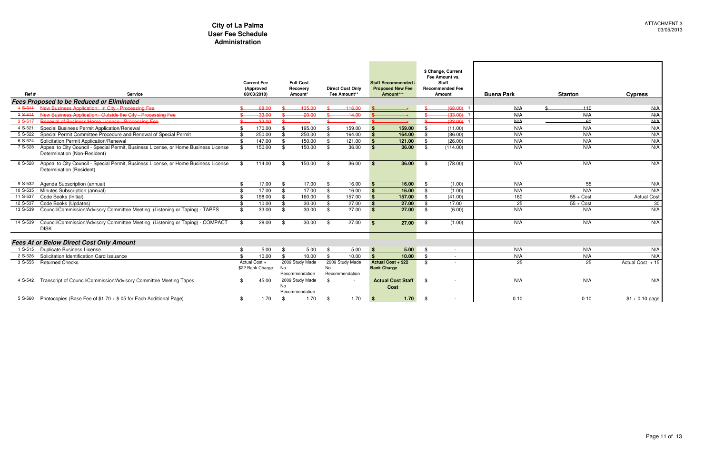|             |                                                                                                                     |     | <b>Current Fee</b>                |     | <b>Full-Cost</b>                  |      |                                         |                    | <b>Staff Recommended</b>                 |          | \$ Change, Current<br>Fee Amount vs.<br><b>Staff</b> |                   |                |                    |
|-------------|---------------------------------------------------------------------------------------------------------------------|-----|-----------------------------------|-----|-----------------------------------|------|-----------------------------------------|--------------------|------------------------------------------|----------|------------------------------------------------------|-------------------|----------------|--------------------|
| Ref#        | <b>Service</b>                                                                                                      |     | (Approved<br>08/03/2010)          |     | Recovery<br>Amount*               |      | <b>Direct Cost Only</b><br>Fee Amount** |                    | <b>Proposed New Fee</b><br>Amount***     |          | <b>Recommended Fee</b><br><b>Amount</b>              | <b>Buena Park</b> | <b>Stanton</b> | <b>Cypress</b>     |
|             | <b>Fees Proposed to be Reduced or Eliminated</b>                                                                    |     |                                   |     |                                   |      |                                         |                    |                                          |          |                                                      |                   |                |                    |
| $4 S - 511$ | New Business Application: In City - Processing Fee                                                                  |     | 68.00                             |     | 135.00                            |      | 116.00                                  |                    |                                          |          | (68.00)                                              | N/A               | $+10$          | N/A                |
| $2S-511$    | New Business Application: Outside the City - Processing Fee                                                         |     | 33.00                             |     | $-20.00$                          |      | $-14.00$                                |                    |                                          |          | (33.00)                                              | N/A               | N/A            | N/A                |
| $38-517$    | Benewal of Rusiness/Home License - Processing Fee                                                                   |     | 33.00                             |     |                                   | ¢    |                                         |                    |                                          |          | (33.00)                                              | N/A               | -60            | N/A                |
| 4 S-521     | Special Business Permit Application/Renewal                                                                         | \$  | 170.00                            | \$  | 195.00                            | \$   | 159.00                                  | <b>\$</b>          | 159.00                                   | -\$      | (11.00)                                              | N/A               | N/A            | N/A                |
| 5 S-522     | Special Permit Committee Procedure and Renewal of Special Permit                                                    | -\$ | 250.00                            | -\$ | 250.00                            | - \$ | 164.00                                  | <b>S</b>           | 164.00                                   | - \$     | (86.00)                                              | N/A               | N/A            | N/A                |
| 6 S-524     | Solicitation Permit Application/Renewal                                                                             | -\$ | 147.00                            | -\$ | 150.00                            | - \$ | 121.00                                  | <b>S</b>           | 121.00                                   | \$       | (26.00)                                              | N/A               | N/A            | N/A                |
| 7 S-528     | Appeal to City Council - Special Permit, Business License, or Home Business License<br>Determination (Non-Resident) | -\$ | 150.00                            | -\$ | 150.00                            | - \$ | 36.00                                   | <b>S</b>           | 36.00                                    | - \$     | (114.00)                                             | N/A               | N/A            | N/A                |
| 8 S-528     | Appeal to City Council - Special Permit, Business License, or Home Business License<br>Determination (Resident)     | \$  | 114.00                            | -\$ | 150.00                            | \$   | 36.00                                   | <b>S</b>           | 36.00                                    | - \$     | (78.00)                                              | N/A               | N/A            | N/A                |
| 9 S-532     | Agenda Subscription (annual)                                                                                        | \$  | 17.00                             |     | 17.00                             | \$   | 16.00                                   | <b>\$</b>          | 16.00                                    | -\$      | (1.00)                                               | N/A               | 55             | N/A                |
| 10 S-535    | Minutes Subscription (annual)                                                                                       | ደ   | 17.00                             | . ድ | 17.00                             | - \$ | 16.00                                   | $\mathbf{\hat{s}}$ | 16.00                                    | . \$     | (1.00)                                               | N/A               | N/A            | N/A                |
| 11 S-537    | Code Books (Initial)                                                                                                |     | 198.00                            | -\$ | 160.00                            | -\$  | 157.00                                  |                    | 157.00                                   | - \$     | (41.00)                                              | 160               | $55 + Cost$    | <b>Actual Cost</b> |
| 12 S-537    | Code Books (Updates)                                                                                                |     | 10.00                             | -\$ | 30.00                             | -\$  | 27.00                                   | <b>S</b>           | 27.00                                    | - \$     | 17.00                                                | 25                | $55 + Cost$    | 30                 |
| 13 S-539    | Council/Commission/Advisory Committee Meeting (Listening or Taping) - TAPES                                         | \$  | 33.00                             | \$  | 30.00                             | \$   | 27.00                                   | <b>S</b>           | 27.00                                    | - \$     | (6.00)                                               | N/A               | N/A            | N/A                |
| 14 S-539    | Council/Commission/Advisory Committee Meeting (Listening or Taping) - COMPACT<br><b>DISK</b>                        | \$  | 28.00                             | -\$ | 30.00                             | \$   | 27.00                                   | <b>S</b>           | 27.00                                    | - \$     | (1.00)                                               | N/A               | N/A            | N/A                |
|             | <b>Fees At or Below Direct Cost Only Amount</b>                                                                     |     |                                   |     |                                   |      |                                         |                    |                                          |          |                                                      |                   |                |                    |
|             | 1 S-515 Duplicate Business License                                                                                  | \$  | 5.00                              | -\$ | 5.00                              | \$   | 5.00                                    | - \$               | 5.00                                     | <b>S</b> |                                                      | N/A               | N/A            | N/A                |
| 2 S-526     | Solicitation Identification Card Issuance                                                                           | \$  | 10.00                             | \$  | 10.00                             | \$   | 10.00                                   | $\mathbf{s}$       | 10.00                                    | \$       | $\sim$                                               | N/A               | N/A            | N/A                |
| 3 S-555     | <b>Returned Checks</b>                                                                                              |     | Actual Cost +<br>\$22 Bank Charge | No  | 2009 Study Made<br>Recommendation | No   | 2009 Study Made<br>Recommendation       |                    | Actual Cost + \$22<br><b>Bank Charge</b> | -\$      |                                                      | 25                | 25             | Actual Cost $+15$  |
| 4 S-542     | Transcript of Council/Commission/Advisory Committee Meeting Tapes                                                   |     | 45.00                             | No  | 2009 Study Made<br>Recommendation | \$   | $\overline{\phantom{a}}$                |                    | <b>Actual Cost Staff</b><br><b>Cost</b>  | -\$      |                                                      | N/A               | N/A            | N/A                |
| 5 S-560     | Photocopies (Base Fee of $$1.70 + $.05$ for Each Additional Page)                                                   | \$  | 1.70                              |     | 1.70                              | \$   | 1.70                                    | <b>S</b>           | 1.70                                     | - \$     |                                                      | 0.10              | 0.10           | $$1 + 0.10$ page   |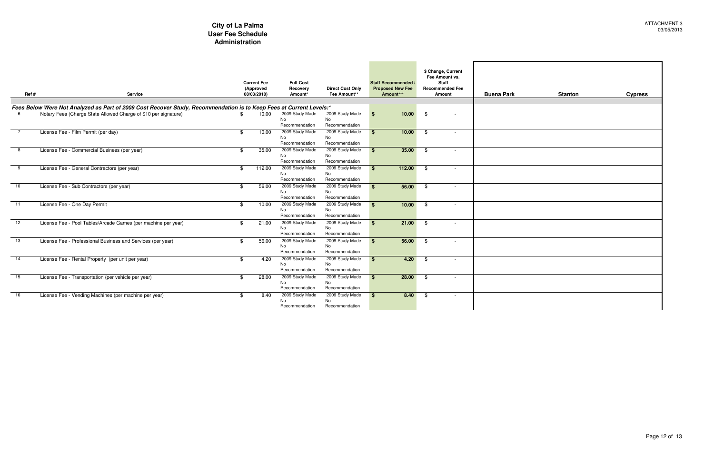| urrent<br>it vs.<br>ed Fee |                   |                |                |
|----------------------------|-------------------|----------------|----------------|
| <u>t</u>                   | <b>Buena Park</b> | <b>Stanton</b> | <b>Cypress</b> |
|                            |                   |                |                |
|                            |                   |                |                |
| $\blacksquare$             |                   |                |                |
| $\overline{\phantom{a}}$   |                   |                |                |
| $\sim$ $-$                 |                   |                |                |
| $\blacksquare$             |                   |                |                |
| $\sim$                     |                   |                |                |
| $\overline{\phantom{a}}$   |                   |                |                |
| $\overline{\phantom{a}}$   |                   |                |                |
| $\sim$ $-$                 |                   |                |                |
| 74                         |                   |                |                |
| $\blacksquare$             |                   |                |                |

| Ref#            | <b>Service</b>                                                                                                      | <b>Current Fee</b><br>(Approved<br>08/03/2010) | <b>Full-Cost</b><br>Recovery<br>Amount* | <b>Direct Cost Only</b><br>Fee Amount** |               | Staff Recommended<br><b>Proposed New Fee</b><br>Amount*** |     | \$ Change, Current<br>Fee Amount vs.<br><b>Staff</b><br><b>Recommended Fee</b><br>Amount | <b>Buena Park</b> |
|-----------------|---------------------------------------------------------------------------------------------------------------------|------------------------------------------------|-----------------------------------------|-----------------------------------------|---------------|-----------------------------------------------------------|-----|------------------------------------------------------------------------------------------|-------------------|
|                 |                                                                                                                     |                                                |                                         |                                         |               |                                                           |     |                                                                                          |                   |
|                 | Fees Below Were Not Analyzed as Part of 2009 Cost Recover Study, Recommendation is to Keep Fees at Current Levels:* |                                                |                                         |                                         |               |                                                           |     |                                                                                          |                   |
|                 | Notary Fees (Charge State Allowed Charge of \$10 per signature)                                                     | 10.00                                          | 2009 Study Made<br><b>No</b>            | 2009 Study Made<br>No                   | \$            | 10.00                                                     | \$  |                                                                                          |                   |
|                 |                                                                                                                     |                                                | Recommendation                          | Recommendation                          |               |                                                           |     |                                                                                          |                   |
|                 | License Fee - Film Permit (per day)                                                                                 | \$<br>10.00                                    | 2009 Study Made                         | 2009 Study Made                         | \$.           | 10.00                                                     | \$  |                                                                                          |                   |
|                 |                                                                                                                     |                                                | <b>No</b>                               | No                                      |               |                                                           |     |                                                                                          |                   |
|                 |                                                                                                                     |                                                | Recommendation                          | Recommendation                          |               |                                                           |     |                                                                                          |                   |
| 8               | License Fee - Commercial Business (per year)                                                                        | \$<br>35.00                                    | 2009 Study Made                         | 2009 Study Made                         | \$.           | 35.00                                                     | -\$ |                                                                                          |                   |
|                 |                                                                                                                     |                                                | <b>No</b>                               | No                                      |               |                                                           |     |                                                                                          |                   |
|                 |                                                                                                                     |                                                | Recommendation                          | Recommendation                          |               |                                                           |     |                                                                                          |                   |
| 9               | License Fee - General Contractors (per year)                                                                        | \$<br>112.00                                   | 2009 Study Made                         | 2009 Study Made                         | \$.           | 112.00                                                    | -\$ |                                                                                          |                   |
|                 |                                                                                                                     |                                                | <b>No</b>                               | No                                      |               |                                                           |     |                                                                                          |                   |
|                 |                                                                                                                     |                                                | Recommendation                          | Recommendation                          |               |                                                           |     |                                                                                          |                   |
| $\overline{10}$ | License Fee - Sub Contractors (per year)                                                                            | \$<br>56.00                                    | 2009 Study Made                         | 2009 Study Made                         | \$.           | 56.00                                                     | -\$ |                                                                                          |                   |
|                 |                                                                                                                     |                                                | <b>No</b><br>Recommendation             | No<br>Recommendation                    |               |                                                           |     |                                                                                          |                   |
|                 |                                                                                                                     |                                                |                                         |                                         |               |                                                           |     |                                                                                          |                   |
| 11              | License Fee - One Day Permit                                                                                        | \$<br>10.00                                    | 2009 Study Made                         | 2009 Study Made                         | $\mathbf{\$}$ | 10.00                                                     | -\$ |                                                                                          |                   |
|                 |                                                                                                                     |                                                | <b>No</b><br>Recommendation             | No<br>Recommendation                    |               |                                                           |     |                                                                                          |                   |
|                 |                                                                                                                     |                                                |                                         |                                         |               |                                                           |     |                                                                                          |                   |
| 12              | License Fee - Pool Tables/Arcade Games (per machine per year)                                                       | \$<br>21.00                                    | 2009 Study Made<br>No.                  | 2009 Study Made<br><b>No</b>            | \$            | 21.00                                                     | -\$ |                                                                                          |                   |
|                 |                                                                                                                     |                                                | Recommendation                          | Recommendation                          |               |                                                           |     |                                                                                          |                   |
| 13              | License Fee - Professional Business and Services (per year)                                                         | \$<br>56.00                                    | 2009 Study Made                         | 2009 Study Made                         | \$.           | 56.00                                                     | \$  |                                                                                          |                   |
|                 |                                                                                                                     |                                                | <b>No</b>                               | <b>No</b>                               |               |                                                           |     |                                                                                          |                   |
|                 |                                                                                                                     |                                                | Recommendation                          | Recommendation                          |               |                                                           |     |                                                                                          |                   |
| 14              | License Fee - Rental Property (per unit per year)                                                                   | \$<br>4.20                                     | 2009 Study Made                         | 2009 Study Made                         | \$            | 4.20                                                      | \$  |                                                                                          |                   |
|                 |                                                                                                                     |                                                | <b>No</b>                               | No.                                     |               |                                                           |     |                                                                                          |                   |
|                 |                                                                                                                     |                                                | Recommendation                          | Recommendation                          |               |                                                           |     |                                                                                          |                   |
| 15              | License Fee - Transportation (per vehicle per year)                                                                 | \$<br>28.00                                    | 2009 Study Made                         | 2009 Study Made                         | \$            | 28.00                                                     | \$  |                                                                                          |                   |
|                 |                                                                                                                     |                                                | <b>No</b>                               | <b>No</b>                               |               |                                                           |     |                                                                                          |                   |
|                 |                                                                                                                     |                                                | Recommendation                          | Recommendation                          |               |                                                           |     |                                                                                          |                   |
| 16              | License Fee - Vending Machines (per machine per year)                                                               | \$<br>8.40                                     | 2009 Study Made                         | 2009 Study Made                         | $\mathbf{s}$  | 8.40                                                      | -\$ |                                                                                          |                   |
|                 |                                                                                                                     |                                                | No                                      | No                                      |               |                                                           |     |                                                                                          |                   |
|                 |                                                                                                                     |                                                | Recommendation                          | Recommendation                          |               |                                                           |     |                                                                                          |                   |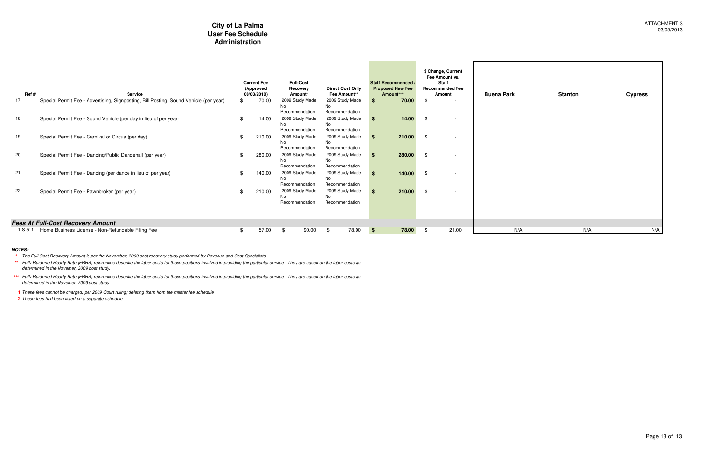| Ref#    | <b>Service</b>                                                                        | <b>Current Fee</b><br>(Approved<br>08/03/2010) | <b>Full-Cost</b><br>Recovery<br>Amount* | <b>Direct Cost Only</b><br>Fee Amount** |              | Staff Recommended<br><b>Proposed New Fee</b><br>Amount*** |      | \$ Change, Current<br>Fee Amount vs.<br>Staff<br><b>Recommended Fee</b><br>Amount | <b>Buena Park</b> | <b>Stanton</b> | <b>Cypress</b> |
|---------|---------------------------------------------------------------------------------------|------------------------------------------------|-----------------------------------------|-----------------------------------------|--------------|-----------------------------------------------------------|------|-----------------------------------------------------------------------------------|-------------------|----------------|----------------|
| 17      | Special Permit Fee - Advertising, Signposting, Bill Posting, Sound Vehicle (per year) | 70.00                                          | 2009 Study Made                         | 2009 Study Made                         |              | 70.00                                                     | - \$ | $\sim$                                                                            |                   |                |                |
|         |                                                                                       |                                                | No<br>Recommendation                    | No.<br>Recommendation                   |              |                                                           |      |                                                                                   |                   |                |                |
| 18      | Special Permit Fee - Sound Vehicle (per day in lieu of per year)                      | 14.00                                          | 2009 Study Made                         | 2009 Study Made                         |              | 14.00                                                     | - \$ | $\sim$                                                                            |                   |                |                |
|         |                                                                                       |                                                | No                                      | No.                                     |              |                                                           |      |                                                                                   |                   |                |                |
|         |                                                                                       |                                                | Recommendation                          | Recommendation                          |              |                                                           |      |                                                                                   |                   |                |                |
| 19      | Special Permit Fee - Carnival or Circus (per day)                                     | 210.00                                         | 2009 Study Made                         | 2009 Study Made                         |              | 210.00                                                    | - \$ | $\overline{\phantom{0}}$                                                          |                   |                |                |
|         |                                                                                       |                                                | No                                      | No.                                     |              |                                                           |      |                                                                                   |                   |                |                |
|         |                                                                                       |                                                | Recommendation                          | Recommendation                          |              |                                                           |      |                                                                                   |                   |                |                |
| 20      | Special Permit Fee - Dancing/Public Dancehall (per year)                              | 280.00                                         | 2009 Study Made<br>No                   | 2009 Study Made<br>No                   |              | 280.00                                                    | - \$ |                                                                                   |                   |                |                |
|         |                                                                                       |                                                | Recommendation                          | Recommendation                          |              |                                                           |      |                                                                                   |                   |                |                |
| 21      | Special Permit Fee - Dancing (per dance in lieu of per year)                          | 140.00                                         | 2009 Study Made                         | 2009 Study Made                         |              | 140.00                                                    |      | $\overline{\phantom{a}}$                                                          |                   |                |                |
|         |                                                                                       |                                                | No                                      | No                                      |              |                                                           |      |                                                                                   |                   |                |                |
|         |                                                                                       |                                                | Recommendation                          | Recommendation                          |              |                                                           |      |                                                                                   |                   |                |                |
| 22      | Special Permit Fee - Pawnbroker (per year)                                            | 210.00                                         | 2009 Study Made                         | 2009 Study Made                         |              | 210.00                                                    |      | $\overline{\phantom{a}}$                                                          |                   |                |                |
|         |                                                                                       |                                                | No<br>Recommendation                    | No<br>Recommendation                    |              |                                                           |      |                                                                                   |                   |                |                |
|         |                                                                                       |                                                |                                         |                                         |              |                                                           |      |                                                                                   |                   |                |                |
|         |                                                                                       |                                                |                                         |                                         |              |                                                           |      |                                                                                   |                   |                |                |
|         | <b>Fees At Full-Cost Recovery Amount</b>                                              |                                                |                                         |                                         |              |                                                           |      |                                                                                   |                   |                |                |
| 1 S-511 | Home Business License - Non-Refundable Filing Fee                                     | 57.00                                          | 90.00<br>\$                             | 78.00<br>- \$                           | $\mathbf{s}$ | 78.00 \$                                                  |      | 21.00                                                                             | N/A               | N/A            | N/A            |

**NOTES: \*** The Full-Cost Recovery Amount is per the November, 2009 cost recovery study performed by Revenue and Cost Specialists

**1** These fees cannot be charged, per 2009 Court ruling; deleting them from the master fee schedule

**2** These fees had been listed on a separate schedule

**\*\***Fully Burdened Hourly Rate (FBHR) references describe the labor costs for those positions involved in providing the particular service. They are based on the labor costs as determined in the Novemer, 2009 cost study.

**\*\*\***Fully Burdened Hourly Rate (FBHR) references describe the labor costs for those positions involved in providing the particular service. They are based on the labor costs as determined in the Novemer, 2009 cost study.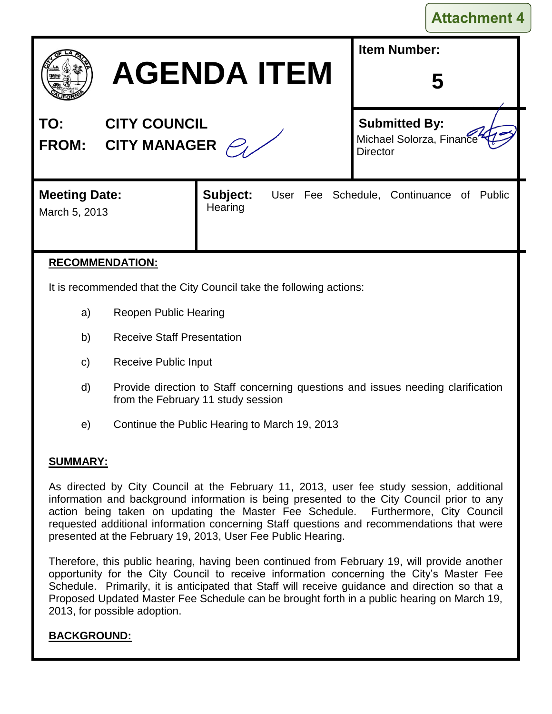|  | <b>Attachment 4</b> |  |
|--|---------------------|--|
|  |                     |  |

| <b>AGENDA ITEM</b>                                                |                     | <b>Item Number:</b> |                                                                     |  |  |  |  |
|-------------------------------------------------------------------|---------------------|---------------------|---------------------------------------------------------------------|--|--|--|--|
| <b>CITY COUNCIL</b><br>TO:<br><b>CITY MANAGER</b><br><b>FROM:</b> |                     |                     | <b>Submitted By:</b><br>Michael Solorza, Finance<br><b>Director</b> |  |  |  |  |
| <b>Meeting Date:</b><br>March 5, 2013                             | Subject:<br>Hearing |                     | User Fee Schedule, Continuance of Public                            |  |  |  |  |

### **RECOMMENDATION:**

It is recommended that the City Council take the following actions:

- a) Reopen Public Hearing
- b) Receive Staff Presentation
- c) Receive Public Input
- d) Provide direction to Staff concerning questions and issues needing clarification from the February 11 study session
- e) Continue the Public Hearing to March 19, 2013

#### **SUMMARY:**

As directed by City Council at the February 11, 2013, user fee study session, additional information and background information is being presented to the City Council prior to any action being taken on updating the Master Fee Schedule. Furthermore, City Council requested additional information concerning Staff questions and recommendations that were presented at the February 19, 2013, User Fee Public Hearing.

Therefore, this public hearing, having been continued from February 19, will provide another opportunity for the City Council to receive information concerning the City's Master Fee Schedule. Primarily, it is anticipated that Staff will receive guidance and direction so that a Proposed Updated Master Fee Schedule can be brought forth in a public hearing on March 19, 2013, for possible adoption.

### **BACKGROUND:**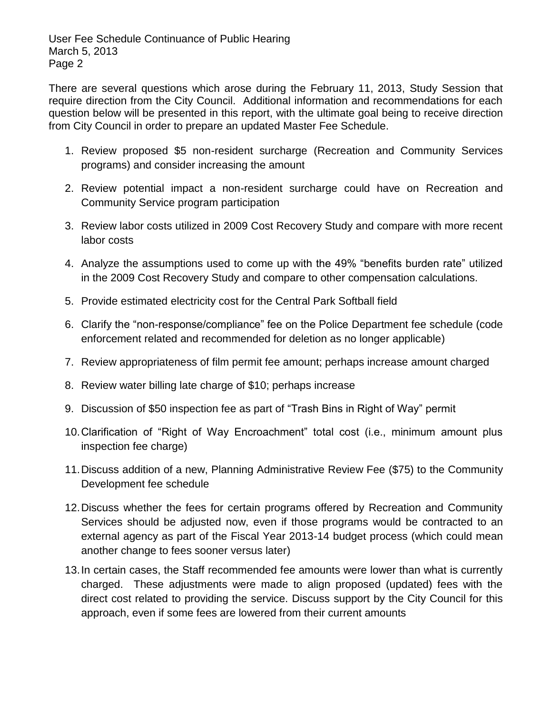There are several questions which arose during the February 11, 2013, Study Session that require direction from the City Council. Additional information and recommendations for each question below will be presented in this report, with the ultimate goal being to receive direction from City Council in order to prepare an updated Master Fee Schedule.

- 1. Review proposed \$5 non-resident surcharge (Recreation and Community Services programs) and consider increasing the amount
- 2. Review potential impact a non-resident surcharge could have on Recreation and Community Service program participation
- 3. Review labor costs utilized in 2009 Cost Recovery Study and compare with more recent labor costs
- 4. Analyze the assumptions used to come up with the 49% "benefits burden rate" utilized in the 2009 Cost Recovery Study and compare to other compensation calculations.
- 5. Provide estimated electricity cost for the Central Park Softball field
- 6. Clarify the "non-response/compliance" fee on the Police Department fee schedule (code enforcement related and recommended for deletion as no longer applicable)
- 7. Review appropriateness of film permit fee amount; perhaps increase amount charged
- 8. Review water billing late charge of \$10; perhaps increase
- 9. Discussion of \$50 inspection fee as part of "Trash Bins in Right of Way" permit
- 10.Clarification of "Right of Way Encroachment" total cost (i.e., minimum amount plus inspection fee charge)
- 11.Discuss addition of a new, Planning Administrative Review Fee (\$75) to the Community Development fee schedule
- 12.Discuss whether the fees for certain programs offered by Recreation and Community Services should be adjusted now, even if those programs would be contracted to an external agency as part of the Fiscal Year 2013-14 budget process (which could mean another change to fees sooner versus later)
- 13.In certain cases, the Staff recommended fee amounts were lower than what is currently charged. These adjustments were made to align proposed (updated) fees with the direct cost related to providing the service. Discuss support by the City Council for this approach, even if some fees are lowered from their current amounts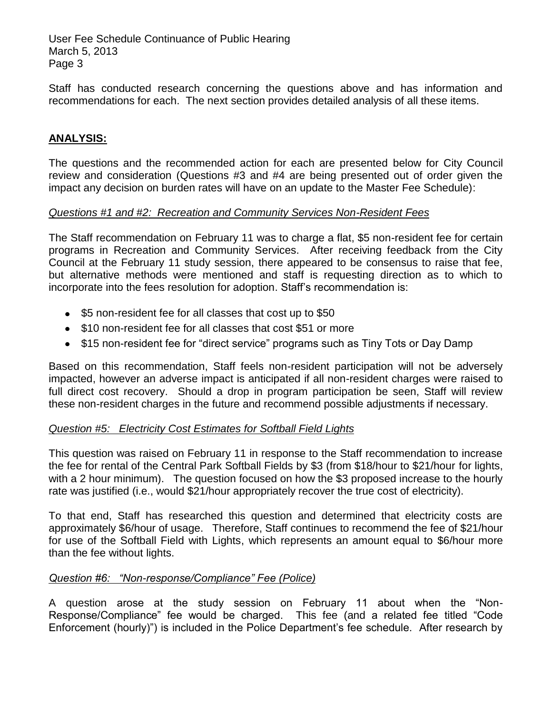Staff has conducted research concerning the questions above and has information and recommendations for each. The next section provides detailed analysis of all these items.

### **ANALYSIS:**

The questions and the recommended action for each are presented below for City Council review and consideration (Questions #3 and #4 are being presented out of order given the impact any decision on burden rates will have on an update to the Master Fee Schedule):

#### *Questions #1 and #2: Recreation and Community Services Non-Resident Fees*

The Staff recommendation on February 11 was to charge a flat, \$5 non-resident fee for certain programs in Recreation and Community Services. After receiving feedback from the City Council at the February 11 study session, there appeared to be consensus to raise that fee, but alternative methods were mentioned and staff is requesting direction as to which to incorporate into the fees resolution for adoption. Staff's recommendation is:

- \$5 non-resident fee for all classes that cost up to \$50
- \$10 non-resident fee for all classes that cost \$51 or more
- \$15 non-resident fee for "direct service" programs such as Tiny Tots or Day Damp

Based on this recommendation, Staff feels non-resident participation will not be adversely impacted, however an adverse impact is anticipated if all non-resident charges were raised to full direct cost recovery. Should a drop in program participation be seen, Staff will review these non-resident charges in the future and recommend possible adjustments if necessary.

### *Question #5: Electricity Cost Estimates for Softball Field Lights*

This question was raised on February 11 in response to the Staff recommendation to increase the fee for rental of the Central Park Softball Fields by \$3 (from \$18/hour to \$21/hour for lights, with a 2 hour minimum). The question focused on how the \$3 proposed increase to the hourly rate was justified (i.e., would \$21/hour appropriately recover the true cost of electricity).

To that end, Staff has researched this question and determined that electricity costs are approximately \$6/hour of usage. Therefore, Staff continues to recommend the fee of \$21/hour for use of the Softball Field with Lights, which represents an amount equal to \$6/hour more than the fee without lights.

### *Question #6: "Non-response/Compliance" Fee (Police)*

A question arose at the study session on February 11 about when the "Non-Response/Compliance" fee would be charged. This fee (and a related fee titled "Code Enforcement (hourly)") is included in the Police Department's fee schedule. After research by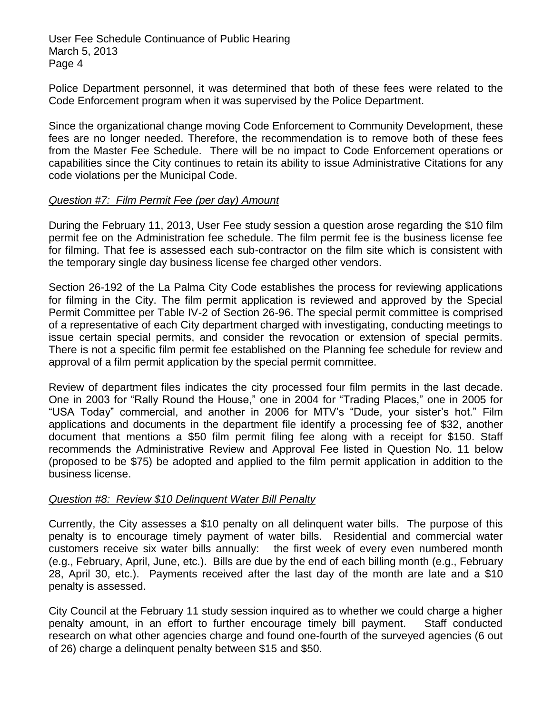Police Department personnel, it was determined that both of these fees were related to the Code Enforcement program when it was supervised by the Police Department.

Since the organizational change moving Code Enforcement to Community Development, these fees are no longer needed. Therefore, the recommendation is to remove both of these fees from the Master Fee Schedule. There will be no impact to Code Enforcement operations or capabilities since the City continues to retain its ability to issue Administrative Citations for any code violations per the Municipal Code.

#### *Question #7: Film Permit Fee (per day) Amount*

During the February 11, 2013, User Fee study session a question arose regarding the \$10 film permit fee on the Administration fee schedule. The film permit fee is the business license fee for filming. That fee is assessed each sub-contractor on the film site which is consistent with the temporary single day business license fee charged other vendors.

Section 26-192 of the La Palma City Code establishes the process for reviewing applications for filming in the City. The film permit application is reviewed and approved by the Special Permit Committee per Table IV-2 of Section 26-96. The special permit committee is comprised of a representative of each City department charged with investigating, conducting meetings to issue certain special permits, and consider the revocation or extension of special permits. There is not a specific film permit fee established on the Planning fee schedule for review and approval of a film permit application by the special permit committee.

Review of department files indicates the city processed four film permits in the last decade. One in 2003 for "Rally Round the House," one in 2004 for "Trading Places," one in 2005 for "USA Today" commercial, and another in 2006 for MTV's "Dude, your sister's hot." Film applications and documents in the department file identify a processing fee of \$32, another document that mentions a \$50 film permit filing fee along with a receipt for \$150. Staff recommends the Administrative Review and Approval Fee listed in Question No. 11 below (proposed to be \$75) be adopted and applied to the film permit application in addition to the business license.

#### *Question #8: Review \$10 Delinquent Water Bill Penalty*

Currently, the City assesses a \$10 penalty on all delinquent water bills. The purpose of this penalty is to encourage timely payment of water bills. Residential and commercial water customers receive six water bills annually: the first week of every even numbered month (e.g., February, April, June, etc.). Bills are due by the end of each billing month (e.g., February 28, April 30, etc.). Payments received after the last day of the month are late and a \$10 penalty is assessed.

City Council at the February 11 study session inquired as to whether we could charge a higher penalty amount, in an effort to further encourage timely bill payment. Staff conducted research on what other agencies charge and found one-fourth of the surveyed agencies (6 out of 26) charge a delinquent penalty between \$15 and \$50.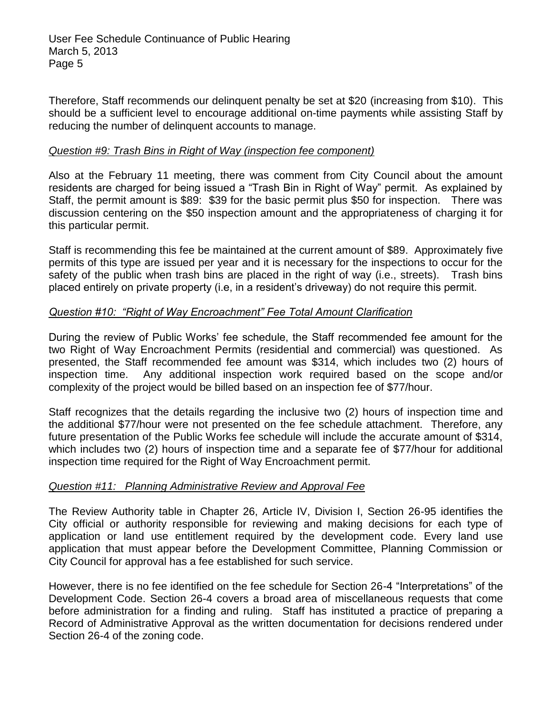Therefore, Staff recommends our delinquent penalty be set at \$20 (increasing from \$10). This should be a sufficient level to encourage additional on-time payments while assisting Staff by reducing the number of delinquent accounts to manage.

#### *Question #9: Trash Bins in Right of Way (inspection fee component)*

Also at the February 11 meeting, there was comment from City Council about the amount residents are charged for being issued a "Trash Bin in Right of Way" permit. As explained by Staff, the permit amount is \$89: \$39 for the basic permit plus \$50 for inspection. There was discussion centering on the \$50 inspection amount and the appropriateness of charging it for this particular permit.

Staff is recommending this fee be maintained at the current amount of \$89. Approximately five permits of this type are issued per year and it is necessary for the inspections to occur for the safety of the public when trash bins are placed in the right of way (i.e., streets). Trash bins placed entirely on private property (i.e, in a resident's driveway) do not require this permit.

#### *Question #10: "Right of Way Encroachment" Fee Total Amount Clarification*

During the review of Public Works' fee schedule, the Staff recommended fee amount for the two Right of Way Encroachment Permits (residential and commercial) was questioned. As presented, the Staff recommended fee amount was \$314, which includes two (2) hours of inspection time. Any additional inspection work required based on the scope and/or complexity of the project would be billed based on an inspection fee of \$77/hour.

Staff recognizes that the details regarding the inclusive two (2) hours of inspection time and the additional \$77/hour were not presented on the fee schedule attachment. Therefore, any future presentation of the Public Works fee schedule will include the accurate amount of \$314, which includes two (2) hours of inspection time and a separate fee of \$77/hour for additional inspection time required for the Right of Way Encroachment permit.

#### *Question #11: Planning Administrative Review and Approval Fee*

The Review Authority table in Chapter 26, Article IV, Division I, Section 26-95 identifies the City official or authority responsible for reviewing and making decisions for each type of application or land use entitlement required by the development code. Every land use application that must appear before the Development Committee, Planning Commission or City Council for approval has a fee established for such service.

However, there is no fee identified on the fee schedule for Section 26-4 "Interpretations" of the Development Code. Section 26-4 covers a broad area of miscellaneous requests that come before administration for a finding and ruling. Staff has instituted a practice of preparing a Record of Administrative Approval as the written documentation for decisions rendered under Section 26-4 of the zoning code.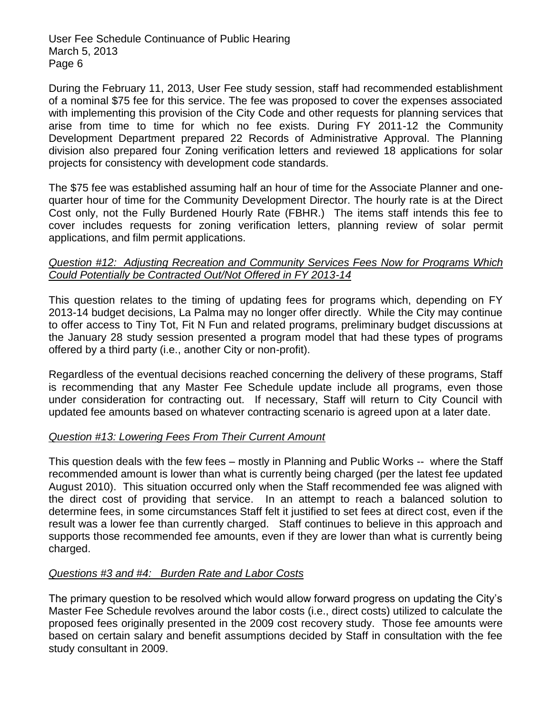During the February 11, 2013, User Fee study session, staff had recommended establishment of a nominal \$75 fee for this service. The fee was proposed to cover the expenses associated with implementing this provision of the City Code and other requests for planning services that arise from time to time for which no fee exists. During FY 2011-12 the Community Development Department prepared 22 Records of Administrative Approval. The Planning division also prepared four Zoning verification letters and reviewed 18 applications for solar projects for consistency with development code standards.

The \$75 fee was established assuming half an hour of time for the Associate Planner and onequarter hour of time for the Community Development Director. The hourly rate is at the Direct Cost only, not the Fully Burdened Hourly Rate (FBHR.) The items staff intends this fee to cover includes requests for zoning verification letters, planning review of solar permit applications, and film permit applications.

#### *Question #12: Adjusting Recreation and Community Services Fees Now for Programs Which Could Potentially be Contracted Out/Not Offered in FY 2013-14*

This question relates to the timing of updating fees for programs which, depending on FY 2013-14 budget decisions, La Palma may no longer offer directly. While the City may continue to offer access to Tiny Tot, Fit N Fun and related programs, preliminary budget discussions at the January 28 study session presented a program model that had these types of programs offered by a third party (i.e., another City or non-profit).

Regardless of the eventual decisions reached concerning the delivery of these programs, Staff is recommending that any Master Fee Schedule update include all programs, even those under consideration for contracting out. If necessary, Staff will return to City Council with updated fee amounts based on whatever contracting scenario is agreed upon at a later date.

#### *Question #13: Lowering Fees From Their Current Amount*

This question deals with the few fees – mostly in Planning and Public Works -- where the Staff recommended amount is lower than what is currently being charged (per the latest fee updated August 2010). This situation occurred only when the Staff recommended fee was aligned with the direct cost of providing that service. In an attempt to reach a balanced solution to determine fees, in some circumstances Staff felt it justified to set fees at direct cost, even if the result was a lower fee than currently charged. Staff continues to believe in this approach and supports those recommended fee amounts, even if they are lower than what is currently being charged.

#### *Questions #3 and #4: Burden Rate and Labor Costs*

The primary question to be resolved which would allow forward progress on updating the City's Master Fee Schedule revolves around the labor costs (i.e., direct costs) utilized to calculate the proposed fees originally presented in the 2009 cost recovery study. Those fee amounts were based on certain salary and benefit assumptions decided by Staff in consultation with the fee study consultant in 2009.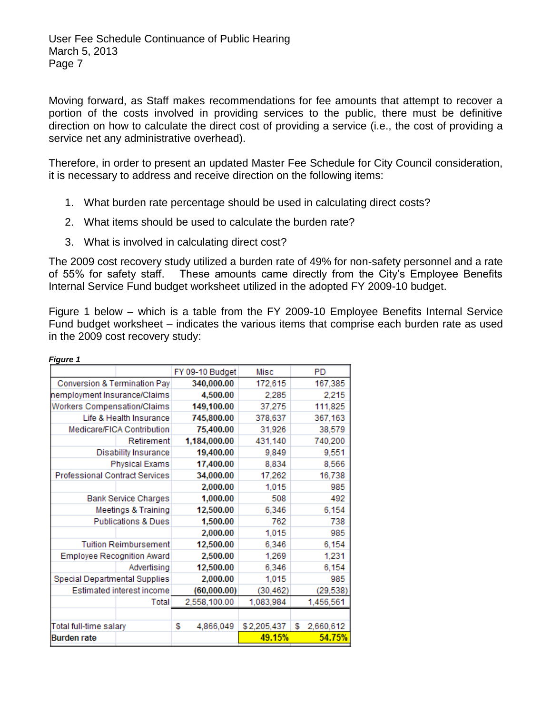Moving forward, as Staff makes recommendations for fee amounts that attempt to recover a portion of the costs involved in providing services to the public, there must be definitive direction on how to calculate the direct cost of providing a service (i.e., the cost of providing a service net any administrative overhead).

Therefore, in order to present an updated Master Fee Schedule for City Council consideration, it is necessary to address and receive direction on the following items:

- 1. What burden rate percentage should be used in calculating direct costs?
- 2. What items should be used to calculate the burden rate?
- 3. What is involved in calculating direct cost?

The 2009 cost recovery study utilized a burden rate of 49% for non-safety personnel and a rate of 55% for safety staff. These amounts came directly from the City's Employee Benefits Internal Service Fund budget worksheet utilized in the adopted FY 2009-10 budget.

Figure 1 below – which is a table from the FY 2009-10 Employee Benefits Internal Service Fund budget worksheet – indicates the various items that comprise each burden rate as used in the 2009 cost recovery study:

| <b>Figure 1</b>                       |                 |             |                 |
|---------------------------------------|-----------------|-------------|-----------------|
|                                       | FY 09-10 Budget | Misc        | PD              |
| Conversion & Termination Pay          | 340,000.00      | 172,615     | 167,385         |
| nemployment Insurance/Claims          | 4,500.00        | 2.285       | 2.215           |
| Workers Compensation/Claims           | 149,100.00      | 37,275      | 111,825         |
| Life & Health Insurance               | 745,800.00      | 378,637     | 367,163         |
| Medicare/FICA Contribution            | 75,400.00       | 31,926      | 38,579          |
| Retirement                            | 1,184,000.00    | 431,140     | 740,200         |
| <b>Disability Insurance</b>           | 19,400.00       | 9,849       | 9,551           |
| <b>Physical Exams</b>                 | 17,400.00       | 8,834       | 8,566           |
| <b>Professional Contract Services</b> | 34,000.00       | 17,262      | 16,738          |
|                                       | 2,000.00        | 1,015       | 985             |
| <b>Bank Service Charges</b>           | 1,000.00        | 508         | 492             |
| <b>Meetings &amp; Training</b>        | 12,500.00       | 6,346       | 6,154           |
| <b>Publications &amp; Dues</b>        | 1,500.00        | 762         | 738             |
|                                       | 2,000.00        | 1,015       | 985             |
| <b>Tuition Reimbursement</b>          | 12,500.00       | 6,346       | 6,154           |
| <b>Employee Recognition Award</b>     | 2,500.00        | 1,269       | 1,231           |
| Advertising                           | 12,500.00       | 6,346       | 6,154           |
| Special Departmental Supplies         | 2,000.00        | 1,015       | 985             |
| Estimated interest income             | (60,000.00)     | (30, 462)   | (29, 538)       |
| Total                                 | 2,558,100.00    | 1,083,984   | 1,456,561       |
|                                       |                 |             |                 |
| Total full-time salary                | \$<br>4,866,049 | \$2,205,437 | \$<br>2,660,612 |
| Burden rate                           |                 | 49.15%      | 54.75%          |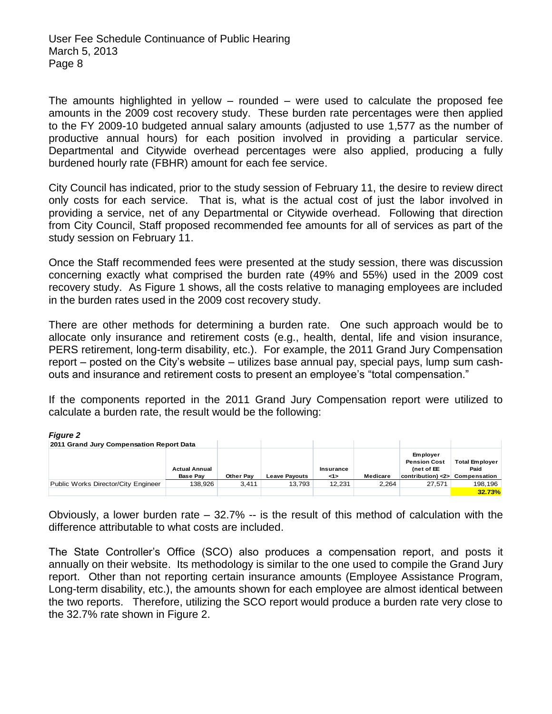The amounts highlighted in yellow – rounded – were used to calculate the proposed fee amounts in the 2009 cost recovery study. These burden rate percentages were then applied to the FY 2009-10 budgeted annual salary amounts (adjusted to use 1,577 as the number of productive annual hours) for each position involved in providing a particular service. Departmental and Citywide overhead percentages were also applied, producing a fully burdened hourly rate (FBHR) amount for each fee service.

City Council has indicated, prior to the study session of February 11, the desire to review direct only costs for each service. That is, what is the actual cost of just the labor involved in providing a service, net of any Departmental or Citywide overhead. Following that direction from City Council, Staff proposed recommended fee amounts for all of services as part of the study session on February 11.

Once the Staff recommended fees were presented at the study session, there was discussion concerning exactly what comprised the burden rate (49% and 55%) used in the 2009 cost recovery study. As Figure 1 shows, all the costs relative to managing employees are included in the burden rates used in the 2009 cost recovery study.

There are other methods for determining a burden rate. One such approach would be to allocate only insurance and retirement costs (e.g., health, dental, life and vision insurance, PERS retirement, long-term disability, etc.). For example, the 2011 Grand Jury Compensation report – posted on the City's website – utilizes base annual pay, special pays, lump sum cashouts and insurance and retirement costs to present an employee's "total compensation."

If the components reported in the 2011 Grand Jury Compensation report were utilized to calculate a burden rate, the result would be the following:

| <b>Figure 2</b>                          |                                         |           |                      |                |          |                                                                                    |                               |
|------------------------------------------|-----------------------------------------|-----------|----------------------|----------------|----------|------------------------------------------------------------------------------------|-------------------------------|
| 2011 Grand Jury Compensation Report Data |                                         |           |                      |                |          |                                                                                    |                               |
|                                          | <b>Actual Annual</b><br><b>Base Pav</b> | Other Pay | <b>Leave Pavouts</b> | Insurance<br>1 | Medicare | <b>Employer</b><br><b>Pension Cost</b><br>(net of EE<br>$control < 2$ Compensation | <b>Total Employer</b><br>Paid |
| Public Works Director/City Engineer      | 138.926                                 | 3.411     | 13.793               | 12.231         | 2.264    | 27.571                                                                             | 198.196                       |
|                                          |                                         |           |                      |                |          |                                                                                    | 32.73%                        |

Obviously, a lower burden rate  $-32.7\%$  -- is the result of this method of calculation with the difference attributable to what costs are included.

The State Controller's Office (SCO) also produces a compensation report, and posts it annually on their website. Its methodology is similar to the one used to compile the Grand Jury report. Other than not reporting certain insurance amounts (Employee Assistance Program, Long-term disability, etc.), the amounts shown for each employee are almost identical between the two reports. Therefore, utilizing the SCO report would produce a burden rate very close to the 32.7% rate shown in Figure 2.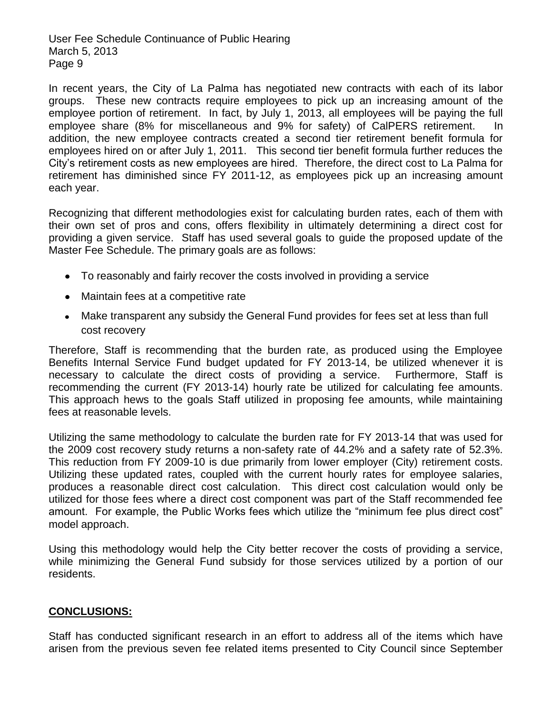In recent years, the City of La Palma has negotiated new contracts with each of its labor groups. These new contracts require employees to pick up an increasing amount of the employee portion of retirement. In fact, by July 1, 2013, all employees will be paying the full employee share (8% for miscellaneous and 9% for safety) of CalPERS retirement. addition, the new employee contracts created a second tier retirement benefit formula for employees hired on or after July 1, 2011. This second tier benefit formula further reduces the City's retirement costs as new employees are hired. Therefore, the direct cost to La Palma for retirement has diminished since FY 2011-12, as employees pick up an increasing amount each year.

Recognizing that different methodologies exist for calculating burden rates, each of them with their own set of pros and cons, offers flexibility in ultimately determining a direct cost for providing a given service. Staff has used several goals to guide the proposed update of the Master Fee Schedule. The primary goals are as follows:

- To reasonably and fairly recover the costs involved in providing a service
- Maintain fees at a competitive rate
- Make transparent any subsidy the General Fund provides for fees set at less than full cost recovery

Therefore, Staff is recommending that the burden rate, as produced using the Employee Benefits Internal Service Fund budget updated for FY 2013-14, be utilized whenever it is necessary to calculate the direct costs of providing a service. Furthermore, Staff is recommending the current (FY 2013-14) hourly rate be utilized for calculating fee amounts. This approach hews to the goals Staff utilized in proposing fee amounts, while maintaining fees at reasonable levels.

Utilizing the same methodology to calculate the burden rate for FY 2013-14 that was used for the 2009 cost recovery study returns a non-safety rate of 44.2% and a safety rate of 52.3%. This reduction from FY 2009-10 is due primarily from lower employer (City) retirement costs. Utilizing these updated rates, coupled with the current hourly rates for employee salaries, produces a reasonable direct cost calculation. This direct cost calculation would only be utilized for those fees where a direct cost component was part of the Staff recommended fee amount. For example, the Public Works fees which utilize the "minimum fee plus direct cost" model approach.

Using this methodology would help the City better recover the costs of providing a service, while minimizing the General Fund subsidy for those services utilized by a portion of our residents.

#### **CONCLUSIONS:**

Staff has conducted significant research in an effort to address all of the items which have arisen from the previous seven fee related items presented to City Council since September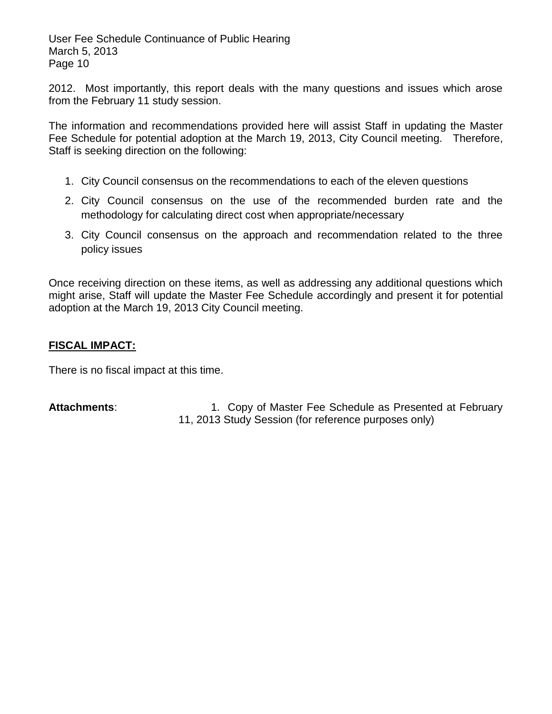2012. Most importantly, this report deals with the many questions and issues which arose from the February 11 study session.

The information and recommendations provided here will assist Staff in updating the Master Fee Schedule for potential adoption at the March 19, 2013, City Council meeting. Therefore, Staff is seeking direction on the following:

- 1. City Council consensus on the recommendations to each of the eleven questions
- 2. City Council consensus on the use of the recommended burden rate and the methodology for calculating direct cost when appropriate/necessary
- 3. City Council consensus on the approach and recommendation related to the three policy issues

Once receiving direction on these items, as well as addressing any additional questions which might arise, Staff will update the Master Fee Schedule accordingly and present it for potential adoption at the March 19, 2013 City Council meeting.

### **FISCAL IMPACT:**

There is no fiscal impact at this time.

Attachments: 1. Copy of Master Fee Schedule as Presented at February 11, 2013 Study Session (for reference purposes only)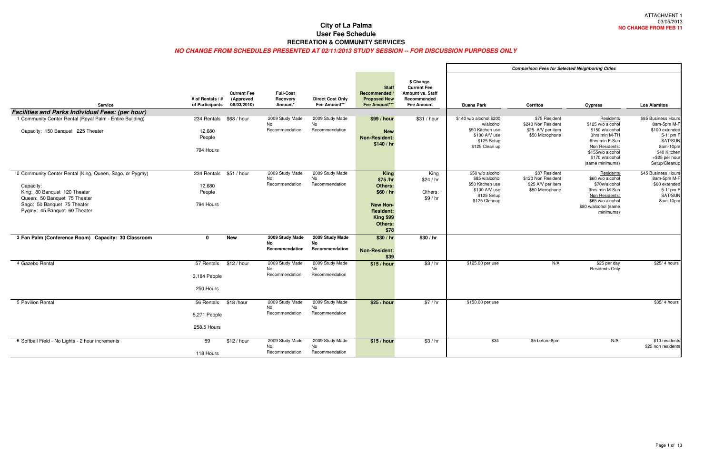|                                                          |                                     |                                                |                                         |                                         |                                                                       |                                                                                                 |                                                                    | Comp |
|----------------------------------------------------------|-------------------------------------|------------------------------------------------|-----------------------------------------|-----------------------------------------|-----------------------------------------------------------------------|-------------------------------------------------------------------------------------------------|--------------------------------------------------------------------|------|
| <b>Service</b>                                           | # of Rentals / #<br>of Participants | <b>Current Fee</b><br>(Approved<br>08/03/2010) | <b>Full-Cost</b><br>Recovery<br>Amount* | <b>Direct Cost Only</b><br>Fee Amount** | <b>Staff</b><br>Recommended /<br><b>Proposed New</b><br>Fee Amount*** | \$ Change,<br><b>Current Fee</b><br><b>Amount vs. Staff</b><br>Recommended<br><b>Fee Amount</b> | <b>Buena Park</b>                                                  |      |
| <b>Facilities and Parks Individual Fees: (per hour)</b>  |                                     |                                                |                                         |                                         |                                                                       |                                                                                                 | \$140 w/o alcohol \$200                                            |      |
| 1 Community Center Rental (Royal Palm - Entire Building) | 234 Rentals                         | \$68 / hour                                    | 2009 Study Made<br>No                   | 2009 Study Made<br>No                   | \$99/hour                                                             | \$31 / hour                                                                                     | w/alcohol                                                          |      |
| Capacity: 150 Banquet 225 Theater                        | 12,680<br>People                    |                                                | Recommendation                          | Recommendation                          | <b>New</b><br><b>Non-Resident:</b><br>\$140/hr                        |                                                                                                 | \$50 Kitchen use<br>\$100 A/V use<br>\$125 Setup<br>\$125 Clean up |      |
|                                                          | 794 Hours                           |                                                |                                         |                                         |                                                                       |                                                                                                 |                                                                    |      |
|                                                          |                                     | \$51/hour                                      | 2009 Study Made                         | 2009 Study Made                         |                                                                       |                                                                                                 | \$50 w/o alcohol                                                   |      |
| 2 Community Center Rental (King, Queen, Sago, or Pygmy)  | 234 Rentals                         |                                                | No                                      | No                                      | <b>King</b><br>\$75 /hr                                               | King<br>\$24 / hr                                                                               | \$85 w/alcohol                                                     |      |
| Capacity:                                                | 12,680                              |                                                | Recommendation                          | Recommendation                          | Others:                                                               |                                                                                                 | \$50 Kitchen use                                                   |      |
| King: 80 Banquet 120 Theater                             | People                              |                                                |                                         |                                         | \$60 / hr                                                             | Others:                                                                                         | \$100 A/V use<br>\$125 Setup                                       |      |
| Queen: 50 Banquet 75 Theater                             |                                     |                                                |                                         |                                         |                                                                       | \$9/hr                                                                                          | \$125 Cleanup                                                      |      |
| Sago: 50 Banquet 75 Theater                              | 794 Hours                           |                                                |                                         |                                         | <b>New Non-</b>                                                       |                                                                                                 |                                                                    |      |
| Pygmy: 45 Banquet 60 Theater                             |                                     |                                                |                                         |                                         | <b>Resident:</b>                                                      |                                                                                                 |                                                                    |      |
|                                                          |                                     |                                                |                                         |                                         | <b>King \$99</b><br>Others:                                           |                                                                                                 |                                                                    |      |
|                                                          |                                     |                                                |                                         |                                         | \$78                                                                  |                                                                                                 |                                                                    |      |
| 3 Fan Palm (Conference Room) Capacity: 30 Classroom      | $\mathbf{0}$                        | <b>New</b>                                     | 2009 Study Made                         | 2009 Study Made                         | \$30/hr                                                               | \$30/hr                                                                                         |                                                                    |      |
|                                                          |                                     |                                                | <b>No</b>                               | <b>No</b>                               |                                                                       |                                                                                                 |                                                                    |      |
|                                                          |                                     |                                                | Recommendation                          | Recommendation                          | <b>Non-Resident:</b>                                                  |                                                                                                 |                                                                    |      |
| 4 Gazebo Rental                                          | 57 Rentals                          | \$12 / hour                                    | 2009 Study Made                         | 2009 Study Made                         | \$39<br>\$15/hour                                                     | \$3/hr                                                                                          | \$125.00 per use                                                   |      |
|                                                          |                                     |                                                | No                                      | No                                      |                                                                       |                                                                                                 |                                                                    |      |
|                                                          | 3,184 People                        |                                                | Recommendation                          | Recommendation                          |                                                                       |                                                                                                 |                                                                    |      |
|                                                          |                                     |                                                |                                         |                                         |                                                                       |                                                                                                 |                                                                    |      |
|                                                          | 250 Hours                           |                                                |                                         |                                         |                                                                       |                                                                                                 |                                                                    |      |
| 5 Pavilion Rental                                        | 56 Rentals                          | \$18/hour                                      | 2009 Study Made                         | 2009 Study Made                         | \$25 / hour                                                           | \$7/hr                                                                                          | \$150.00 per use                                                   |      |
|                                                          |                                     |                                                | No.                                     | No                                      |                                                                       |                                                                                                 |                                                                    |      |
|                                                          | 5,271 People                        |                                                | Recommendation                          | Recommendation                          |                                                                       |                                                                                                 |                                                                    |      |
|                                                          | 258.5 Hours                         |                                                |                                         |                                         |                                                                       |                                                                                                 |                                                                    |      |
|                                                          |                                     |                                                |                                         |                                         |                                                                       |                                                                                                 |                                                                    |      |
| 6 Softball Field - No Lights - 2 hour increments         | 59                                  | \$12 / hour                                    | 2009 Study Made                         | 2009 Study Made                         | \$15/hour                                                             | \$3/hr                                                                                          | \$34                                                               |      |
|                                                          |                                     |                                                | No<br>Recommendation                    | No<br>Recommendation                    |                                                                       |                                                                                                 |                                                                    |      |
|                                                          | 118 Hours                           |                                                |                                         |                                         |                                                                       |                                                                                                 |                                                                    |      |

|                                  | <b>Comparison Fees for Selected Neighboring Cities</b>                                                     |                                                                             |                                                                                                                                                                  |                                                                                                                                            |  |  |  |  |  |  |  |  |  |
|----------------------------------|------------------------------------------------------------------------------------------------------------|-----------------------------------------------------------------------------|------------------------------------------------------------------------------------------------------------------------------------------------------------------|--------------------------------------------------------------------------------------------------------------------------------------------|--|--|--|--|--|--|--|--|--|
| taff<br>эd<br>t                  | <b>Buena Park</b>                                                                                          | <b>Cerritos</b>                                                             | <b>Cypress</b>                                                                                                                                                   | <b>Los Alamitos</b>                                                                                                                        |  |  |  |  |  |  |  |  |  |
| our                              | \$140 w/o alcohol \$200<br>w/alcohol<br>\$50 Kitchen use<br>\$100 A/V use<br>\$125 Setup<br>\$125 Clean up | \$75 Resident<br>\$240 Non Resident<br>\$25 A/V per item<br>\$50 Microphone | Residents<br>\$125 w/o alcohol<br>\$150 w/alcohol<br>3hrs min M-TH<br>6hrs min F-Sun<br>Non Residents:<br>\$155w/o alcohol<br>\$170 w/alcohol<br>(same minimums) | \$85 Business Hours<br>8am-5pm M-F<br>\$100 extended<br>5-11pm F<br>SAT/SUN<br>8am-10pm<br>\$40 Kitchen<br>+\$25 per hour<br>Setup/Cleanup |  |  |  |  |  |  |  |  |  |
| .<br>ing<br>/ hr<br>ers:<br>/ hr | \$50 w/o alcohol<br>\$85 w/alcohol<br>\$50 Kitchen use<br>\$100 A/V use<br>\$125 Setup<br>\$125 Cleanup    | \$37 Resident<br>\$120 Non Resident<br>\$25 A/V per item<br>\$50 Microphone | Residents<br>\$60 w/o alcohol<br>\$70w/alcohol<br>3hrs min M-Sun<br>Non Residents:<br>\$65 w/o alcohol<br>\$80 w/alcohol (same<br>minimums)                      | \$45 Business Hours<br>8am-5pm M-F<br>\$60 extended<br>5-11pm F<br>SAT/SUN<br>8am-10pm                                                     |  |  |  |  |  |  |  |  |  |
| hr                               |                                                                                                            |                                                                             |                                                                                                                                                                  |                                                                                                                                            |  |  |  |  |  |  |  |  |  |
| / hr                             | \$125.00 per use                                                                                           | N/A                                                                         | \$25 per day<br><b>Residents Only</b>                                                                                                                            | \$25/4 hours                                                                                                                               |  |  |  |  |  |  |  |  |  |
| /hr                              | \$150.00 per use                                                                                           |                                                                             |                                                                                                                                                                  | \$35/4 hours                                                                                                                               |  |  |  |  |  |  |  |  |  |
| / hr                             | \$34                                                                                                       | \$5 before 8pm                                                              | N/A                                                                                                                                                              | \$10 residents<br>\$25 non residents                                                                                                       |  |  |  |  |  |  |  |  |  |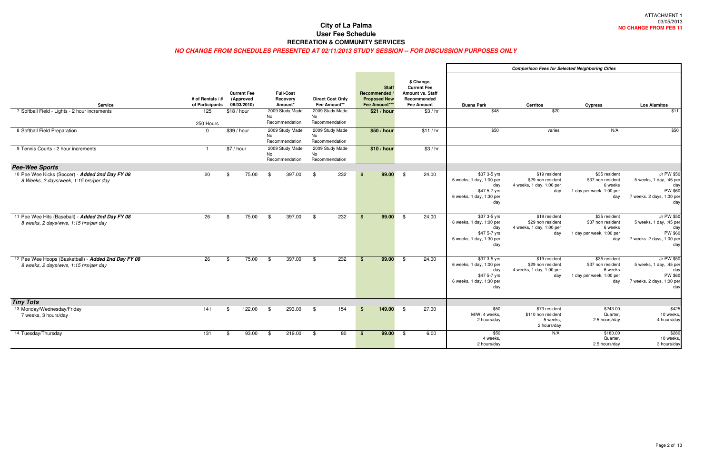|                                                                                              |                                                        |             |                                                |     |                                                            |     |                                                            |             |                                                                                    |      |                                                                                                    |                                                                                                    | <b>Comparison Fees for S</b>                                      |
|----------------------------------------------------------------------------------------------|--------------------------------------------------------|-------------|------------------------------------------------|-----|------------------------------------------------------------|-----|------------------------------------------------------------|-------------|------------------------------------------------------------------------------------|------|----------------------------------------------------------------------------------------------------|----------------------------------------------------------------------------------------------------|-------------------------------------------------------------------|
| <b>Service</b><br>7 Softball Field - Lights - 2 hour increments                              | # of Rentals / #<br>of Participants<br>$\frac{125}{2}$ | \$18/hour   | <b>Current Fee</b><br>(Approved<br>08/03/2010) |     | <b>Full-Cost</b><br>Recovery<br>Amount*<br>2009 Study Made |     | <b>Direct Cost Only</b><br>Fee Amount**<br>2009 Study Made |             | <b>Staff</b><br>Recommended<br><b>Proposed New</b><br>Fee Amount***<br>\$21 / hour |      | \$ Change,<br><b>Current Fee</b><br>Amount vs. Staff<br>Recommended<br><b>Fee Amount</b><br>\$3/hr | <b>Buena Park</b><br>\$48                                                                          | <b>Cerritos</b><br>\$20                                           |
|                                                                                              | 250 Hours                                              |             |                                                | No. | Recommendation                                             | No. | Recommendation                                             |             |                                                                                    |      |                                                                                                    |                                                                                                    |                                                                   |
| 8 Softball Field Preparation                                                                 | $\Omega$                                               | \$39 / hour |                                                | No  | 2009 Study Made<br>Recommendation                          | No  | 2009 Study Made<br>Recommendation                          |             | \$50 / hour                                                                        |      | \$11/hr                                                                                            | \$50                                                                                               | varies                                                            |
| 9 Tennis Courts - 2 hour increments                                                          | $\mathbf{1}$                                           | \$7 / hour  |                                                | No  | 2009 Study Made<br>Recommendation                          | No  | 2009 Study Made<br>Recommendation                          |             | \$10 / hour                                                                        |      | \$3/hr                                                                                             |                                                                                                    |                                                                   |
| <b>Pee-Wee Sports</b>                                                                        |                                                        |             |                                                |     |                                                            |     |                                                            |             |                                                                                    |      |                                                                                                    |                                                                                                    |                                                                   |
| 10 Pee Wee Kicks (Soccer) - Added 2nd Day FY 08<br>8 Weeks, 2 days/week, 1:15 hrs/per day    | 20                                                     | \$          | 75.00                                          | \$  | 397.00                                                     | \$  | 232                                                        | \$          | 99.00                                                                              | - \$ | 24.00                                                                                              | \$37 3-5 yrs<br>6 weeks, 1 day, 1:00 per<br>day<br>\$47 5-7 yrs<br>6 weeks, 1 day, 1:30 per<br>day | \$19 resider<br>\$29 non resider<br>4 weeks, 1 day, 1:00 pe<br>da |
| 11 Pee Wee Hits (Baseball) - Added 2nd Day FY 08<br>8 weeks, 2 days/wwe, 1:15 hrs/per day    | 26                                                     | \$          | 75.00                                          | \$  | 397.00                                                     | \$  | 232                                                        | $$^{\circ}$ | 99.00                                                                              | \$   | 24.00                                                                                              | \$37 3-5 yrs<br>6 weeks, 1 day, 1:00 per<br>day<br>\$47 5-7 yrs<br>6 weeks, 1 day, 1:30 per<br>day | \$19 resider<br>\$29 non resider<br>4 weeks, 1 day, 1:00 pe<br>da |
| 12 Pee Wee Hoops (Basketball) - Added 2nd Day FY 08<br>8 weeks, 2 days/wwe, 1:15 hrs/per day | 26                                                     | \$          | 75.00                                          | \$  | 397.00                                                     | \$  | 232                                                        | $$^{\circ}$ | 99.00                                                                              | \$   | 24.00                                                                                              | \$37 3-5 yrs<br>6 weeks, 1 day, 1:00 per<br>day<br>\$47 5-7 yrs<br>6 weeks, 1 day, 1:30 per<br>day | \$19 resider<br>\$29 non resider<br>4 weeks, 1 day, 1:00 pe<br>da |
| <b>Tiny Tots</b>                                                                             |                                                        |             |                                                |     |                                                            |     |                                                            |             |                                                                                    |      |                                                                                                    |                                                                                                    |                                                                   |
| 13 Monday/Wednesday/Friday<br>7 weeks, 3 hours/day                                           | 141                                                    | \$          | 122.00                                         | \$  | 293.00                                                     | \$  | 154                                                        | \$          | 149.00                                                                             | \$   | 27.00                                                                                              | \$50<br>M/W, 4 weeks,<br>2 hours/day                                                               | \$73 resider<br>\$110 non resider<br>5 weeks<br>2 hours/da        |
| 14 Tuesday/Thursday                                                                          | 131                                                    | \$          | 93.00                                          | \$  | 219.00                                                     | \$  | 80                                                         | $$^{\circ}$ | 99.00                                                                              | \$   | 6.00                                                                                               | \$50<br>4 weeks,<br>2 hours/day                                                                    | N/A                                                               |

|                        |                                                                                                    | <b>Comparison Fees for Selected Neighboring Cities</b>                |                                                                                  |                                                                                                    |
|------------------------|----------------------------------------------------------------------------------------------------|-----------------------------------------------------------------------|----------------------------------------------------------------------------------|----------------------------------------------------------------------------------------------------|
| taff<br>эđ<br>t<br>/hr | <b>Buena Park</b><br>\$48                                                                          | <b>Cerritos</b><br>\$20                                               | <b>Cypress</b>                                                                   | <b>Los Alamitos</b><br>\$11                                                                        |
| / hr                   | \$50                                                                                               | varies                                                                | N/A                                                                              | \$50                                                                                               |
| / hr                   |                                                                                                    |                                                                       |                                                                                  |                                                                                                    |
| 00                     | \$37 3-5 yrs<br>6 weeks, 1 day, 1:00 per<br>day<br>\$47 5-7 yrs<br>6 weeks, 1 day, 1:30 per<br>day | \$19 resident<br>\$29 non resident<br>4 weeks, 1 day, 1:00 per<br>day | \$35 resident<br>\$37 non resident<br>6 weeks<br>1 day per week, 1:00 per<br>day | Jr PW \$50<br>5 weeks, 1 day, :45 per<br>day<br><b>PW \$60</b><br>7 weeks. 2 days, 1:00 per<br>day |
| 00                     | \$37 3-5 yrs<br>6 weeks, 1 day, 1:00 per<br>day<br>\$47 5-7 yrs<br>6 weeks, 1 day, 1:30 per<br>day | \$19 resident<br>\$29 non resident<br>4 weeks, 1 day, 1:00 per<br>day | \$35 resident<br>\$37 non resident<br>6 weeks<br>1 day per week, 1:00 per<br>day | Jr PW \$50<br>5 weeks, 1 day, :45 per<br>day<br>PW \$60<br>7 weeks. 2 days, 1:00 per<br>day        |
| $\overline{50}$        | \$37 3-5 yrs<br>6 weeks, 1 day, 1:00 per<br>day<br>\$47 5-7 yrs<br>6 weeks, 1 day, 1:30 per<br>day | \$19 resident<br>\$29 non resident<br>4 weeks, 1 day, 1:00 per<br>day | \$35 resident<br>\$37 non resident<br>6 weeks<br>1 day per week, 1:00 per<br>day | Jr PW \$50<br>5 weeks, 1 day, :45 per<br>day<br>PW \$60<br>7 weeks. 2 days, 1:00 per<br>day        |
| 00                     | \$50<br>M/W, 4 weeks,<br>2 hours/day                                                               | \$73 resident<br>\$110 non resident<br>5 weeks.<br>2 hours/day        | \$243.00<br>Quarter,<br>2.5 hours/day                                            | \$425<br>10 weeks,<br>4 hours/day                                                                  |
| 00                     | \$50<br>4 weeks,<br>2 hours/day                                                                    | N/A                                                                   | \$180.00<br>Quarter,<br>2.5 hours/day                                            | \$280<br>10 weeks,<br>3 hours/day                                                                  |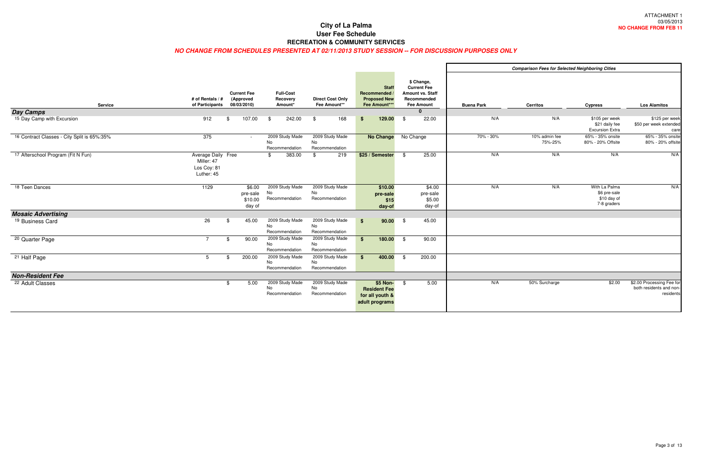|                                             |                                                               |                                                |                                                |                                                |                                                                      |      |                                                                                          |                   | <b>Comparison Fees for Selected Neighboring Cities</b> |                                                             |                                                                |
|---------------------------------------------|---------------------------------------------------------------|------------------------------------------------|------------------------------------------------|------------------------------------------------|----------------------------------------------------------------------|------|------------------------------------------------------------------------------------------|-------------------|--------------------------------------------------------|-------------------------------------------------------------|----------------------------------------------------------------|
| <b>Service</b>                              | # of Rentals / #<br>of Participants                           | <b>Current Fee</b><br>(Approved<br>08/03/2010) | <b>Full-Cost</b><br>Recovery<br>Amount*        | <b>Direct Cost Only</b><br>Fee Amount**        | <b>Staff</b><br>Recommended<br><b>Proposed New</b><br>Fee Amount***  |      | \$ Change,<br><b>Current Fee</b><br>Amount vs. Staff<br>Recommended<br><b>Fee Amount</b> | <b>Buena Park</b> | <b>Cerritos</b>                                        | <b>Cypress</b>                                              | <b>Los Alamitos</b>                                            |
| <b>Day Camps</b>                            |                                                               |                                                |                                                |                                                |                                                                      |      |                                                                                          |                   |                                                        |                                                             |                                                                |
| 15 Day Camp with Excursion                  | 912                                                           | 107.00<br>\$                                   | 242.00<br>\$                                   | 168<br>\$                                      | 129.00<br>\$                                                         | - \$ | 22.00                                                                                    | N/A               | N/A                                                    | \$105 per week<br>\$21 daily fee<br><b>Excursion Extra</b>  | \$125 per weel<br>\$50 per week extende<br>car                 |
| 16 Contract Classes - City Split is 65%:35% | 375                                                           | $\sim$ $-$                                     | 2009 Study Made<br>No<br>Recommendation        | 2009 Study Made<br>No<br>Recommendation        | <b>No Change</b>                                                     |      | No Change                                                                                | 70% - 30%         | 10% admin fee<br>75%-25%                               | 65% - 35% onsite<br>80% - 20% Offsite                       | 65% - 35% onsit<br>80% - 20% offsit                            |
| 17 Afterschool Program (Fit N Fun)          | Average Daily Free<br>Miller: 47<br>Los Coy: 81<br>Luther: 45 |                                                | 383.00<br>\$.                                  | 219<br>\$                                      | \$25 / Semester                                                      | - \$ | 25.00                                                                                    | N/A               | N/A                                                    | N/A                                                         | N/A                                                            |
| 18 Teen Dances                              | 1129                                                          | \$6.00<br>pre-sale<br>\$10.00<br>day of        | 2009 Study Made<br>No<br>Recommendation        | 2009 Study Made<br>No<br>Recommendation        | \$10.00<br>pre-sale<br>\$15<br>day-of                                |      | \$4.00<br>pre-sale<br>\$5.00<br>day-of                                                   | N/A               | N/A                                                    | With La Palma<br>\$6 pre-sale<br>\$10 day of<br>7-8 graders | N/A                                                            |
| <b>Mosaic Advertising</b>                   |                                                               |                                                |                                                |                                                |                                                                      |      |                                                                                          |                   |                                                        |                                                             |                                                                |
| <sup>19</sup> Business Card                 | 26                                                            | 45.00<br>\$                                    | 2009 Study Made<br><b>No</b><br>Recommendation | 2009 Study Made<br><b>No</b><br>Recommendation | 90.00<br>\$                                                          | - \$ | 45.00                                                                                    |                   |                                                        |                                                             |                                                                |
| <sup>20</sup> Quarter Page                  | $\overline{7}$                                                | 90.00<br>\$                                    | 2009 Study Made<br>No<br>Recommendation        | 2009 Study Made<br>No<br>Recommendation        | 180.00<br>\$                                                         | - \$ | 90.00                                                                                    |                   |                                                        |                                                             |                                                                |
| $\overline{21}$ Half Page                   | 5                                                             | 200.00                                         | 2009 Study Made<br><b>No</b><br>Recommendation | 2009 Study Made<br><b>No</b><br>Recommendation | 400.00<br>- \$                                                       | - \$ | 200.00                                                                                   |                   |                                                        |                                                             |                                                                |
| <b>Non-Resident Fee</b>                     |                                                               |                                                |                                                |                                                |                                                                      |      |                                                                                          |                   |                                                        |                                                             |                                                                |
| 22 Adult Classes                            |                                                               | 5.00<br>\$                                     | 2009 Study Made<br>No<br>Recommendation        | 2009 Study Made<br>No<br>Recommendation        | \$5 Non-<br><b>Resident Fee</b><br>for all youth &<br>adult programs | -\$  | 5.00                                                                                     | N/A               | 50% Surcharge                                          | \$2.00                                                      | \$2.00 Processing Fee fo<br>both residents and non<br>resident |

|                              |                   | <b>Comparison Fees for Selected Neighboring Cities</b> |                                                            |                                                                   |
|------------------------------|-------------------|--------------------------------------------------------|------------------------------------------------------------|-------------------------------------------------------------------|
| laff<br>ed<br>$\overline{ }$ | <b>Buena Park</b> | <b>Cerritos</b>                                        | <b>Cypress</b>                                             | <b>Los Alamitos</b>                                               |
|                              |                   |                                                        |                                                            |                                                                   |
| CC                           | N/A               | N/A                                                    | \$105 per week<br>\$21 daily fee<br><b>Excursion Extra</b> | \$125 per week<br>\$50 per week extended<br>care                  |
|                              | 70% - 30%         | 10% admin fee<br>75%-25%                               | 65% - 35% onsite<br>80% - 20% Offsite                      | 65% - 35% onsite<br>80% - 20% offsite                             |
| $\overline{50}$              | N/A               | N/A                                                    | N/A                                                        | N/A                                                               |
| .00                          | N/A               | N/A                                                    | With La Palma                                              | N/A                                                               |
| ale<br>.00<br>/-of           |                   |                                                        | \$6 pre-sale<br>\$10 day of<br>7-8 graders                 |                                                                   |
|                              |                   |                                                        |                                                            |                                                                   |
| $\overline{00}$              |                   |                                                        |                                                            |                                                                   |
| $\overline{00}$              |                   |                                                        |                                                            |                                                                   |
| $\overline{50}$              |                   |                                                        |                                                            |                                                                   |
|                              |                   |                                                        |                                                            |                                                                   |
| $\overline{00}$              | N/A               | 50% Surcharge                                          | \$2.00                                                     | \$2.00 Processing Fee for<br>both residents and non-<br>residents |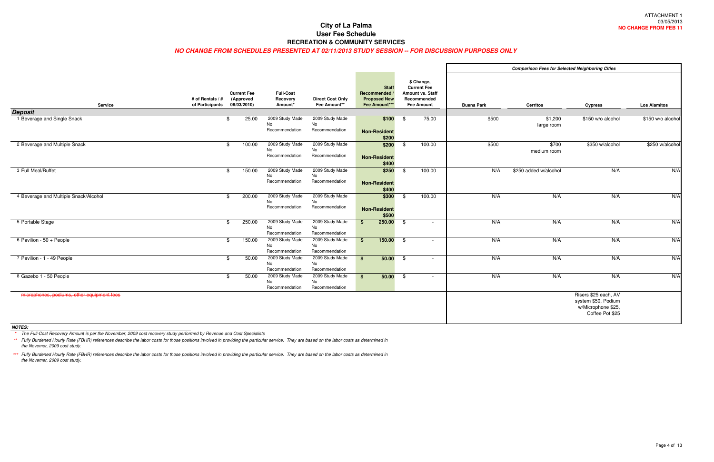#### **NO CHANGE FROM SCHEDULES PRESENTED AT 02/11/2013 STUDY SESSION -- FOR DISCUSSION PURPOSES ONLY**

|                                            |                                     |                                                |                                                |                                          |                                                                     |                                 |                                                                                          |                   | <b>Comparison Fees for Selected Neighboring Cities</b> |                                                                                      |                     |
|--------------------------------------------|-------------------------------------|------------------------------------------------|------------------------------------------------|------------------------------------------|---------------------------------------------------------------------|---------------------------------|------------------------------------------------------------------------------------------|-------------------|--------------------------------------------------------|--------------------------------------------------------------------------------------|---------------------|
| <b>Service</b>                             | # of Rentals / #<br>of Participants | <b>Current Fee</b><br>(Approved<br>08/03/2010) | <b>Full-Cost</b><br>Recovery<br>Amount*        | <b>Direct Cost Only</b><br>Fee Amount**  | <b>Staff</b><br>Recommended<br><b>Proposed New</b><br>Fee Amount*** |                                 | \$ Change,<br><b>Current Fee</b><br>Amount vs. Staff<br>Recommended<br><b>Fee Amount</b> | <b>Buena Park</b> | <b>Cerritos</b>                                        | <b>Cypress</b>                                                                       | <b>Los Alamitos</b> |
| <b>Deposit</b>                             |                                     |                                                |                                                |                                          |                                                                     |                                 |                                                                                          |                   |                                                        |                                                                                      |                     |
| 1 Beverage and Single Snack                |                                     | 25.00<br>\$                                    | 2009 Study Made<br><b>No</b><br>Recommendation | 2009 Study Made<br>No<br>Recommendation  | <b>Non-Resident</b>                                                 | \$100<br>$\frac{1}{2}$<br>\$200 | 75.00                                                                                    | \$500             | \$1,200<br>large room                                  | \$150 w/o alcohol                                                                    | \$150 w/o alcohol   |
| 2 Beverage and Multiple Snack              |                                     | 100.00<br>\$                                   | 2009 Study Made<br>No<br>Recommendation        | 2009 Study Made<br>No<br>Recommendation  | <b>Non-Resident</b>                                                 | \$200<br>\$<br>\$400            | 100.00                                                                                   | \$500             | \$700<br>medium room                                   | \$350 w/alcohol                                                                      | \$250 w/alcohol     |
| 3 Full Meal/Buffet                         |                                     | 150.00<br>\$                                   | 2009 Study Made<br><b>No</b><br>Recommendation | 2009 Study Made<br>No<br>Recommendation  | \$250<br><b>Non-Resident</b>                                        | \$<br>\$400                     | 100.00                                                                                   | N/A               | \$250 added w/alcohol                                  | N/A                                                                                  | N/A                 |
| 4 Beverage and Multiple Snack/Alcohol      |                                     | 200.00<br>\$                                   | 2009 Study Made<br>No<br>Recommendation        | 2009 Study Made<br>No<br>Recommendation  | \$300<br><b>Non-Resident</b>                                        | - \$<br>\$500                   | 100.00                                                                                   | N/A               | N/A                                                    | N/A                                                                                  | N/A                 |
| 5 Portable Stage                           |                                     | 250.00<br>-\$                                  | 2009 Study Made<br><b>No</b><br>Recommendation | 2009 Study Made<br>No.<br>Recommendation | 250.00<br>\$                                                        | $\ddot{\text{S}}$               | $\sim$                                                                                   | N/A               | N/A                                                    | N/A                                                                                  | N/A                 |
| 6 Pavilion - 50 + People                   |                                     | 150.00<br>\$                                   | 2009 Study Made<br>No<br>Recommendation        | 2009 Study Made<br>No<br>Recommendation  | 150.00<br>$\mathbf{s}$                                              | $\frac{1}{2}$                   | $\overline{\phantom{a}}$                                                                 | N/A               | N/A                                                    | N/A                                                                                  | N/A                 |
| 7 Pavilion - 1 - 49 People                 |                                     | 50.00<br>\$                                    | 2009 Study Made<br>No<br>Recommendation        | 2009 Study Made<br>No<br>Recommendation  | \$                                                                  | $50.00$ \$                      | $\sim$                                                                                   | N/A               | N/A                                                    | N/A                                                                                  | N/A                 |
| 8 Gazebo 1 - 50 People                     |                                     | 50.00<br>. ድ                                   | 2009 Study Made<br>No<br>Recommendation        | 2009 Study Made<br>No<br>Recommendation  | \$                                                                  | $50.00$ \$                      | $\sim$                                                                                   | N/A               | N/A                                                    | N/A                                                                                  | N/A                 |
| microphones, podiums, other equipment fees |                                     |                                                |                                                |                                          |                                                                     |                                 |                                                                                          |                   |                                                        | Risers \$25 each, AV<br>system \$50, Podium<br>w/Microphone \$25,<br>Coffee Pot \$25 |                     |

\*\* Fully Burdened Hourly Rate (FBHR) references describe the labor costs for those positions involved in providing the particular service. They are based on the labor costs as determined in the Novemer, 2009 cost study.

**NOTES:**

**\*** The Full-Cost Recovery Amount is per the November, 2009 cost recovery study performed by Revenue and Cost Specialists

**\*\*\*** Fully Burdened Hourly Rate (FBHR) references describe the labor costs for those positions involved in providing the particular service. They are based on the labor costs as determined in the Novemer, 2009 cost study.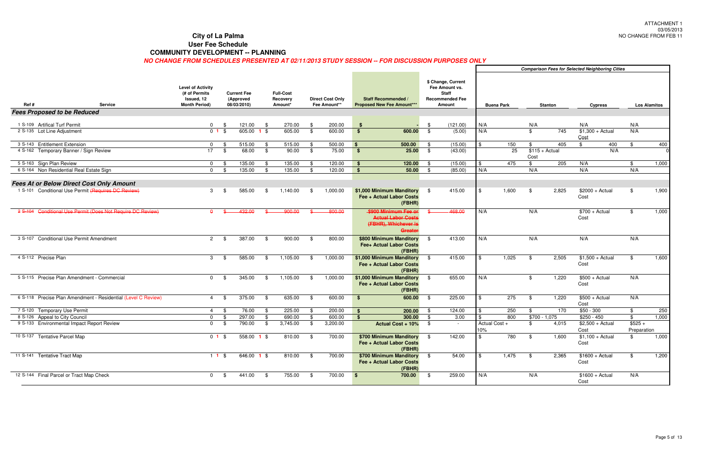### **City of La Palma**

**User Fee Schedule**

#### **COMMUNITY DEVELOPMENT -- PLANNING**

|      |                                                 |                                                               |                                                                                 |                 |                                                |                 |                                         |      |                                         |                                                          |      |                                                                                          |            |                   |                | <b>Comparison Fees for Selected Neighboring Cities</b> |                           |     |                           |                     |
|------|-------------------------------------------------|---------------------------------------------------------------|---------------------------------------------------------------------------------|-----------------|------------------------------------------------|-----------------|-----------------------------------------|------|-----------------------------------------|----------------------------------------------------------|------|------------------------------------------------------------------------------------------|------------|-------------------|----------------|--------------------------------------------------------|---------------------------|-----|---------------------------|---------------------|
| Ref# |                                                 | <b>Service</b>                                                | <b>Level of Activity</b><br>(# of Permits<br>Issued, 12<br><b>Month Period)</b> |                 | <b>Current Fee</b><br>(Approved<br>08/03/2010) |                 | <b>Full-Cost</b><br>Recovery<br>Amount* |      | <b>Direct Cost Only</b><br>Fee Amount** | Staff Recommended /<br><b>Proposed New Fee Amount***</b> |      | \$ Change, Current<br>Fee Amount vs.<br><b>Staff</b><br><b>Recommended Fee</b><br>Amount |            | <b>Buena Park</b> |                | <b>Stanton</b>                                         | <b>Cypress</b>            |     |                           | <b>Los Alamitos</b> |
|      | <b>Fees Proposed to be Reduced</b>              |                                                               |                                                                                 |                 |                                                |                 |                                         |      |                                         |                                                          |      |                                                                                          |            |                   |                |                                                        |                           |     |                           |                     |
|      |                                                 |                                                               |                                                                                 |                 |                                                |                 |                                         |      |                                         |                                                          |      |                                                                                          |            |                   |                |                                                        |                           |     |                           |                     |
|      | 1 S-109 Artifical Turf Permit                   |                                                               | $\overline{0}$                                                                  | - \$            | 121.00                                         | - \$            | 270.00                                  | -\$  | 200.00                                  | - \$                                                     | -\$  | (121.00)                                                                                 | N/A        |                   | N/A            |                                                        | N/A                       |     | N/A                       |                     |
|      | 2 S-135 Lot Line Adjustment                     |                                                               | 0 <sub>1</sub>                                                                  | - \$            | 605.00                                         | $1 \text{ }$ \$ | 605.00                                  | \$   | 600.00                                  | 600.00<br>\$                                             | \$   | (5.00)                                                                                   | N/A        |                   | \$             | 745                                                    | $$1,300 + Actual$         |     | N/A                       |                     |
|      |                                                 |                                                               |                                                                                 |                 |                                                |                 |                                         |      |                                         |                                                          |      |                                                                                          |            |                   |                |                                                        | Cost                      |     |                           |                     |
|      | 3 S-143 Entitlement Extension                   |                                                               | $\mathbf{0}$                                                                    | - \$            | 515.00                                         | - \$            | 515.00                                  | - \$ | 500.00                                  | 500.00<br>$\mathbf{s}$                                   | \$   | (15.00)                                                                                  | <b>\$</b>  | 150               | \$             | 405                                                    | \$                        | 400 | \$                        | 400                 |
|      | 4 S-162 Temporary Banner / Sign Review          |                                                               | 17                                                                              | - \$            | 68.00                                          | \$              | 90.00                                   | \$   | 75.00                                   | 25.00<br>-\$                                             | \$   | (43.00)                                                                                  |            | 25                | Cost           | $$115 + Actual$                                        |                           | N/A |                           |                     |
|      | 5 S-163 Sign Plan Review                        |                                                               | $\overline{0}$                                                                  | - \$            | 135.00                                         | \$              | 135.00                                  | - \$ | 120.00                                  | 120.00<br>- \$                                           | - \$ | (15.00)                                                                                  | $\sqrt{3}$ | 475               | \$             | 205                                                    | N/A                       |     | \$                        | 1,000               |
|      | 6 S-164 Non Residential Real Estate Sign        |                                                               | $\mathbf 0$                                                                     | - \$            | 135.00                                         | \$              | 135.00                                  | . ድ  | 120.00                                  | 50.00<br>\$                                              | \$   | (85.00)                                                                                  | N/A        |                   | N/A            |                                                        | N/A                       |     | N/A                       |                     |
|      |                                                 |                                                               |                                                                                 |                 |                                                |                 |                                         |      |                                         |                                                          |      |                                                                                          |            |                   |                |                                                        |                           |     |                           |                     |
|      | <b>Fees At or Below Direct Cost Only Amount</b> |                                                               |                                                                                 |                 |                                                |                 |                                         |      |                                         |                                                          |      |                                                                                          |            |                   |                |                                                        |                           |     |                           |                     |
|      |                                                 | 1 S-101 Conditional Use Permit (Requires DC Review)           | 3                                                                               | - \$            | 585.00                                         | \$              | 1,140.00                                | -\$  | 1,000.00                                | \$1,000 Minimum Manditory                                | - \$ | 415.00                                                                                   | -96        | 1,600             | - \$           | 2,825                                                  | $$2000 + Actual$          |     | \$                        | 1,900               |
|      |                                                 |                                                               |                                                                                 |                 |                                                |                 |                                         |      |                                         | Fee + Actual Labor Costs                                 |      |                                                                                          |            |                   |                |                                                        | Cost                      |     |                           |                     |
|      |                                                 |                                                               |                                                                                 |                 |                                                |                 |                                         |      |                                         | (FBHR)                                                   |      |                                                                                          |            |                   |                |                                                        |                           |     |                           |                     |
|      |                                                 | 2 S-104 Conditional Use Permit (Does Not Require DC Review)   | $\Delta$                                                                        |                 | 432.00                                         |                 | 00.008                                  |      | 800.00                                  | \$900 Minimum Fee or                                     |      | 468.00                                                                                   | N/A        |                   | N/A            |                                                        | $$700 + Actual$           |     | \$                        | 1,000               |
|      |                                                 |                                                               |                                                                                 |                 |                                                |                 |                                         |      |                                         | <b>Actual Labor Costs</b>                                |      |                                                                                          |            |                   |                |                                                        | Cost                      |     |                           |                     |
|      |                                                 |                                                               |                                                                                 |                 |                                                |                 |                                         |      |                                         | (FBHR), Whichever is                                     |      |                                                                                          |            |                   |                |                                                        |                           |     |                           |                     |
|      |                                                 |                                                               |                                                                                 |                 |                                                |                 |                                         |      |                                         | Greate                                                   |      |                                                                                          |            |                   |                |                                                        |                           |     |                           |                     |
|      | 3 S-107 Conditional Use Permit Amendment        |                                                               | $\overline{2}$                                                                  | - \$            | 387.00                                         | - \$            | 900.00                                  | - \$ | 800.00                                  | \$800 Minimum Manditory                                  | - \$ | 413.00                                                                                   | N/A        |                   | N/A            |                                                        | N/A                       |     | N/A                       |                     |
|      |                                                 |                                                               |                                                                                 |                 |                                                |                 |                                         |      |                                         | Fee+ Actual Labor Costs                                  |      |                                                                                          |            |                   |                |                                                        |                           |     |                           |                     |
|      |                                                 |                                                               |                                                                                 |                 |                                                |                 |                                         |      |                                         | (FBHR)                                                   |      |                                                                                          |            |                   |                |                                                        |                           |     |                           |                     |
|      | 4 S-112 Precise Plan                            |                                                               | $\mathbf{3}$                                                                    | - \$            | 585.00                                         | - \$            | 1,105.00                                | - \$ | 1,000.00                                | \$1,000 Minimum Manditory                                | - \$ | 415.00                                                                                   | <b>\$</b>  | 1,025             | - \$           | 2,505                                                  | $$1,500 + Actual$         |     | \$                        | 1,600               |
|      |                                                 |                                                               |                                                                                 |                 |                                                |                 |                                         |      |                                         | Fee + Actual Labor Costs                                 |      |                                                                                          |            |                   |                |                                                        | Cost                      |     |                           |                     |
|      |                                                 |                                                               |                                                                                 |                 |                                                |                 |                                         |      |                                         | (FBHR)                                                   |      |                                                                                          |            |                   |                |                                                        |                           |     |                           |                     |
|      | 5 S-115 Precise Plan Amendment - Commercial     |                                                               | $\Omega$                                                                        | - \$            | 345.00                                         | \$              | 1,105.00                                | \$   | 1,000.00                                | \$1,000 Minimum Manditory                                | - \$ | 655.00                                                                                   | N/A        |                   | \$             | 1,220                                                  | $$500 + Actual$           |     | N/A                       |                     |
|      |                                                 |                                                               |                                                                                 |                 |                                                |                 |                                         |      |                                         | Fee + Actual Labor Costs                                 |      |                                                                                          |            |                   |                |                                                        | Cost                      |     |                           |                     |
|      |                                                 |                                                               |                                                                                 |                 |                                                |                 |                                         |      |                                         | (FBHR)                                                   |      |                                                                                          |            |                   |                |                                                        |                           |     |                           |                     |
|      |                                                 | 6 S-118 Precise Plan Amendment - Residential (Level C Review) | $\overline{4}$                                                                  | - \$            | 375.00                                         | \$              | 635.00                                  | - \$ | 600.00                                  | 600.00<br>- \$                                           | - \$ | 225.00                                                                                   | -\$        | $\overline{275}$  | \$             | 1,220                                                  | $$500 + Actual$           |     | N/A                       |                     |
|      |                                                 |                                                               |                                                                                 |                 |                                                |                 |                                         |      |                                         |                                                          |      |                                                                                          |            |                   |                |                                                        | Cost                      |     |                           |                     |
|      | 7 S-120 Temporary Use Permit                    |                                                               | -4                                                                              | - \$            | 76.00                                          | - \$            | 225.00                                  | -\$  | 200.00                                  | 200.00<br>- \$                                           | - \$ | 124.00                                                                                   | -\$        | 250               | - \$           | 170                                                    | $$50 - 300$               |     | \$                        | 250                 |
|      | 8 S-126 Appeal to City Council                  |                                                               | $\Omega$                                                                        | -9              | 297.00                                         | \$              | 690.00                                  | \$   | 600.00                                  | 300.00<br>$\mathbf{s}$                                   | -\$  | 3.00                                                                                     | -\$        | 800               | $$700 - 1,075$ |                                                        | $$250 - 450$              |     | $\frac{1}{2}$<br>$$525 +$ | 1,000               |
|      | 9 S-133 Environmental Impact Report Review      |                                                               | $\mathbf 0$                                                                     | \$              | 790.00                                         | \$              | 3,745.00                                | -\$  | 3,200.00                                | Actual Cost + 10%                                        | - \$ |                                                                                          | 10%        | Actual Cost +     | \$             | 4,015                                                  | $$2,500 + Actual$         |     |                           |                     |
|      | 10 S-137 Tentative Parcel Map                   |                                                               |                                                                                 | $01$ \$         | 558.00 <b>1</b> \$                             |                 | 810.00                                  | - \$ | 700.00                                  | \$700 Minimum Manditory                                  | - \$ | 142.00                                                                                   | -\$        | 780               | - \$           | 1,600                                                  | Cost<br>$$1,100 + Actual$ |     | Preparation<br>\$         | 1,000               |
|      |                                                 |                                                               |                                                                                 |                 |                                                |                 |                                         |      |                                         | Fee + Actual Labor Costs                                 |      |                                                                                          |            |                   |                |                                                        | Cost                      |     |                           |                     |
|      |                                                 |                                                               |                                                                                 |                 |                                                |                 |                                         |      |                                         | (FBHR)                                                   |      |                                                                                          |            |                   |                |                                                        |                           |     |                           |                     |
|      | 11 S-141 Tentative Tract Map                    |                                                               |                                                                                 | $11\frac{1}{9}$ | $646.00$ 1 \$                                  |                 | 810.00                                  | - \$ | 700.00                                  | \$700 Minimum Manditory                                  | - \$ | 54.00                                                                                    | l \$       | 1,475             | - \$           | 2,365                                                  | $$1600 + Actual$          |     | \$                        | 1,200               |
|      |                                                 |                                                               |                                                                                 |                 |                                                |                 |                                         |      |                                         | Fee + Actual Labor Costs                                 |      |                                                                                          |            |                   |                |                                                        | Cost                      |     |                           |                     |
|      |                                                 |                                                               |                                                                                 |                 |                                                |                 |                                         |      |                                         | (FBHR)                                                   |      |                                                                                          |            |                   |                |                                                        |                           |     |                           |                     |
|      | 12 S-144 Final Parcel or Tract Map Check        |                                                               |                                                                                 | $0 \quad$ \$    | 441.00                                         | $\bullet$       | 755.00                                  | - \$ | 700.00                                  | 700.00<br>$\sqrt{3}$                                     | \$   | 259.00                                                                                   | N/A        |                   | N/A            |                                                        | $$1600 + Actual$          |     | N/A                       |                     |
|      |                                                 |                                                               |                                                                                 |                 |                                                |                 |                                         |      |                                         |                                                          |      |                                                                                          |            |                   |                |                                                        | Cost                      |     |                           |                     |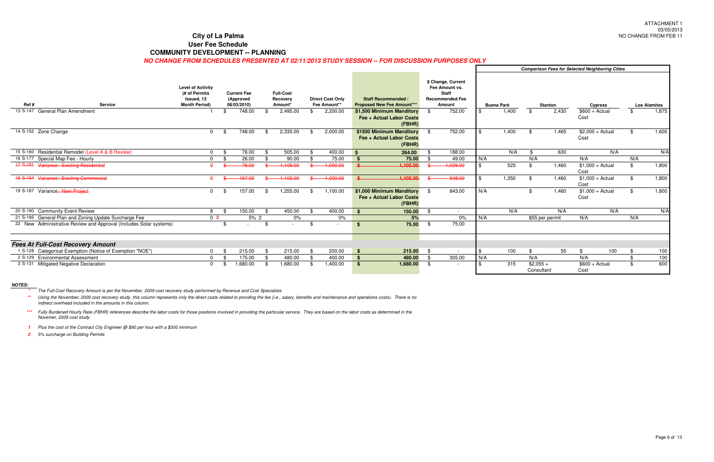#### **City of La Palma**

**User Fee Schedule**

#### **COMMUNITY DEVELOPMENT -- PLANNING**

#### **NO CHANGE FROM SCHEDULES PRESENTED AT 02/11/2013 STUDY SESSION -- FOR DISCUSSION PURPOSES ONLY**

|                                                                    |                                                                                 |                                                |     |                                         |                                         |                                                                 |      |                                                                                          |     |                   |                          |                 | <b>Comparison Fees for Selected Neighboring Cities</b> |     |     |                     |
|--------------------------------------------------------------------|---------------------------------------------------------------------------------|------------------------------------------------|-----|-----------------------------------------|-----------------------------------------|-----------------------------------------------------------------|------|------------------------------------------------------------------------------------------|-----|-------------------|--------------------------|-----------------|--------------------------------------------------------|-----|-----|---------------------|
| Ref#<br><b>Service</b>                                             | <b>Level of Activity</b><br>(# of Permits<br>Issued, 12<br><b>Month Period)</b> | <b>Current Fee</b><br>(Approved<br>08/03/2010) |     | <b>Full-Cost</b><br>Recovery<br>Amount* | <b>Direct Cost Only</b><br>Fee Amount** | Staff Recommended /<br><b>Proposed New Fee Amount***</b>        |      | \$ Change, Current<br>Fee Amount vs.<br><b>Staff</b><br><b>Recommended Fee</b><br>Amount |     | <b>Buena Park</b> |                          | <b>Stanton</b>  | <b>Cypress</b>                                         |     |     | <b>Los Alamitos</b> |
| 13 S-147 General Plan Amendment                                    |                                                                                 | 748.00                                         |     | 2,495.00                                | \$<br>2,200.00                          | \$1,500 Minimum Manditory<br>Fee + Actual Labor Costs<br>(FBHR) | - \$ | 752.00                                                                                   |     | 1,400             | \$                       | 2,430           | $$600 + Actual$<br>Cost                                |     |     | 1,875               |
| 14 S-152 Zone Change                                               | $\Omega$                                                                        | 748.00                                         | -86 | 2,335.00                                | 2,000.00                                | \$1500 Minimum Manditory<br>Fee + Actual Labor Costs<br>(FBHR)  |      | 752.00                                                                                   |     | 1,400             |                          | 1,465           | $$2,000 + Actual$<br>Cost                              |     |     | 1,600               |
| 15 S-160 Residential Remodel (Level A & B Review)                  | $\Omega$                                                                        | 76.00                                          |     | 505.00                                  | 400.00                                  | 264.00<br>- 9                                                   |      | 188.00                                                                                   |     | N/A               |                          | 630             |                                                        | N/A |     | N/A                 |
| Special Map Fee - Hourly<br>16 S-177                               | $\Omega$                                                                        | 26.00                                          |     | 90.00                                   | 75.00                                   | 75.00<br>-9                                                     | - \$ | 49.00                                                                                    | N/A |                   | N/A                      |                 | N/A                                                    |     | N/A |                     |
| 17 S-181 Variance: Existing Residential                            | $\Omega$                                                                        | 26.00                                          |     | 1.105.00                                | 1,000.00                                | 1,105.00                                                        |      | 1,029.00                                                                                 |     | 525               | \$                       | 1,460           | $$1,000 + Actual$<br>Cost                              |     | \$  | 1,800               |
| 18 S-184 Variance: Existing Commercial                             | $\mathbf{a}$                                                                    | 157.00                                         |     | 110500                                  | 1,000.00                                | 1.105.00<br>$\bullet$                                           |      | 848.00                                                                                   | \$  | 1,350             | \$.                      | 1,460           | $$1,000 + Actual$<br>Cost                              |     | . ድ | 1,800               |
| 19 S-187 Variance: New Project                                     | $\Omega$                                                                        | 157.00                                         |     | 1,255.00                                | 1,100.00                                | \$1,000 Minimum Manditory<br>Fee + Actual Labor Costs<br>(FBHR) | - \$ | 843.00                                                                                   | N/A |                   |                          | 1,460           | $$1,000 + Actual$<br>Cost                              |     |     | 1,800               |
| 20 S-190 Community Event Review                                    | 8                                                                               | 150.00                                         | ፍ   | 450.00                                  | 400.00                                  | 150.00<br>- \$                                                  | -\$  | $\sim$                                                                                   |     | N/A               |                          | N/A             |                                                        | N/A |     | N/A                 |
| 21 S-195 General Plan and Zoning Update Surcharge Fee              | 0 <sub>2</sub>                                                                  | 5% 2                                           |     | 0%                                      | $0\%$                                   | 5%                                                              |      | 0%                                                                                       | N/A |                   |                          | \$55 per permit | N/A                                                    |     | N/A |                     |
| 22 New Administrative Review and Approval (Includes Solar systems) |                                                                                 |                                                |     |                                         |                                         | 75.00<br>S                                                      | - \$ | 75.00                                                                                    |     |                   |                          |                 |                                                        |     |     |                     |
| <b>Fees At Full-Cost Recovery Amount</b>                           |                                                                                 |                                                |     |                                         |                                         |                                                                 |      |                                                                                          |     |                   |                          |                 |                                                        |     |     |                     |
| 1 S-128 Categorical Exemption (Notice of Exemption "NOE")          | $\Omega$                                                                        | 215.00                                         |     | 215.00                                  | 200.00                                  | 215.00<br>-\$                                                   | - \$ |                                                                                          | \$  | 100               | \$                       | 55              | \$                                                     | 100 | \$  | 100                 |
| 2 S-129 Environmental Assessment                                   | $\Omega$                                                                        | 175.00                                         |     | 480.00                                  | 400.00                                  | 480.00<br><b>S</b>                                              | - \$ | 305.00                                                                                   | N/A |                   | N/A                      |                 | N/A                                                    |     | ¢   | 100                 |
| 3 S-131 Mitigated Negative Declaration                             | $\Omega$                                                                        | 00.080.1                                       |     | 1,680.00                                | 1,400.00                                | 1,680.00<br>- \$                                                | - \$ |                                                                                          |     | 315               | $$2,055 +$<br>Consultant |                 | $$600 + Actual$<br>Cost                                |     |     | 600                 |

\*\* Using the November, 2009 cost recovery study, this column represents only the direct costs related to provding the fee (i.e., salary, benefits and maintenance and operations costs). There is no indirect overhead included in the amounts in this column.

**NOTES:**

**1** Plus the cost of the Contract City Engineer @ \$90 per hour with a \$300 minimum

**2** 5% surcharge on Building Permits

**\*\*\***Fully Burdened Hourly Rate (FBHR) references describe the labor costs for those positions involved in providing the particular service. They are based on the labor costs as determined in the Novemer, 2009 cost study.

**\***The Full-Cost Recovery Amount is per the November, 2009 cost recovery study performed by Revenue and Cost Specialists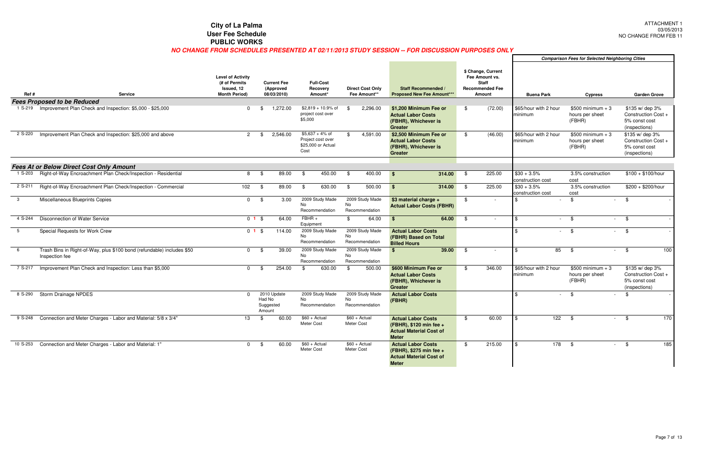|                 |                                                                                                                   |                                                                                             |                  |                                                            |                                                                                      |     |                                                     |                                                                                                               |      |                                                                                                     |                                                       |                           | Companson rees for Selected Neighboring Chies |                                                   |                                                        |
|-----------------|-------------------------------------------------------------------------------------------------------------------|---------------------------------------------------------------------------------------------|------------------|------------------------------------------------------------|--------------------------------------------------------------------------------------|-----|-----------------------------------------------------|---------------------------------------------------------------------------------------------------------------|------|-----------------------------------------------------------------------------------------------------|-------------------------------------------------------|---------------------------|-----------------------------------------------|---------------------------------------------------|--------------------------------------------------------|
| Ref#<br>1 S-219 | <b>Service</b><br><b>Fees Proposed to be Reduced</b><br>Improvement Plan Check and Inspection: \$5,000 - \$25,000 | <b>Level of Activity</b><br>(# of Permits<br>Issued, 12<br><b>Month Period)</b><br>$\Omega$ | . ድ              | <b>Current Fee</b><br>(Approved<br>08/03/2010)<br>1,272.00 | <b>Full-Cost</b><br>Recovery<br>Amount*<br>$$2,819 + 10.9\%$ of<br>project cost over | \$  | <b>Direct Cost Only</b><br>Fee Amount**<br>2,296.00 | Staff Recommended<br><b>Proposed New Fee Amount***</b><br>\$1,200 Minimum Fee or<br><b>Actual Labor Costs</b> | \$   | \$ Change, Current<br>Fee Amount vs.<br><b>Staff</b><br><b>Recommended Fee</b><br>Amount<br>(72.00) | <b>Buena Park</b><br>\$65/hour with 2 hour<br>minimum | hours per sheet           | <b>Cypress</b><br>$$500$ minimum $+3$         |                                                   | Garden Grove<br>\$135 w/ dep 3%<br>Construction Cost + |
|                 |                                                                                                                   |                                                                                             |                  |                                                            | \$5,000                                                                              |     |                                                     | (FBHR), Whichever is<br><b>Greater</b>                                                                        |      |                                                                                                     |                                                       | (FBHR)                    |                                               | 5% const cost<br>(inspections)                    |                                                        |
| 2 S-220         | Improvement Plan Check and Inspection: \$25,000 and above                                                         | $\mathbf{2}$                                                                                | - \$             | 2,546.00                                                   | $$5,637 + 4%$ of<br>Project cost over<br>\$25,000 or Actual<br>Cost                  | -\$ | 4,591.00                                            | \$2.500 Minimum Fee or<br><b>Actual Labor Costs</b><br>(FBHR), Whichever is<br><b>Greater</b>                 | -\$  | (46.00)                                                                                             | \$65/hour with 2 hour<br>minimum                      | hours per sheet<br>(FBHR) | $$500$ minimum + 3                            | \$135 w/ dep 3%<br>5% const cost<br>(inspections) | Construction Cost +                                    |
|                 | <b>Fees At or Below Direct Cost Only Amount</b>                                                                   |                                                                                             |                  |                                                            |                                                                                      |     |                                                     |                                                                                                               |      |                                                                                                     |                                                       |                           |                                               |                                                   |                                                        |
| 1 S-203         | Right-of-Way Encroachment Plan Check/Inspection - Residential                                                     | 8                                                                                           | - \$             | 89.00                                                      | 450.00<br>- \$                                                                       | \$  | 400.00                                              | 314.00<br>$\mathbf{s}$                                                                                        | - \$ | 225.00                                                                                              | $$30 + 3.5\%$<br>construction cost                    | cost                      | 3.5% construction                             |                                                   | $$100 + $100/h$ our                                    |
| 2 S-211         | Right-of-Way Encroachment Plan Check/Inspection - Commercial                                                      | 102                                                                                         | - \$             | 89.00                                                      | 630.00<br>\$                                                                         | -\$ | 500.00                                              | 314.00<br>$$^{\circ}$                                                                                         | - \$ | 225.00                                                                                              | $$30 + 3.5\%$<br>construction cost                    | cost                      | 3.5% construction                             |                                                   | $$200 + $200/hour$                                     |
| 3               | Miscellaneous Blueprints Copies                                                                                   | $\mathbf{0}$                                                                                | - \$             | 3.00                                                       | 2009 Study Made<br>No<br>Recommendation                                              | No  | 2009 Study Made<br>Recommendation                   | \$3 material charge +<br><b>Actual Labor Costs (FBHR)</b>                                                     | \$   |                                                                                                     |                                                       |                           |                                               | \$                                                |                                                        |
| 4 S-244         | <b>Disconnection of Water Service</b>                                                                             |                                                                                             | 01S              | 64.00                                                      | $FBHR +$<br>Equipment                                                                | \$  | 64.00                                               | 64.00<br>\$                                                                                                   | \$   | $\sim$                                                                                              | \$.                                                   | \$<br>$\sim$              | $\sim$                                        | - \$                                              |                                                        |
| - 5             | Special Requests for Work Crew                                                                                    |                                                                                             | $0$ 1 $$$        | 114.00                                                     | 2009 Study Made<br>No<br>Recommendation                                              | No  | 2009 Study Made<br>Recommendation                   | <b>Actual Labor Costs</b><br>(FBHR) Based on Total<br><b>Billed Hours</b>                                     |      |                                                                                                     |                                                       | -\$<br>$\sim$             | $\sim$                                        | - \$                                              |                                                        |
| - 6             | Trash Bins in Right-of-Way, plus \$100 bond (refundable) includes \$50<br>Inspection fee                          | $\Omega$                                                                                    | -\$              | 39.00                                                      | 2009 Study Made<br>No<br>Recommendation                                              | No  | 2009 Study Made<br>Recommendation                   | 39.00<br>\$                                                                                                   | - \$ | $\sim$                                                                                              | 85                                                    | -\$                       | $\sim$ 10 $\pm$                               | \$                                                | 100                                                    |
| 7 S-217         | Improvement Plan Check and Inspection: Less than \$5,000                                                          | $\mathbf{0}$                                                                                | - \$             | 254.00                                                     | 630.00<br>\$                                                                         | \$  | 500.00                                              | \$600 Minimum Fee or<br><b>Actual Labor Costs</b><br>(FBHR), Whichever is<br><b>Greater</b>                   | \$   | 346.00                                                                                              | \$65/hour with 2 hour<br>minimum                      | hours per sheet<br>(FBHR) | $$500$ minimum + 3                            | \$135 w/ dep 3%<br>5% const cost<br>(inspections) | Construction Cost +                                    |
| 8 S-290         | <b>Storm Drainage NPDES</b>                                                                                       |                                                                                             | Had No<br>Amount | 2010 Update<br>Suggested                                   | 2009 Study Made<br>No<br>Recommendation                                              | No  | 2009 Study Made<br>Recommendation                   | <b>Actual Labor Costs</b><br>(FBHR)                                                                           |      |                                                                                                     |                                                       | \$                        |                                               | <b>.S</b>                                         |                                                        |
| 9 S-248         | Connection and Meter Charges - Labor and Material: 5/8 x 3/4"                                                     | 13                                                                                          | - \$             | 60.00                                                      | $$60 + Actual$<br>Meter Cost                                                         |     | $$60 + Actual$<br>Meter Cost                        | <b>Actual Labor Costs</b><br>(FBHR), \$120 min fee +<br><b>Actual Material Cost of</b><br><b>Meter</b>        | \$   | 60.00                                                                                               | 122<br>I \$                                           | -\$                       | $\sim 100$                                    | -\$                                               | 170                                                    |
|                 | 10 S-253 Connection and Meter Charges - Labor and Material: 1"                                                    |                                                                                             | 0 S              | 60.00                                                      | $$60 + Actual$<br>Meter Cost                                                         |     | $$60 + Actual$<br>Meter Cost                        | <b>Actual Labor Costs</b><br>(FBHR), \$275 min fee +<br><b>Actual Material Cost of</b><br><b>Meter</b>        | \$   | 215.00                                                                                              |                                                       | $178$ \$                  |                                               | $-$ \$                                            | 185                                                    |

| <b>Comparison Fees for Selected Neighboring Cities</b> |  |  |  |  |  |
|--------------------------------------------------------|--|--|--|--|--|
|--------------------------------------------------------|--|--|--|--|--|

Г

#### **City of La Palma User Fee SchedulePUBLIC WORKS**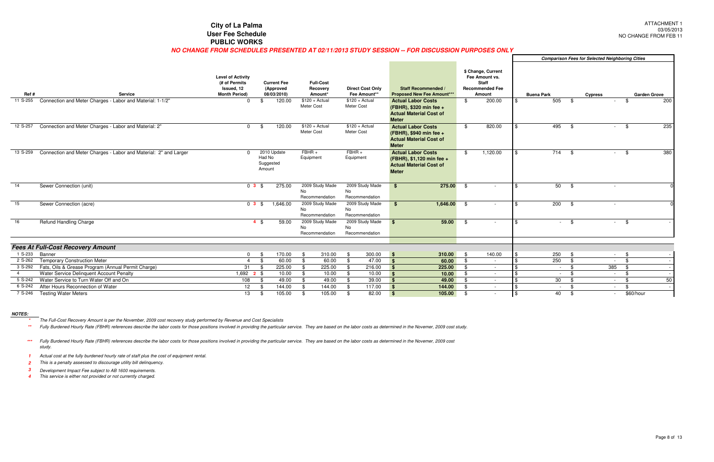#### **City of La Palma User Fee SchedulePUBLIC WORKS**

#### **NO CHANGE FROM SCHEDULES PRESENTED AT 02/11/2013 STUDY SESSION -- FOR DISCUSSION PURPOSES ONLY**

|                |                                                                  |                                                                                 |                                                |                                         |                                         |                                                                                                          |                                                                                          |                          |                   |                    | <b>Comparison Fees for Selected Neighboring Cities</b> |            |           |                     |
|----------------|------------------------------------------------------------------|---------------------------------------------------------------------------------|------------------------------------------------|-----------------------------------------|-----------------------------------------|----------------------------------------------------------------------------------------------------------|------------------------------------------------------------------------------------------|--------------------------|-------------------|--------------------|--------------------------------------------------------|------------|-----------|---------------------|
| Ref#           | <b>Service</b>                                                   | <b>Level of Activity</b><br>(# of Permits<br>Issued, 12<br><b>Month Period)</b> | <b>Current Fee</b><br>(Approved<br>08/03/2010) | <b>Full-Cost</b><br>Recovery<br>Amount* | <b>Direct Cost Only</b><br>Fee Amount** | Staff Recommended<br><b>Proposed New Fee Amount***</b>                                                   | \$ Change, Current<br>Fee Amount vs.<br><b>Staff</b><br><b>Recommended Fee</b><br>Amount |                          | <b>Buena Park</b> |                    | <b>Cypress</b>                                         |            |           | <b>Garden Grove</b> |
| 11 S-255       | Connection and Meter Charges - Labor and Material: 1-1/2"        | $\Omega$                                                                        | 120.00                                         | $$120 + Actual$<br>Meter Cost           | $$120 + Actual$<br>Meter Cost           | <b>Actual Labor Costs</b><br>(FBHR), \$320 min fee +<br><b>Actual Material Cost of</b><br><b>Meter</b>   | \$                                                                                       | 200.00                   |                   | 505<br>\$          |                                                        | $\sim$     | -\$       | 200                 |
| 12 S-257       | Connection and Meter Charges - Labor and Material: 2"            | $\Omega$                                                                        | 120.00<br>- \$                                 | $$120 + Actual$<br>Meter Cost           | $$120 + Actual$<br>Meter Cost           | <b>Actual Labor Costs</b><br>(FBHR), \$940 min fee +<br><b>Actual Material Cost of</b><br><b>Meter</b>   | \$                                                                                       | 820.00                   |                   | 495<br>- \$        |                                                        | $-$ \$     |           | 235                 |
| 13 S-259       | Connection and Meter Charges - Labor and Material: 2" and Larger |                                                                                 | 2010 Update<br>Had No<br>Suggested<br>Amount   | $FBHR +$<br>Equipment                   | $FBHR +$<br>Equipment                   | <b>Actual Labor Costs</b><br>(FBHR), \$1,120 min fee +<br><b>Actual Material Cost of</b><br><b>Meter</b> | \$                                                                                       | 1,120.00                 |                   | 714<br>- \$        |                                                        | $\sim$     | - \$      | 380                 |
| 14             | Sewer Connection (unit)                                          | 03S                                                                             | 275.00                                         | 2009 Study Made<br>No<br>Recommendation | 2009 Study Made<br>No<br>Recommendation | $$^{\circ}$<br>275.00                                                                                    | -\$                                                                                      | $\overline{\phantom{a}}$ |                   | 50<br>-\$          |                                                        | $\sim$     |           |                     |
| 15             | Sewer Connection (acre)                                          | $0$ 3 \$                                                                        | 1,646.00                                       | 2009 Study Made<br>No<br>Recommendation | 2009 Study Made<br>No<br>Recommendation | 1,646.00<br>- \$                                                                                         | - \$                                                                                     | $\sim$                   |                   | 200<br>- \$        |                                                        | $\sim$     |           |                     |
| 16             | <b>Refund Handling Charge</b>                                    |                                                                                 | $4 \text{ } $$<br>59.00                        | 2009 Study Made<br>No<br>Recommendation | 2009 Study Made<br>No<br>Recommendation | 59.00<br>$\mathbf{R}$                                                                                    | - \$                                                                                     |                          |                   | -\$                |                                                        | $\sim$     | - \$      |                     |
|                | <b>Fees At Full-Cost Recovery Amount</b>                         |                                                                                 |                                                |                                         |                                         |                                                                                                          |                                                                                          |                          |                   |                    |                                                        |            |           |                     |
| 1 S-233        | Banner                                                           | $\Omega$                                                                        | 170.00<br>- \$                                 | 310.00<br>\$                            | 300.00<br>-\$                           | 310.00<br><b>S</b>                                                                                       | - \$                                                                                     | 140.00                   |                   | 250<br>- \$        |                                                        | $\sim 100$ | - \$      |                     |
| 2 S-262        | <b>Temporary Construction Meter</b>                              | $\overline{4}$                                                                  | - \$<br>60.00                                  | 60.00<br>\$                             | \$<br>47.00                             | $\mathbf{s}$<br>60.00                                                                                    | -\$                                                                                      | $\sim$                   |                   | 250<br>- \$        |                                                        | $\sim$ $-$ | -\$       | $\sim$              |
|                | 3 S-292 Fats, Oils & Grease Program (Annual Permit Charge)       | 31                                                                              | 225.00<br>- \$                                 | 225.00<br>\$                            | 216.00<br>-\$                           | $\mathbf{s}$<br>225.00                                                                                   | -\$                                                                                      | $\sim$                   |                   | - \$<br>$\sim 100$ |                                                        | 385        | - \$      | $\sim$              |
| $\overline{4}$ | Water Service Delinquent Account Penalty                         | $1,692$ <b>2</b> \$                                                             | 10.00                                          | 10.00<br>\$                             | 10.00<br>\$                             | $\mathbf{s}$<br>10.00                                                                                    | \$                                                                                       | $\sim$                   |                   | - \$<br>$\sim$     |                                                        | $\sim 100$ | -\$       | $\sim$ $ \sim$      |
|                | 5 S-242 Water Service to Turn Water Off and On                   | 108                                                                             | 49.00<br>- \$                                  | 49.00<br>\$                             | 39.00<br>\$                             | 49.00<br>$\mathbf{s}$                                                                                    | \$                                                                                       | $\overline{\phantom{a}}$ |                   | 30<br>- \$         |                                                        | $\sim 100$ | - \$      | 50                  |
| 6 S-242        | After Hours Reconnection of Water                                | 12                                                                              | 144.00<br>- \$                                 | 144.00<br>-\$                           | 117.00<br>\$                            | $\sqrt{3}$<br>144.00                                                                                     | - \$                                                                                     | $\sim$                   |                   | - \$<br>$\sim 100$ |                                                        | $\sim$     | . ድ       | $\sim$              |
|                | 7 S-246 Testing Water Meters                                     | 13                                                                              | 105.00<br>-\$                                  | 105.00<br>\$                            | 82.00<br>\$                             | $\sqrt{3}$<br>105.00                                                                                     | \$                                                                                       |                          |                   | 40<br>-\$          |                                                        | $\sim$     | \$60/hour |                     |

#### **NOTES:**

**\***The Full-Cost Recovery Amount is per the November, 2009 cost recovery study performed by Revenue and Cost Specialists

\*\* Fully Burdened Hourly Rate (FBHR) references describe the labor costs for those positions involved in providing the particular service. They are based on the labor costs as determined in the Novemer, 2009 cost study.

**1** Actual cost at the fully burdened hourly rate of staff plus the cost of equipment rental.

**2**This is a penalty assessed to discourage utility bill delinquency.

- **3**Development Impact Fee subject to AB 1600 requirements.
- **4**This service is either not provided or not currently charged.

**\*\*\***Fully Burdened Hourly Rate (FBHR) references describe the labor costs for those positions involved in providing the particular service. They are based on the labor costs as determined in the Novemer, 2009 cost study.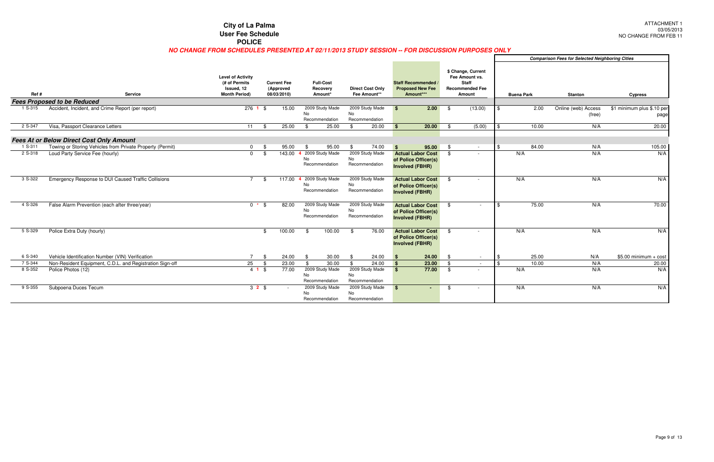|         |                                                           | <b>City of La Palma</b>                                                                        |                                                |                                           |                                         |                                                                            |                                                                                          |                   |                                                        | <b>ATTAGHM</b><br>03/05            |
|---------|-----------------------------------------------------------|------------------------------------------------------------------------------------------------|------------------------------------------------|-------------------------------------------|-----------------------------------------|----------------------------------------------------------------------------|------------------------------------------------------------------------------------------|-------------------|--------------------------------------------------------|------------------------------------|
|         |                                                           | <b>User Fee Schedule</b>                                                                       |                                                |                                           |                                         |                                                                            |                                                                                          |                   |                                                        | NO CHANGE FROM F                   |
|         |                                                           | <b>POLICE</b>                                                                                  |                                                |                                           |                                         |                                                                            |                                                                                          |                   |                                                        |                                    |
|         |                                                           | NO CHANGE FROM SCHEDULES PRESENTED AT 02/11/2013 STUDY SESSION -- FOR DISCUSSION PURPOSES ONLY |                                                |                                           |                                         |                                                                            |                                                                                          |                   |                                                        |                                    |
|         |                                                           |                                                                                                |                                                |                                           |                                         |                                                                            |                                                                                          |                   | <b>Comparison Fees for Selected Neighboring Cities</b> |                                    |
| Ref #   | <b>Service</b>                                            | <b>Level of Activity</b><br>(# of Permits<br>Issued, 12<br><b>Month Period)</b>                | <b>Current Fee</b><br>(Approved<br>08/03/2010) | <b>Full-Cost</b><br>Recovery<br>Amount*   | <b>Direct Cost Only</b><br>Fee Amount** | Staff Recommended /<br><b>Proposed New Fee</b><br>Amount***                | \$ Change, Current<br>Fee Amount vs.<br><b>Staff</b><br><b>Recommended Fee</b><br>Amount | <b>Buena Park</b> | <b>Stanton</b>                                         | <b>Cypress</b>                     |
|         | <b>Fees Proposed to be Reduced</b>                        |                                                                                                |                                                |                                           |                                         |                                                                            |                                                                                          |                   |                                                        |                                    |
| 1 S-315 | Accident, Incident, and Crime Report (per report)         | $276$ 1 \$                                                                                     | 15.00                                          | 2009 Study Made<br>No<br>Recommendation   | 2009 Study Made<br>No<br>Recommendation | 2.00<br><b>S</b>                                                           | (13.00)<br>- \$                                                                          | 2.00<br>-\$       | Online (web) Access<br>(free)                          | \$1 minimum plus \$.10 per<br>page |
| 2 S-347 | Visa, Passport Clearance Letters                          | 11                                                                                             | \$<br>25.00                                    | \$<br>25.00                               | $$^{\circ}$<br>20.00                    | 20.00<br>$\mathbf{\hat{s}}$                                                | (5.00)<br>- \$                                                                           | 10.00<br><b>S</b> | N/A                                                    | 20.00                              |
|         |                                                           |                                                                                                |                                                |                                           |                                         |                                                                            |                                                                                          |                   |                                                        |                                    |
|         | <b>Fees At or Below Direct Cost Only Amount</b>           |                                                                                                |                                                |                                           |                                         |                                                                            |                                                                                          |                   |                                                        |                                    |
| 1 S-311 | Towing or Storing Vehicles from Private Property (Permit) | $\mathbf{0}$                                                                                   | 95.00<br>- \$                                  | 95.00<br>\$                               | 74.00<br>\$<br>2009 Study Made          | $\mathbf{s}$<br>95.00                                                      | - \$<br>$\sim$ $-$                                                                       | 84.00<br>-\$      | N/A                                                    | 105.00                             |
| 2 S-318 | Loud Party Service Fee (hourly)                           | $\Omega$                                                                                       | 143.00<br>\$                                   | 4 2009 Study Made<br>No<br>Recommendation | No<br>Recommendation                    | <b>Actual Labor Cost</b><br>of Police Officer(s)<br><b>Involved (FBHR)</b> | \$                                                                                       | N/A               | N/A                                                    | N/A                                |
| 3 S-322 | Emergency Response to DUI Caused Traffic Collisions       | $\overline{7}$                                                                                 | 117.00<br>\$                                   | 2009 Study Made<br>No<br>Recommendation   | 2009 Study Made<br>No<br>Recommendation | <b>Actual Labor Cost</b><br>of Police Officer(s)<br><b>Involved (FBHR)</b> | -\$                                                                                      | N/A               | N/A                                                    | N/A                                |
| 4 S-326 | False Alarm Prevention (each after three/year)            | $0 * S$                                                                                        | 82.00                                          | 2009 Study Made<br>No<br>Recommendation   | 2009 Study Made<br>No<br>Recommendation | <b>Actual Labor Cost</b><br>of Police Officer(s)<br><b>Involved (FBHR)</b> | \$<br>$\sim$                                                                             | 75.00<br>\$       | N/A                                                    | 70.00                              |
| 5 S-329 | Police Extra Duty (hourly)                                |                                                                                                | 100.00<br>\$                                   | 100.00<br>-\$                             | 76.00<br>- \$                           | <b>Actual Labor Cost</b><br>of Police Officer(s)<br><b>Involved (FBHR)</b> | -\$                                                                                      | N/A               | N/A                                                    | N/A                                |
| 6 S-340 | Vehicle Identification Number (VIN) Verification          | $\overline{7}$                                                                                 | 24.00<br>\$                                    | 30.00<br>\$                               | 24.00<br>-\$                            | 24.00<br><b>S</b>                                                          | -\$<br>$\sim$ $-$                                                                        | 25.00             | N/A                                                    | $$5.00$ minimum + cost             |
| 7 S-344 | Non-Resident Equipment, C.D.L. and Registration Sign-off  | 25                                                                                             | 23.00<br>$\sqrt[6]{3}$                         | 30.00<br>$\mathfrak{L}$                   | 24.00<br>$$^{\circ}$                    | 23.00<br>$\mathbf{s}$                                                      | \$<br>$\sim$                                                                             | 10.00<br>\$       | N/A                                                    | 20.00                              |
| 8 S-352 | Police Photos (12)                                        | $4$ 1 \$                                                                                       | 77.00                                          | 2009 Study Made<br>No.<br>Recommendation  | 2009 Study Made<br>No<br>Recommendation | 77.00<br>\$                                                                | -\$                                                                                      | N/A               | N/A                                                    | N/A                                |
| 9 S-355 | Subpoena Duces Tecum                                      | $32$ \$                                                                                        |                                                | 2009 Study Made<br>No<br>Recommendation   | 2009 Study Made<br>No<br>Recommendation | $\mathbf{s}$<br>$\sim$                                                     | \$<br>$\sim$                                                                             | N/A               | N/A                                                    | N/A                                |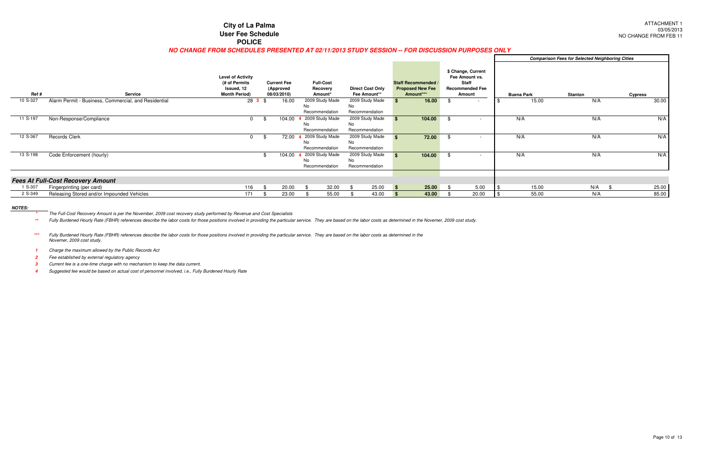#### **City of La Palma User Fee SchedulePOLICE**

#### **NO CHANGE FROM SCHEDULES PRESENTED AT 02/11/2013 STUDY SESSION -- FOR DISCUSSION PURPOSES ONLY**

|          |                                                      |                                                                                 |                                                |                                          |                                         |          |                                                                    |      |                                                                                          |                   | <b>Comparison Fees for Selected Neighboring Cities</b> |                |
|----------|------------------------------------------------------|---------------------------------------------------------------------------------|------------------------------------------------|------------------------------------------|-----------------------------------------|----------|--------------------------------------------------------------------|------|------------------------------------------------------------------------------------------|-------------------|--------------------------------------------------------|----------------|
| Ref #    | <b>Service</b>                                       | <b>Level of Activity</b><br>(# of Permits<br>Issued, 12<br><b>Month Period)</b> | <b>Current Fee</b><br>(Approved<br>08/03/2010) | <b>Full-Cost</b><br>Recovery<br>Amount*  | <b>Direct Cost Only</b><br>Fee Amount** |          | <b>Staff Recommended /</b><br><b>Proposed New Fee</b><br>Amount*** |      | \$ Change, Current<br>Fee Amount vs.<br><b>Staff</b><br><b>Recommended Fee</b><br>Amount | <b>Buena Park</b> | <b>Stanton</b>                                         | <b>Cypress</b> |
| 10 S-327 | Alarm Permit - Business, Commercial, and Residential | $283$ \$                                                                        | 16.00                                          | 2009 Study Made<br>No<br>Recommendation  | 2009 Study Made<br>No<br>Recommendation |          | 16.00                                                              |      |                                                                                          | 15.00             | N/A                                                    | 30.00          |
| 11 S-197 | Non-Response/Compliance                              |                                                                                 | 104.00                                         | 2009 Study Made<br>No.<br>Recommendation | 2009 Study Made<br>No<br>Recommendation |          | 104.00                                                             |      |                                                                                          | N/A               | N/A                                                    | N/A            |
| 12 S-367 | Records Clerk                                        |                                                                                 | 72.00                                          | 2009 Study Made<br>No<br>Recommendation  | 2009 Study Made<br>No<br>Recommendation |          | 72.00                                                              | - \$ |                                                                                          | N/A               | N/A                                                    | N/A            |
| 13 S-198 | Code Enforcement (hourly)                            |                                                                                 | 104.00                                         | 2009 Study Made<br>No<br>Recommendation  | 2009 Study Made<br>No<br>Recommendation |          | 104.00                                                             |      |                                                                                          | N/A               | N/A                                                    | N/A            |
|          | <b>Fees At Full-Cost Recovery Amount</b>             |                                                                                 |                                                |                                          |                                         |          |                                                                    |      |                                                                                          |                   |                                                        |                |
| 1 S-307  | Fingerprinting (per card)                            | 116                                                                             | 20.00                                          | 32.00                                    | 25.00                                   | <b>S</b> | $25.00$ \$                                                         |      | 5.00                                                                                     | 15.00             | N/A                                                    | 25.00<br>- 96  |
| 2 S-349  | Releasing Stored and/or Impounded Vehicles           | 171                                                                             | 23.00                                          | 55.00                                    | 43.00                                   |          | 43.00                                                              |      | 20.00                                                                                    | 55.00             | N/A                                                    | 85.00          |

\* Fully Burdened Hourly Rate (FBHR) references describe the labor costs for those positions involved in providing the particular service. They are based on the labor costs as determined in the Novemer, 2009 cost study. **\*\***

#### **NOTES:**

**\***The Full-Cost Recovery Amount is per the November, 2009 cost recovery study performed by Revenue and Cost Specialists

**1**Charge the maximum allowed by the Public Records Act

**2**Fee established by external regulatory agency

**3**Current fee is a one-time charge with no mechanism to keep the data current.

**4**Suggested fee would be based on actual cost of personnel involved, i.e., Fully Burdened Hourly Rate

**\*\*\***Fully Burdened Hourly Rate (FBHR) references describe the labor costs for those positions involved in providing the particular service. They are based on the labor costs as determined in the Novemer, 2009 cost study.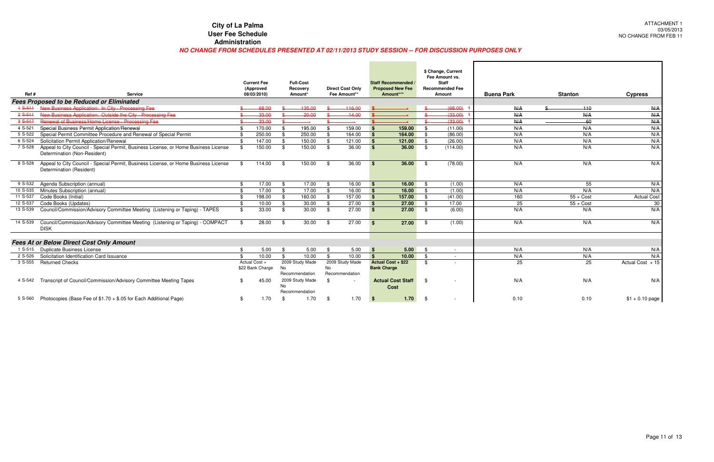| Ref#        | <b>Service</b>                                                                                                          |               | <b>Current Fee</b><br>(Approved<br>08/03/2010) |     | <b>Full-Cost</b><br>Recovery<br>Amount* |      | <b>Direct Cost Only</b><br>Fee Amount** |                    | <b>Staff Recommended</b><br><b>Proposed New Fee</b><br>Amount*** |               | \$ Change, Current<br>Fee Amount vs.<br><b>Staff</b><br><b>Recommended Fee</b><br>Amount | <b>Buena Park</b> | <b>Stanton</b> | <b>Cypress</b>     |
|-------------|-------------------------------------------------------------------------------------------------------------------------|---------------|------------------------------------------------|-----|-----------------------------------------|------|-----------------------------------------|--------------------|------------------------------------------------------------------|---------------|------------------------------------------------------------------------------------------|-------------------|----------------|--------------------|
|             | <b>Fees Proposed to be Reduced or Eliminated</b>                                                                        |               |                                                |     |                                         |      |                                         |                    |                                                                  |               |                                                                                          |                   |                |                    |
| $+ S - 511$ | New Business Application: In City - Processing Fee                                                                      |               | 68.00                                          |     | 135.00                                  |      | 116.00                                  |                    |                                                                  |               | (68.00)                                                                                  | N/A               | $-110$         | N/A                |
| $2$ S-511   | New Business Application: Outside the City - Processing Fee                                                             |               | 33.00                                          |     | $-20.00$                                |      | 14.00                                   |                    |                                                                  |               | (33.00)                                                                                  | N/A               | N/A            | N/A                |
| $3S-517$    | Renewal of Business/Home License - Processing Fee                                                                       |               | $-33.00$                                       |     |                                         |      |                                         |                    |                                                                  |               | (33.00)                                                                                  | N/A               | -60            | N/A                |
| 4 S-521     | Special Business Permit Application/Renewal                                                                             | .ድ            | 170.00                                         | \$  | 195.00                                  | .\$  | 159.00                                  |                    | 159.00                                                           | . ድ           | (11.00)                                                                                  | N/A               | N/A            | N/A                |
| 5 S-522     | Special Permit Committee Procedure and Renewal of Special Permit                                                        |               | 250.00                                         | \$  | 250.00                                  | - \$ | 164.00                                  |                    | 164.00                                                           | -\$           | (86.00)                                                                                  | N/A               | N/A            | N/A                |
| 6 S-524     | Solicitation Permit Application/Renewal                                                                                 | \$            | 147.00                                         | \$  | 150.00                                  | - \$ | 121.00                                  | $\mathbf{\hat{s}}$ | 121.00                                                           | -\$           | (26.00)                                                                                  | N/A               | N/A            | N/A                |
| 7 S-528     | Appeal to City Council - Special Permit, Business License, or Home Business License<br>Determination (Non-Resident)     | \$            | 150.00                                         | \$  | 150.00                                  | \$   | 36.00                                   | $\mathbf{s}$       | 36.00                                                            | -\$           | (114.00)                                                                                 | N/A               | N/A            | N/A                |
|             | 8 S-528 Appeal to City Council - Special Permit, Business License, or Home Business License<br>Determination (Resident) | \$            | 114.00                                         | -\$ | 150.00                                  | -\$  | 36.00                                   | <b>S</b>           | 36.00                                                            | - \$          | (78.00)                                                                                  | N/A               | N/A            | N/A                |
| 9 S-532     | Agenda Subscription (annual)                                                                                            | \$            | 17.00                                          | \$  | 17.00                                   | -\$  | 16.00                                   | $\mathbf{s}$       | 16.00                                                            | -\$           | (1.00)                                                                                   | N/A               | 55             | N/A                |
| 10 S-535    | Minutes Subscription (annual)                                                                                           | \$            | 17.00                                          | \$  | 17.00                                   | -\$  | 16.00                                   | <b>S</b>           | 16.00                                                            | - \$          | (1.00)                                                                                   | N/A               | N/A            | N/A                |
| 11 S-537    | Code Books (Initial)                                                                                                    | $\mathbf{\$}$ | 198.00                                         | \$  | 160.00                                  | - \$ | 157.00                                  | $\mathbf{s}$       | 157.00                                                           | - \$          | (41.00)                                                                                  | 160               | $55 + Cost$    | <b>Actual Cost</b> |
| 12 S-537    | Code Books (Updates)                                                                                                    | \$            | 10.00                                          | \$  | 30.00                                   | -\$  | 27.00                                   | <b>S</b>           | 27.00                                                            | - \$          | 17.00                                                                                    | 25                | $55 + Cost$    | 30                 |
| 13 S-539    | Council/Commission/Advisory Committee Meeting (Listening or Taping) - TAPES                                             | \$            | 33.00                                          | \$  | 30.00                                   | - \$ | 27.00                                   | <b>S</b>           | 27.00                                                            | - \$          | (6.00)                                                                                   | N/A               | N/A            | N/A                |
| 14 S-539    | Council/Commission/Advisory Committee Meeting (Listening or Taping) - COMPACT<br><b>DISK</b>                            | \$            | 28.00                                          | -\$ | 30.00                                   | -\$  | 27.00                                   | <b>S</b>           | 27.00                                                            | - \$          | (1.00)                                                                                   | N/A               | N/A            | N/A                |
|             | <b>Fees At or Below Direct Cost Only Amount</b>                                                                         |               |                                                |     |                                         |      |                                         |                    |                                                                  |               |                                                                                          |                   |                |                    |
|             | 1 S-515 Duplicate Business License                                                                                      | \$            | 5.00                                           | \$  | 5.00                                    | - \$ | 5.00                                    | $\mathbf{s}$       | 5.00                                                             | $\mathbf{\$}$ |                                                                                          | N/A               | N/A            | N/A                |
| 2 S-526     | Solicitation Identification Card Issuance                                                                               | \$            | 10.00                                          | \$  | 10.00                                   | \$   | 10.00                                   | $\mathbf{s}$       | 10.00                                                            | \$            |                                                                                          | N/A               | N/A            | N/A                |
| 3 S-555     | <b>Returned Checks</b>                                                                                                  |               | Actual Cost +<br>\$22 Bank Charge              | No  | 2009 Study Made<br>Recommendation       | No   | 2009 Study Made<br>Recommendation       |                    | <b>Actual Cost + \$22</b><br><b>Bank Charge</b>                  | \$            |                                                                                          | 25                | 25             | Actual Cost + 15   |
| 4 S-542     | Transcript of Council/Commission/Advisory Committee Meeting Tapes                                                       | .S            | 45.00                                          | No  | 2009 Study Made<br>Recommendation       | \$   | $\overline{\phantom{a}}$                |                    | <b>Actual Cost Staff</b><br>Cost                                 | -\$           |                                                                                          | N/A               | N/A            | N/A                |
| 5 S-560     | Photocopies (Base Fee of \$1.70 + \$.05 for Each Additional Page)                                                       | \$            | 1.70                                           | -\$ | 1.70                                    | - \$ | 1.70                                    | $\mathbf{s}$       | 1.70                                                             | - \$          |                                                                                          | 0.10              | 0.10           | $$1 + 0.10$ page   |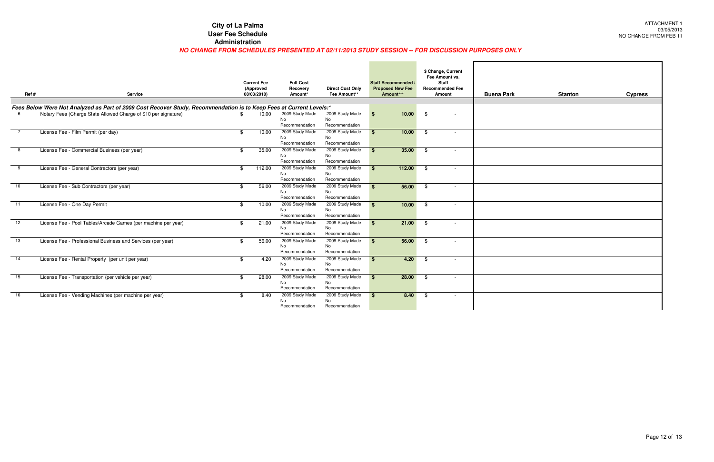#### **NO CHANGE FROM SCHEDULES PRESENTED AT 02/11/2013 STUDY SESSION -- FOR DISCUSSION PURPOSES ONLY**

| Ref# | <b>Service</b>                                                                                                      | <b>Current Fee</b><br>(Approved<br>08/03/2010) |        | <b>Full-Cost</b><br>Recovery<br>Amount*        | <b>Direct Cost Only</b><br>Fee Amount** | <b>Staff Recommended</b><br><b>Proposed New Fee</b><br>Amount*** | \$ Change, Current<br>Fee Amount vs.<br><b>Staff</b><br><b>Recommended Fee</b><br><b>Amount</b> | <b>Buena Park</b> | <b>Stanton</b> | <b>Cypress</b> |
|------|---------------------------------------------------------------------------------------------------------------------|------------------------------------------------|--------|------------------------------------------------|-----------------------------------------|------------------------------------------------------------------|-------------------------------------------------------------------------------------------------|-------------------|----------------|----------------|
|      | Fees Below Were Not Analyzed as Part of 2009 Cost Recover Study, Recommendation is to Keep Fees at Current Levels:* |                                                |        |                                                |                                         |                                                                  |                                                                                                 |                   |                |                |
|      | Notary Fees (Charge State Allowed Charge of \$10 per signature)                                                     | \$                                             | 10.00  | 2009 Study Made<br>No<br>Recommendation        | 2009 Study Made<br>No<br>Recommendation | 10.00<br>∣\$                                                     | - \$<br>$\sim$                                                                                  |                   |                |                |
|      | License Fee - Film Permit (per day)                                                                                 | \$                                             | 10.00  | 2009 Study Made<br>No<br>Recommendation        | 2009 Study Made<br>No<br>Recommendation | 10.00<br>- \$                                                    | \$<br>$\sim$                                                                                    |                   |                |                |
|      | License Fee - Commercial Business (per year)                                                                        | \$                                             | 35.00  | 2009 Study Made<br><b>No</b><br>Recommendation | 2009 Study Made<br>No<br>Recommendation | 35.00<br><b>S</b>                                                | \$<br>$\overline{\phantom{a}}$                                                                  |                   |                |                |
| 9    | License Fee - General Contractors (per year)                                                                        | -\$                                            | 112.00 | 2009 Study Made<br><b>No</b><br>Recommendation | 2009 Study Made<br>No<br>Recommendation | 112.00<br><b>S</b>                                               | \$<br>$\sim$                                                                                    |                   |                |                |
| 10   | License Fee - Sub Contractors (per year)                                                                            | R.                                             | 56.00  | 2009 Study Made<br>No<br>Recommendation        | 2009 Study Made<br>No<br>Recommendation | 56.00<br><b>S</b>                                                | - \$<br>$\sim$                                                                                  |                   |                |                |
| 11   | License Fee - One Day Permit                                                                                        | -\$                                            | 10.00  | 2009 Study Made<br><b>No</b><br>Recommendation | 2009 Study Made<br>No<br>Recommendation | 10.00                                                            | - \$<br>$\sim$                                                                                  |                   |                |                |
| 12   | License Fee - Pool Tables/Arcade Games (per machine per year)                                                       | \$                                             | 21.00  | 2009 Study Made<br>No<br>Recommendation        | 2009 Study Made<br>No<br>Recommendation | 21.00<br><b>\$</b>                                               | \$<br>$\sim$                                                                                    |                   |                |                |
| 13   | License Fee - Professional Business and Services (per year)                                                         |                                                | 56.00  | 2009 Study Made<br>No<br>Recommendation        | 2009 Study Made<br>No<br>Recommendation | 56.00<br>- \$                                                    | - \$<br>$\overline{\phantom{a}}$                                                                |                   |                |                |
| 14   | License Fee - Rental Property (per unit per year)                                                                   | \$                                             | 4.20   | 2009 Study Made<br><b>No</b><br>Recommendation | 2009 Study Made<br>No<br>Recommendation | 4.20<br>- \$                                                     | $^{\circ}$                                                                                      |                   |                |                |
| 15   | License Fee - Transportation (per vehicle per year)                                                                 | \$                                             | 28.00  | 2009 Study Made<br>No<br>Recommendation        | 2009 Study Made<br>No<br>Recommendation | 28.00<br>$\mathbf{s}$                                            | $^{\circ}$<br>$\overline{\phantom{a}}$                                                          |                   |                |                |
| 16   | License Fee - Vending Machines (per machine per year)                                                               | -\$                                            | 8.40   | 2009 Study Made<br>No<br>Recommendation        | 2009 Study Made<br>No<br>Recommendation | 8.40<br>- 93                                                     | - \$<br>$\sim$                                                                                  |                   |                |                |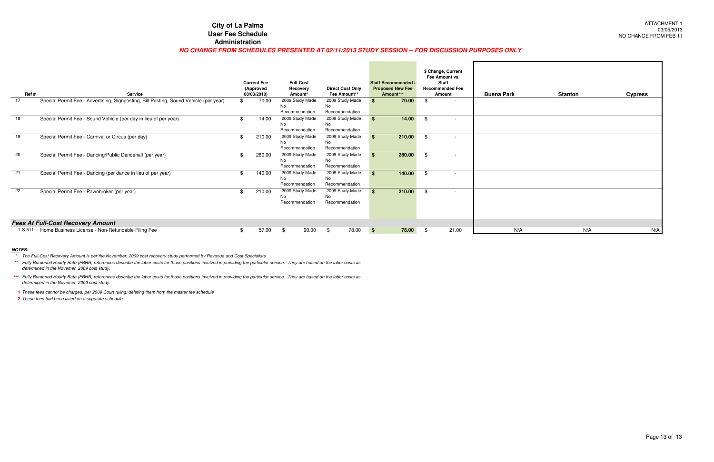#### **NO CHANGE FROM SCHEDULES PRESENTED AT 02/11/2013 STUDY SESSION -- FOR DISCUSSION PURPOSES ONLY**

| Ref#    | Service                                                                                       | <b>Current Fee</b><br>(Approved<br>08/03/2010) |                                         | <b>Full-Cost</b><br>Recovery<br>Amount* | <b>Direct Cost Only</b><br>Fee Amount** |             | <b>Staff Recommended /</b><br><b>Proposed New Fee</b><br>Amount*** |      | \$ Change, Current<br>Fee Amount vs.<br><b>Staff</b><br><b>Recommended Fee</b><br>Amount | <b>Buena Park</b> | <b>Stanton</b> | <b>Cypress</b> |
|---------|-----------------------------------------------------------------------------------------------|------------------------------------------------|-----------------------------------------|-----------------------------------------|-----------------------------------------|-------------|--------------------------------------------------------------------|------|------------------------------------------------------------------------------------------|-------------------|----------------|----------------|
| 17      | Special Permit Fee - Advertising, Signposting, Bill Posting, Sound Vehicle (per year)         | 70.00                                          | No<br>Recommendation                    | 2009 Study Made                         | 2009 Study Made<br>No<br>Recommendation |             | 70.00                                                              |      | $\sim$                                                                                   |                   |                |                |
| 18      | Special Permit Fee - Sound Vehicle (per day in lieu of per year)                              | 14.00                                          | No<br>Recommendation                    | 2009 Study Made                         | 2009 Study Made<br>No<br>Recommendation |             | 14.00                                                              |      | $\sim$                                                                                   |                   |                |                |
| 19      | Special Permit Fee - Carnival or Circus (per day)                                             | 210.00                                         | No<br>Recommendation                    | 2009 Study Made                         | 2009 Study Made<br>No<br>Recommendation |             | 210.00                                                             |      | $\sim$                                                                                   |                   |                |                |
| 20      | Special Permit Fee - Dancing/Public Dancehall (per year)                                      | 280.00                                         | No<br>Recommendation                    | 2009 Study Made                         | 2009 Study Made<br>No<br>Recommendation |             | 280.00                                                             |      | $\sim$                                                                                   |                   |                |                |
| 21      | Special Permit Fee - Dancing (per dance in lieu of per year)                                  | 140.00                                         | No<br>Recommendation                    | 2009 Study Made                         | 2009 Study Made<br>No<br>Recommendation |             | 140.00                                                             |      |                                                                                          |                   |                |                |
| 22      | Special Permit Fee - Pawnbroker (per year)                                                    | 210.00                                         | 2009 Study Made<br>No<br>Recommendation |                                         | 2009 Study Made<br>No<br>Recommendation |             | 210.00                                                             | - \$ | $\overline{\phantom{0}}$                                                                 |                   |                |                |
| 1 S-511 | <b>Fees At Full-Cost Recovery Amount</b><br>Home Business License - Non-Refundable Filing Fee | 57.00                                          | \$                                      | 90.00                                   |                                         |             |                                                                    |      | 21.00                                                                                    | N/A               | N/A            | N/A            |
|         |                                                                                               |                                                |                                         |                                         | 78.00<br>\$                             | $\mathbf s$ | 78.00                                                              | - \$ |                                                                                          |                   |                |                |

**NOTES: \*** The Full-Cost Recovery Amount is per the November, 2009 cost recovery study performed by Revenue and Cost Specialists

**1** These fees cannot be charged, per 2009 Court ruling; deleting them from the master fee schedule

**2** These fees had been listed on a separate schedule

**\*\***Fully Burdened Hourly Rate (FBHR) references describe the labor costs for those positions involved in providing the particular service. They are based on the labor costs as determined in the Novemer, 2009 cost study.

**\*\*\***Fully Burdened Hourly Rate (FBHR) references describe the labor costs for those positions involved in providing the particular service. They are based on the labor costs as determined in the Novemer, 2009 cost study.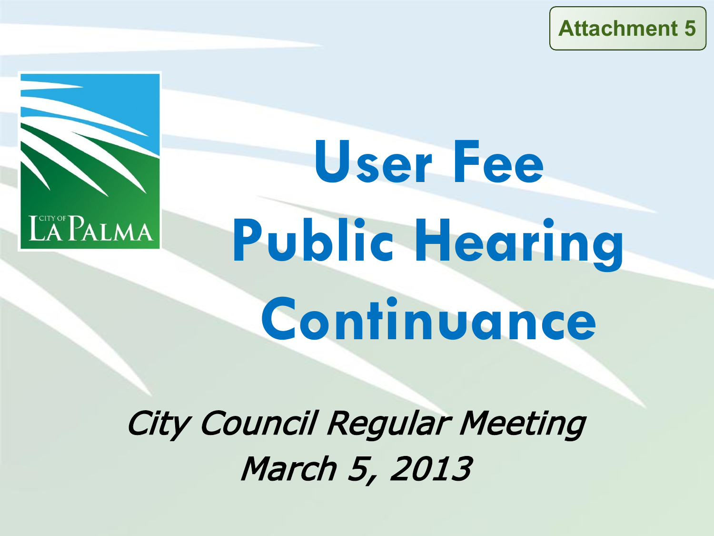**Attachment 5**



# **User Fee Public Hearing Continuance**

City Council Regular Meeting March 5, 2013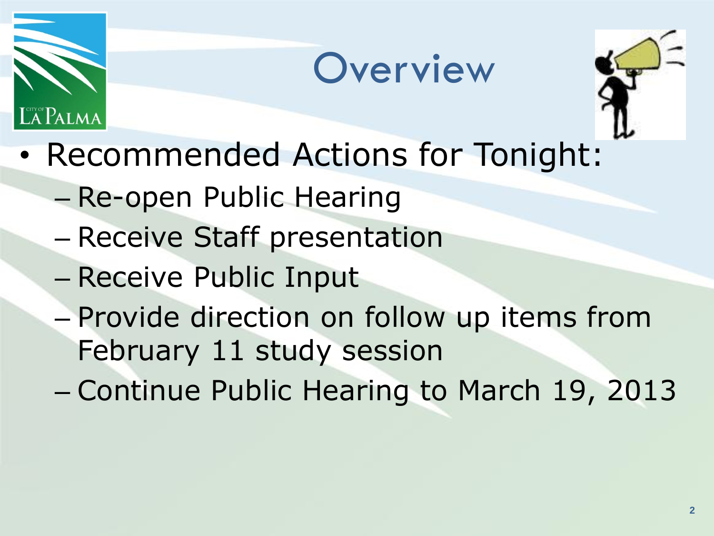





- Recommended Actions for Tonight:
	- Re-open Public Hearing
	- Receive Staff presentation
	- Receive Public Input
	- Provide direction on follow up items from February 11 study session
	- Continue Public Hearing to March 19, 2013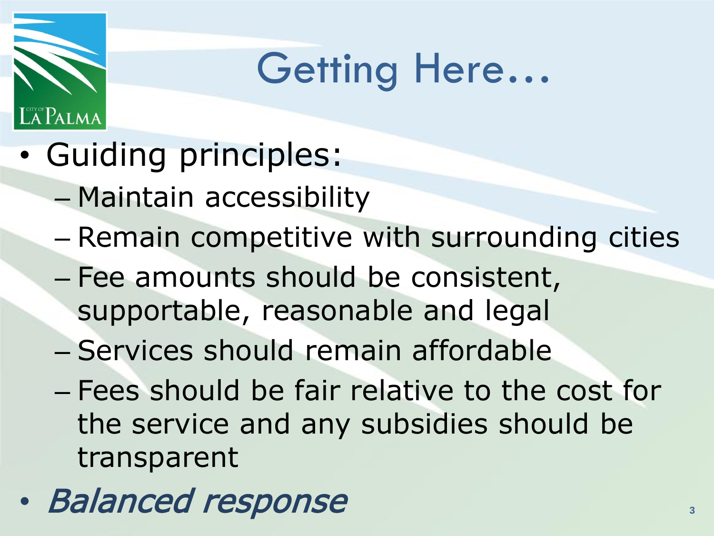### Getting Here…

• Guiding principles:

Palma

- Maintain accessibility
- Remain competitive with surrounding cities
- Fee amounts should be consistent, supportable, reasonable and legal
- Services should remain affordable
- Fees should be fair relative to the cost for the service and any subsidies should be transparent
- Balanced response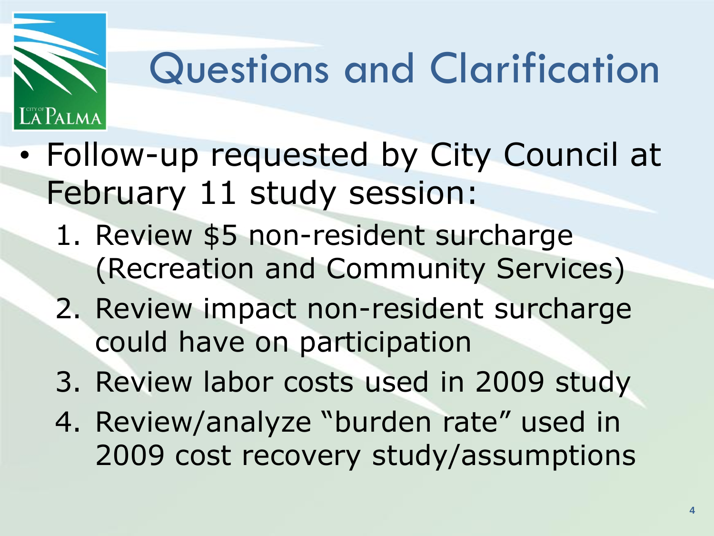### Questions and Clarification

• Follow-up requested by City Council at February 11 study session:

ñ®Palma

- 1. Review \$5 non-resident surcharge (Recreation and Community Services)
- 2. Review impact non-resident surcharge could have on participation
- 3. Review labor costs used in 2009 study
- 4. Review/analyze "burden rate" used in 2009 cost recovery study/assumptions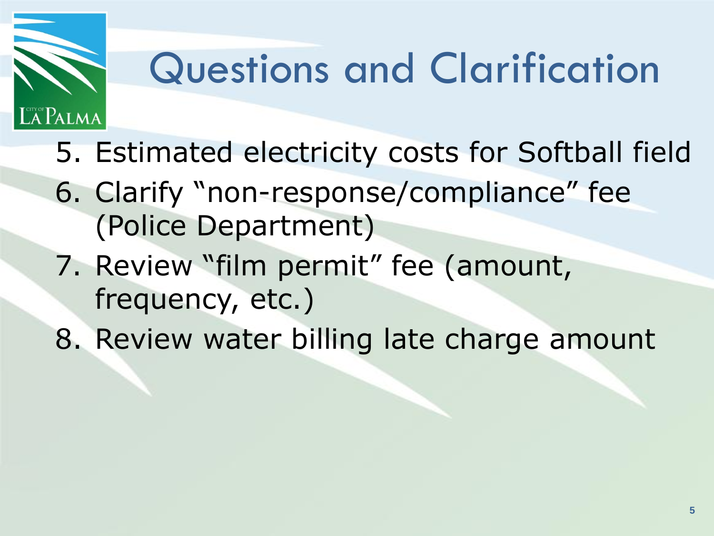## Questions and Clarification

- 5. Estimated electricity costs for Softball field
- 6. Clarify "non-response/compliance" fee (Police Department)
- 7. Review "film permit" fee (amount, frequency, etc.)

**A Palma** 

8. Review water billing late charge amount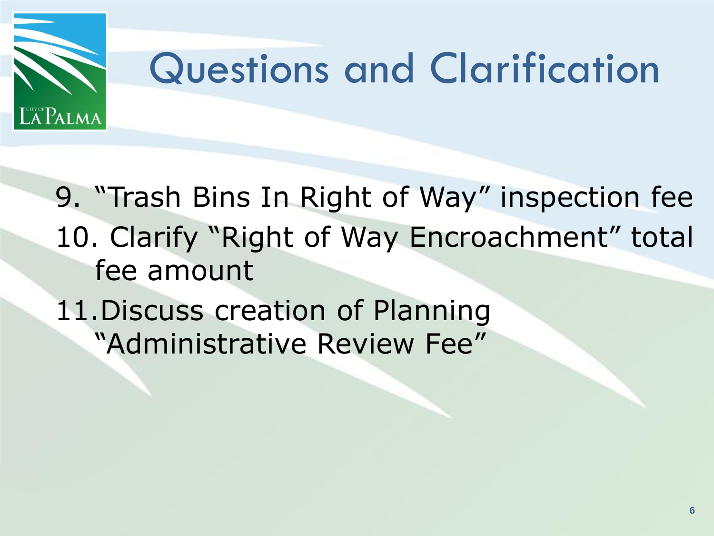

9. "Trash Bins In Right of Way" inspection fee 10. Clarify "Right of Way Encroachment" total fee amount

11.Discuss creation of Planning "Administrative Review Fee"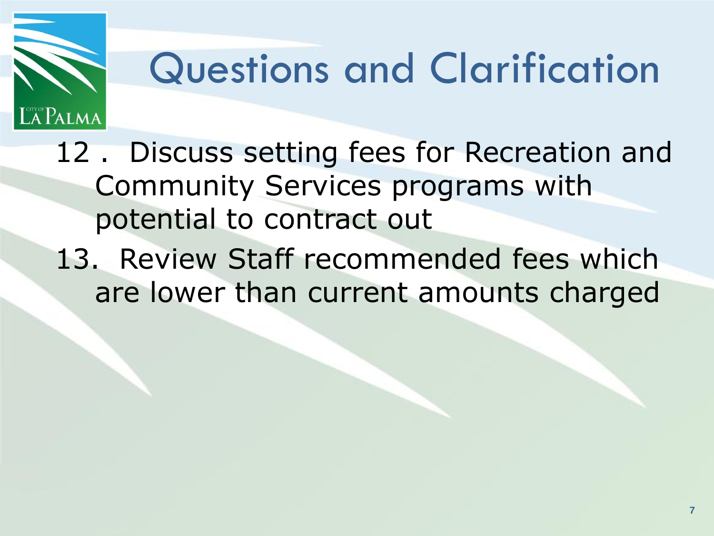## Questions and Clarification

12 . Discuss setting fees for Recreation and Community Services programs with potential to contract out

13. Review Staff recommended fees which are lower than current amounts charged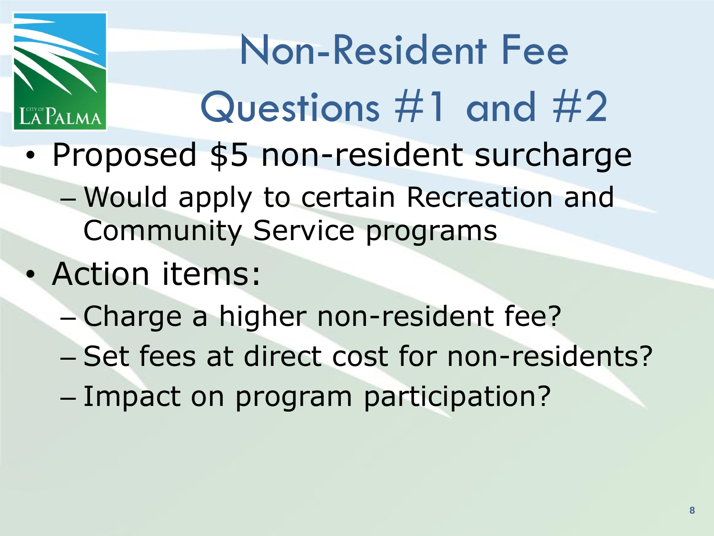

## Non-Resident Fee Questions #1 and #2

- Proposed \$5 non-resident surcharge
	- Would apply to certain Recreation and Community Service programs
- Action items:
	- Charge a higher non-resident fee?
	- Set fees at direct cost for non-residents?
	- Impact on program participation?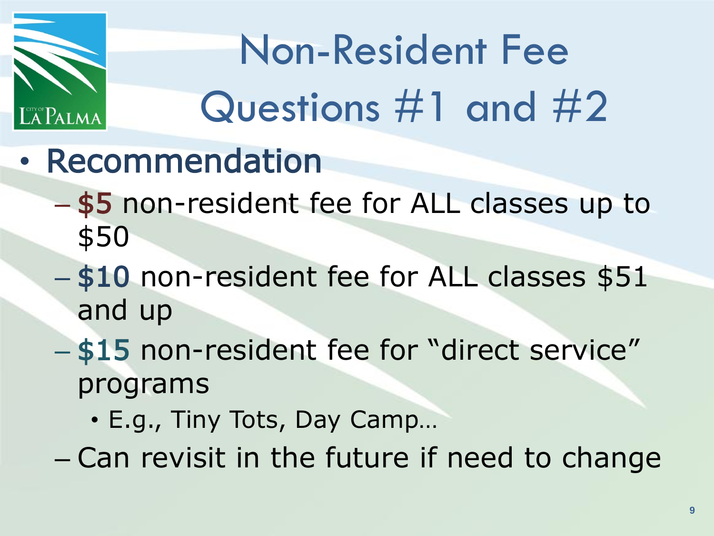

## Non-Resident Fee Questions #1 and #2

- Recommendation
	- \$5 non-resident fee for ALL classes up to \$50
	- \$10 non-resident fee for ALL classes \$51 and up
	- \$15 non-resident fee for "direct service" programs
		- E.g., Tiny Tots, Day Camp…
	- Can revisit in the future if need to change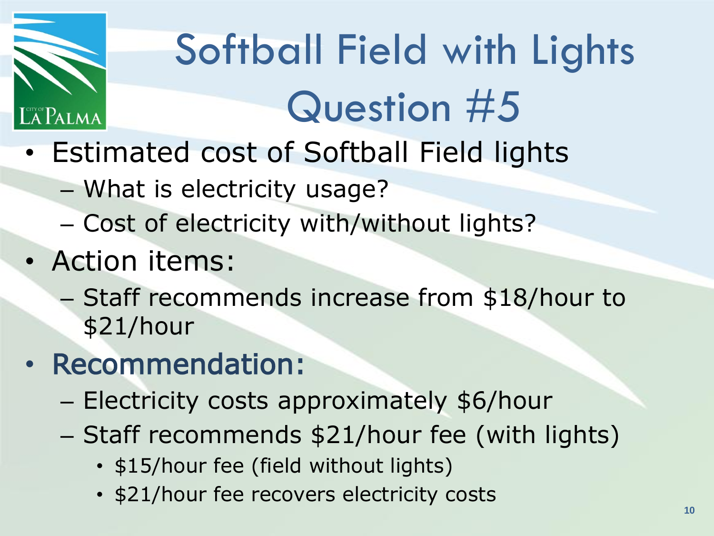

# Softball Field with Lights Question #5

- Estimated cost of Softball Field lights
	- What is electricity usage?
	- Cost of electricity with/without lights?
- Action items:
	- Staff recommends increase from \$18/hour to \$21/hour
- Recommendation:
	- Electricity costs approximately \$6/hour
	- Staff recommends \$21/hour fee (with lights)
		- \$15/hour fee (field without lights)
		- \$21/hour fee recovers electricity costs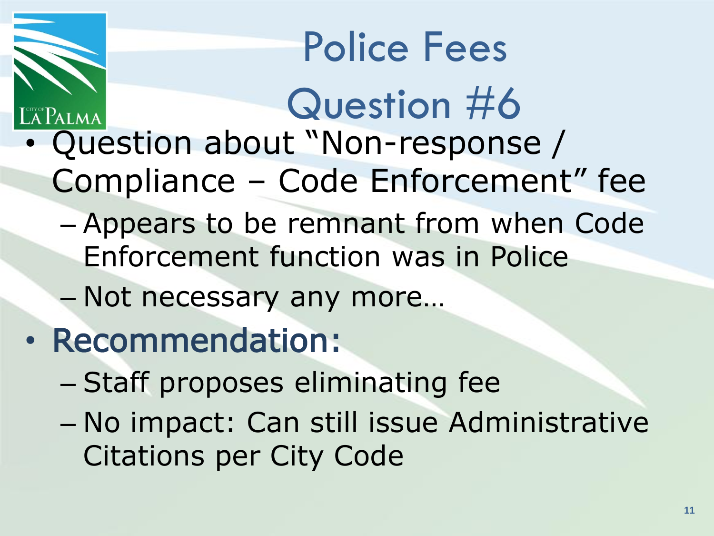#### Police Fees

- Question #6 • Question about "Non-response / Compliance – Code Enforcement" fee
	- Appears to be remnant from when Code Enforcement function was in Police
	- Not necessary any more…
- Recommendation:
	- Staff proposes eliminating fee
	- No impact: Can still issue Administrative Citations per City Code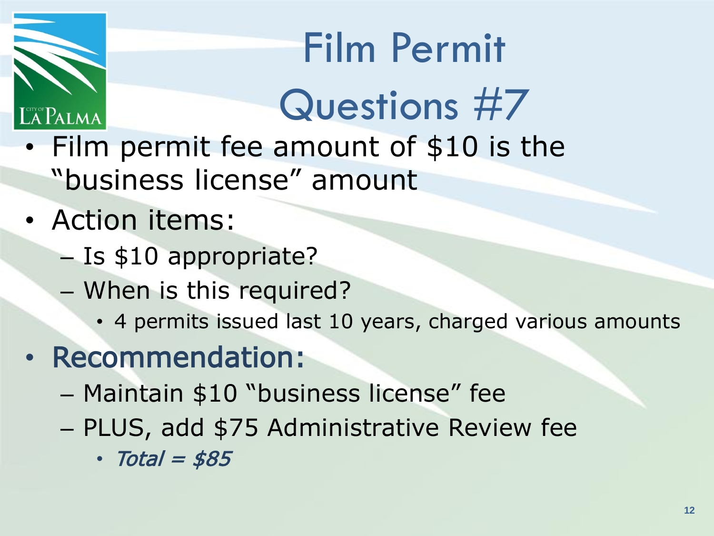# $\mathbb{A}$ Palma

#### Film Permit Questions #7

- Film permit fee amount of \$10 is the "business license" amount
- Action items:
	- Is \$10 appropriate?
	- When is this required?
		- 4 permits issued last 10 years, charged various amounts
- Recommendation:
	- Maintain \$10 "business license" fee
	- PLUS, add \$75 Administrative Review fee
		- $\cdot$  Total = \$85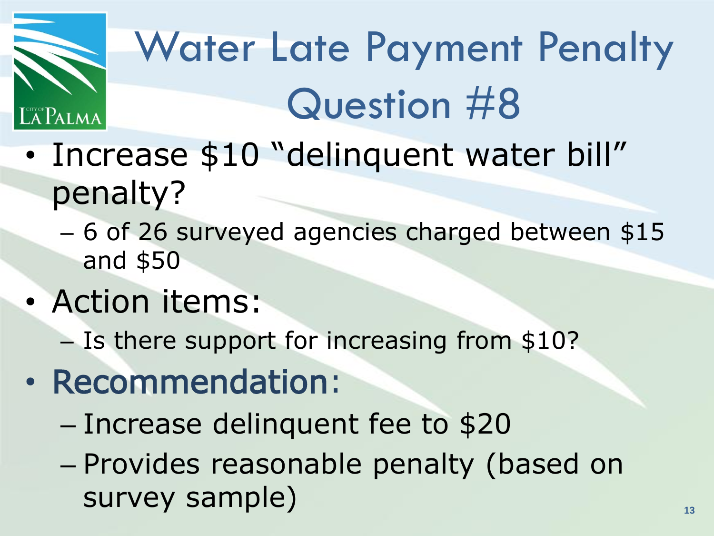

# Water Late Payment Penalty Question #8

- Increase \$10 "delinquent water bill" penalty?
	- 6 of 26 surveyed agencies charged between \$15 and \$50
- Action items:
	- Is there support for increasing from \$10?
- Recommendation:
	- Increase delinquent fee to \$20
	- Provides reasonable penalty (based on survey sample)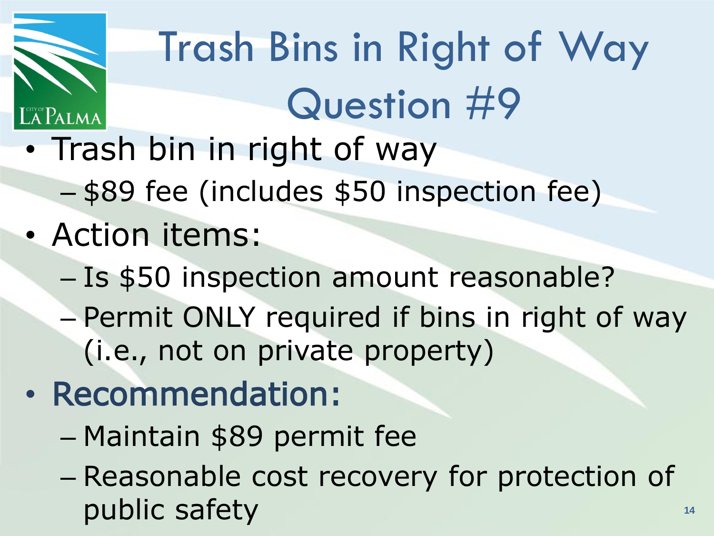

# Trash Bins in Right of Way Question #9

- Trash bin in right of way
	- \$89 fee (includes \$50 inspection fee)
- Action items:
	- Is \$50 inspection amount reasonable?
	- Permit ONLY required if bins in right of way (i.e., not on private property)

#### • Recommendation:

- Maintain \$89 permit fee
- Reasonable cost recovery for protection of public safety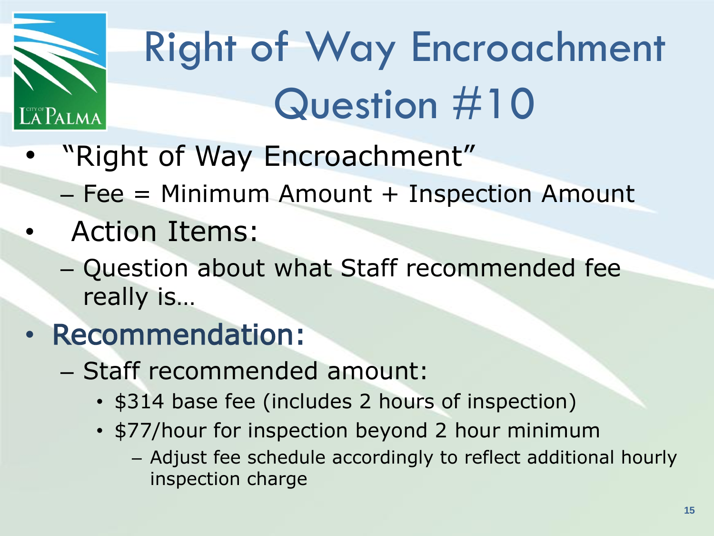

# Right of Way Encroachment Question #10

- "Right of Way Encroachment"
	- $P = Fee$  = Minimum Amount + Inspection Amount
- Action Items:
	- Question about what Staff recommended fee really is…
- Recommendation:
	- Staff recommended amount:
		- \$314 base fee (includes 2 hours of inspection)
		- \$77/hour for inspection beyond 2 hour minimum
			- Adjust fee schedule accordingly to reflect additional hourly inspection charge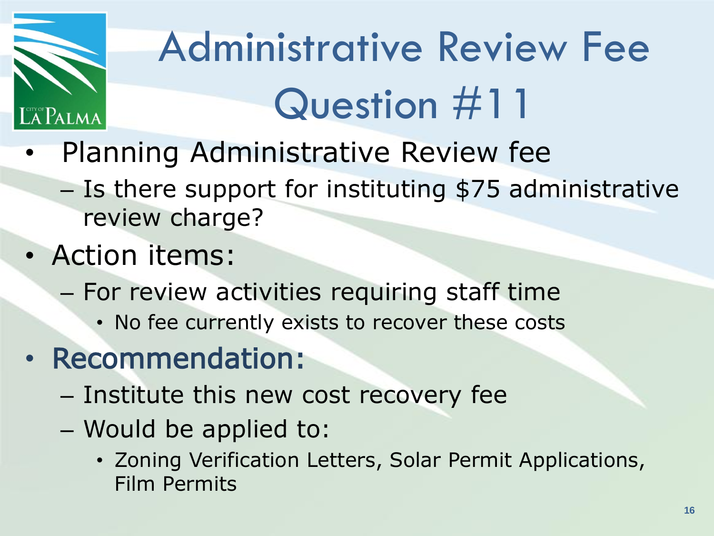

# Administrative Review Fee Question #11

- Planning Administrative Review fee
	- Is there support for instituting \$75 administrative review charge?
- Action items:
	- For review activities requiring staff time
		- No fee currently exists to recover these costs
- Recommendation:
	- Institute this new cost recovery fee
	- Would be applied to:
		- Zoning Verification Letters, Solar Permit Applications, Film Permits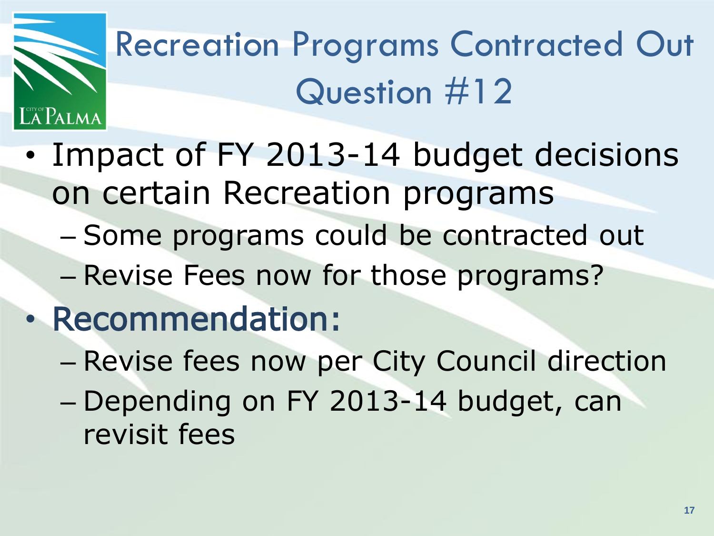

#### Recreation Programs Contracted Out Question #12

- Impact of FY 2013-14 budget decisions on certain Recreation programs
	- Some programs could be contracted out
	- Revise Fees now for those programs?
- Recommendation:
	- Revise fees now per City Council direction
	- Depending on FY 2013-14 budget, can revisit fees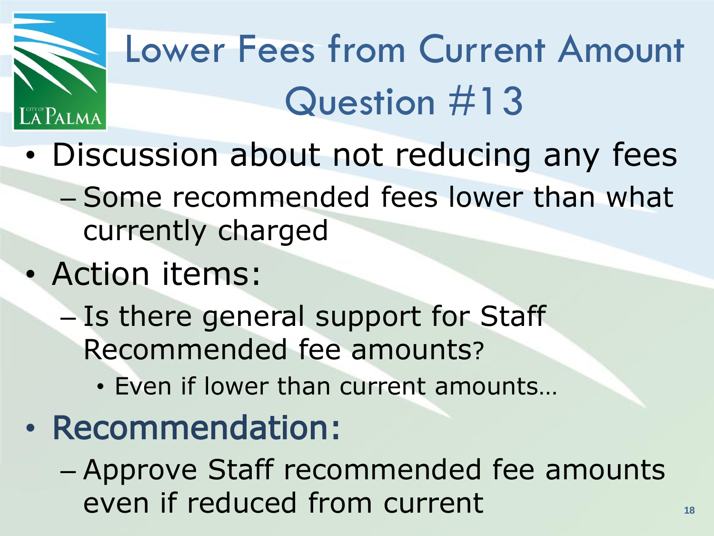

#### Lower Fees from Current Amount Question #13

- Discussion about not reducing any fees
	- Some recommended fees lower than what currently charged
- Action items:
	- Is there general support for Staff Recommended fee amounts?
		- Even if lower than current amounts…
- Recommendation:
	- Approve Staff recommended fee amounts even if reduced from current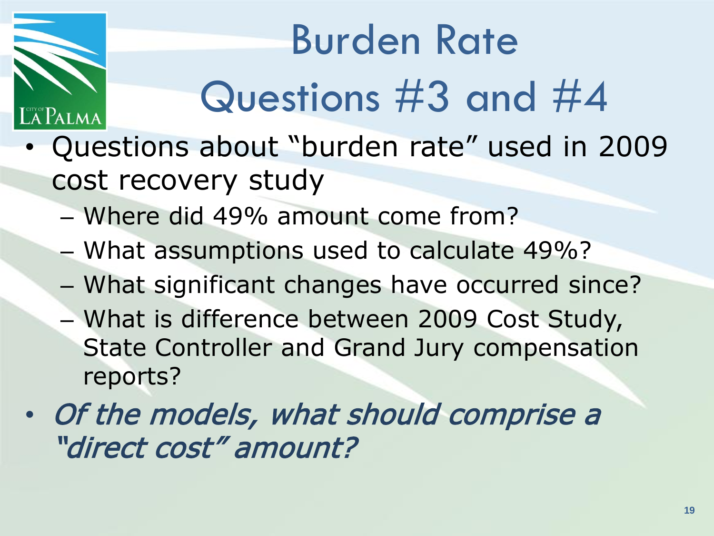# Burden Rate Questions #3 and #4

- Questions about "burden rate" used in 2009 cost recovery study
	- Where did 49% amount come from?
	- What assumptions used to calculate 49%?
	- What significant changes have occurred since?
	- What is difference between 2009 Cost Study, State Controller and Grand Jury compensation reports?
- Of the models, what should comprise a "direct cost" amount?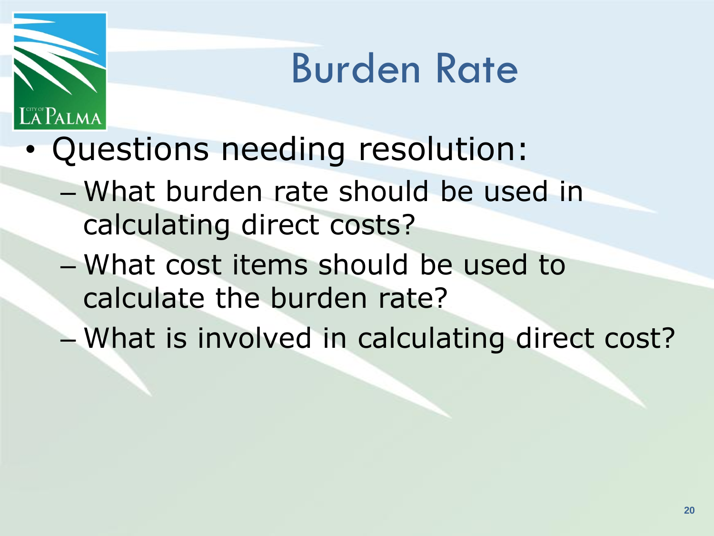#### Burden Rate

• Questions needing resolution:

Palma

- What burden rate should be used in calculating direct costs?
- What cost items should be used to calculate the burden rate?
- What is involved in calculating direct cost?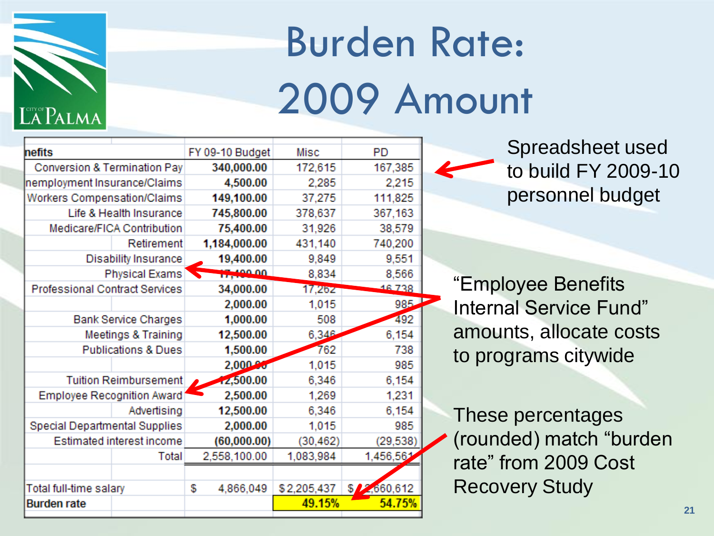

# Burden Rate: 2009 Amount

| hefits                                |                             |   | FY 09-10 Budget | Misc        | PD          |  |
|---------------------------------------|-----------------------------|---|-----------------|-------------|-------------|--|
| Conversion & Termination Pay          |                             |   | 340,000.00      | 172,615     | 167,385     |  |
| nemployment Insurance/Claims          |                             |   | 4,500.00        | 2,285       | 2,215       |  |
| Workers Compensation/Claims           |                             |   | 149,100.00      | 37,275      | 111,825     |  |
|                                       | Life & Health Insurance     |   | 745,800.00      | 378,637     | 367,163     |  |
|                                       | Medicare/FICA Contribution  |   | 75,400.00       | 31,926      | 38,579      |  |
|                                       | Retirement                  |   | 1,184,000.00    | 431,140     | 740,200     |  |
|                                       | <b>Disability Insurance</b> |   | 19,400.00       | 9,849       | 9,551       |  |
|                                       | <b>Physical Exams</b>       |   | 17,100.00       | 8,834       | 8,566       |  |
| <b>Professional Contract Services</b> |                             |   | 34,000.00       | 17,262      | 16.738      |  |
|                                       |                             |   | 2,000.00        | 1,015       | 985         |  |
| <b>Bank Service Charges</b>           |                             |   | 1,000.00        | 508         | 492         |  |
| Meetings & Training                   |                             |   | 12,500.00       | 6,346       | 6,154       |  |
| <b>Publications &amp; Dues</b>        |                             |   | 1,500.00        | 762         | 738         |  |
|                                       |                             |   | 2,000.80        | 1,015       | 985         |  |
| <b>Tuition Reimbursement</b>          |                             |   | 12,500.00       | 6,346       | 6,154       |  |
| Employee Recognition Award            |                             |   | 2,500.00        | 1,269       | 1,231       |  |
|                                       | Advertising                 |   | 12,500.00       | 6,346       | 6,154       |  |
| Special Departmental Supplies         |                             |   | 2,000.00        | 1,015       | 985         |  |
|                                       | Estimated interest income   |   | (60,000.00)     | (30, 462)   | (29, 538)   |  |
|                                       | Total                       |   | 2,558,100.00    | 1,083,984   | 1,456,561   |  |
|                                       |                             |   |                 |             |             |  |
| Total full-time salary                |                             | S | 4,866,049       | \$2,205,437 | \$2,660,612 |  |
| <b>Burden rate</b>                    |                             |   |                 | 49.15%      | 54.75%      |  |
|                                       |                             |   |                 |             |             |  |

Spreadsheet used to build FY 2009-10 personnel budget

"Employee Benefits Internal Service Fund" amounts, allocate costs to programs citywide

These percentages (rounded) match "burden rate" from 2009 Cost Recovery Study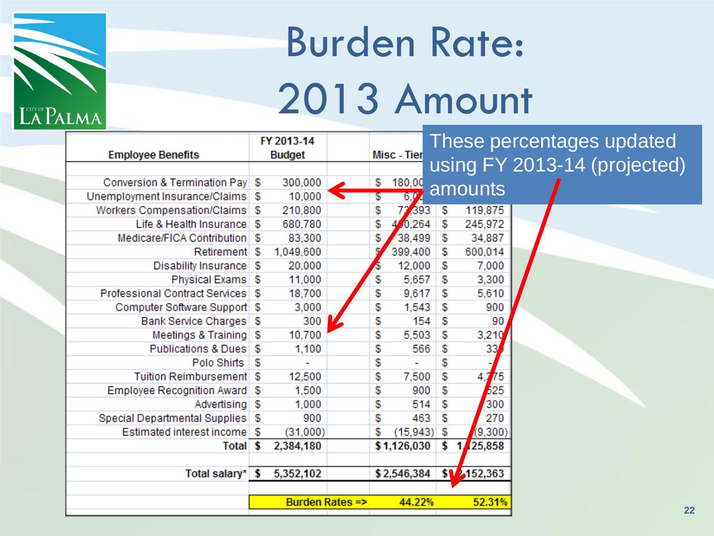

#### Burden Rate: 2013 Amount

|                                     | FY 2013-14 |           |                           |    | These percentages updated |    |             |                              |
|-------------------------------------|------------|-----------|---------------------------|----|---------------------------|----|-------------|------------------------------|
| <b>Employee Benefits</b>            |            | Budget    |                           |    | Misc - Tier               |    |             |                              |
|                                     |            |           |                           |    |                           |    |             | using FY 2013-14 (projected) |
| Conversion & Termination Pay \$     |            | 300,000   |                           | \$ | 180,00                    |    | amounts     |                              |
| Unemployment Insurance/Claims \$    |            | 10,000    | $\blacktriangledown$      | \$ | 6V                        |    |             |                              |
| Workers Compensation/Claims   \$    |            | 210,800   |                           | \$ | 72,393                    | \$ | 119,875     |                              |
| Life & Health Insurance             | S          | 680,780   |                           | \$ | 0,264                     | \$ | 245,972     |                              |
| Medicare/FICA Contribution   \$     |            | 83,300    |                           | \$ | 38,499                    | \$ | 34,887      |                              |
| Retirement \$                       |            | 1,049,600 |                           |    | 399,400                   | \$ | 600,014     |                              |
| Disability Insurance \$             |            | 20,000    |                           | 5  | 12,000                    | \$ | 7,000       |                              |
| Physical Exams   \$                 |            | 11,000    |                           | \$ | 5,657                     | \$ | 3,300       |                              |
| Professional Contract Services   \$ |            | 18,700    |                           | \$ | 9,617                     | \$ | 5,610       |                              |
| Computer Software Support \$        |            | 3,000     |                           | \$ | 1,543                     | \$ | 900         |                              |
| Bank Service Charges   \$           |            | 300       |                           | \$ | 154                       | \$ | 90          |                              |
| Meetings & Training \$              |            | 10,700    |                           | \$ | 5,503                     | \$ | 3,210       |                              |
| Publications & Dues \$              |            | 1,100     |                           | \$ | 566                       | \$ | 33          |                              |
| Polo Shirts                         | S          |           |                           | \$ |                           | \$ |             |                              |
| Tuition Reimbursement   \$          |            | 12,500    |                           | \$ | 7,500                     | \$ | 75<br>4.    |                              |
| Employee Recognition Award \$       |            | 1,500     |                           | \$ | 900                       | \$ | 525         |                              |
| Advertising \$                      |            | 1,000     |                           | \$ | 514                       | \$ | 300         |                              |
| Special Departmental Supplies   \$  |            | 900       |                           | \$ | 463                       | \$ | 270         |                              |
| Estimated interest income           |            | (31,000)  |                           | \$ | (15, 943)                 | \$ | (9,300)     |                              |
| Total \$                            |            | 2,384,180 |                           |    | \$1,126,030               | \$ | 25,858<br>1 |                              |
|                                     |            |           |                           |    |                           |    |             |                              |
| Total salary* \$                    |            | 5,352,102 |                           |    | \$2,546,384               |    | \$152,363   |                              |
|                                     |            |           |                           |    |                           |    |             |                              |
|                                     |            |           | <b>Burden Rates =&gt;</b> |    | 44.22%                    |    | 52.31%      |                              |
|                                     |            |           |                           |    |                           |    |             | 2 <sup>2</sup>               |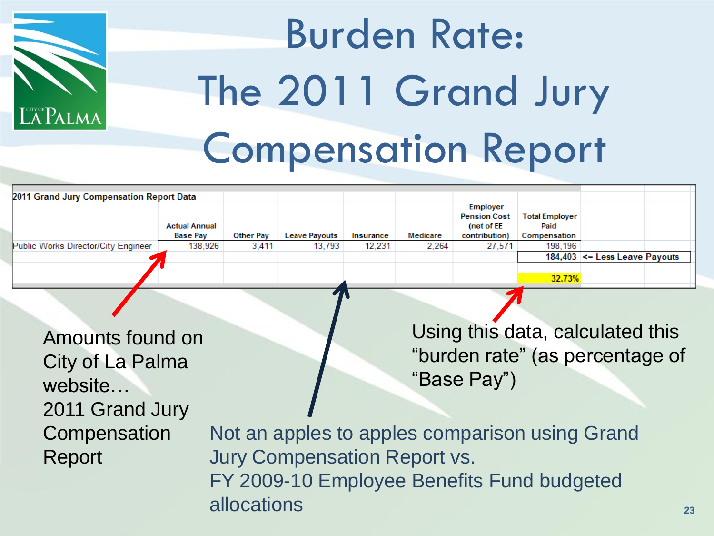

#### Burden Rate: The 2011 Grand Jury Compensation Report

| 2011 Grand Jury Compensation Report Data |                      |                  |                      |           |          |                                               |                               |                                   |  |
|------------------------------------------|----------------------|------------------|----------------------|-----------|----------|-----------------------------------------------|-------------------------------|-----------------------------------|--|
|                                          | <b>Actual Annual</b> |                  |                      |           |          | Employer<br><b>Pension Cost</b><br>(net of EE | <b>Total Employer</b><br>Paid |                                   |  |
|                                          | <b>Base Pay</b>      | <b>Other Pay</b> | <b>Leave Payouts</b> | Insurance | Medicare | contribution)                                 | Compensation                  |                                   |  |
| Public Works Director/City Engineer      | 138,926              | 3.411            | 13,793               | 12,231    | 2.264    | 27,571                                        | 198,196                       |                                   |  |
|                                          |                      |                  |                      |           |          |                                               |                               | 184,403 $\leq$ Less Leave Payouts |  |
|                                          |                      |                  |                      |           |          |                                               |                               |                                   |  |
|                                          |                      |                  |                      |           |          |                                               | 32.73%                        |                                   |  |

Amounts found on City of La Palma website… 2011 Grand Jury **Compensation** Report

Using this data, calculated this "burden rate" (as percentage of "Base Pay")

Not an apples to apples comparison using Grand Jury Compensation Report vs. FY 2009-10 Employee Benefits Fund budgeted allocations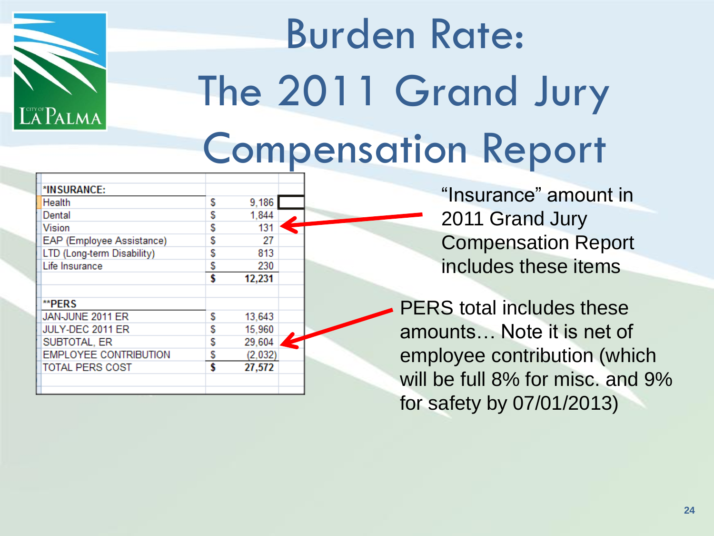

# Burden Rate: The 2011 Grand Jury Compensation Report

| *INSURANCE:                  |    |         |  |
|------------------------------|----|---------|--|
| Health                       | S  | 9,186   |  |
| Dental                       | S  | 1,844   |  |
| <b>Vision</b>                | S  | 131     |  |
| EAP (Employee Assistance)    | S  | 27      |  |
| LTD (Long-term Disability)   | S  | 813     |  |
| Life Insurance               | \$ | 230     |  |
|                              | \$ | 12,231  |  |
|                              |    |         |  |
| **PERS                       |    |         |  |
| JAN-JUNE 2011 ER             | S  | 13,643  |  |
| JULY-DEC 2011 ER             | S  | 15,960  |  |
| SUBTOTAL, ER                 | S  | 29,604  |  |
| <b>EMPLOYEE CONTRIBUTION</b> | S  | (2,032) |  |
| <b>TOTAL PERS COST</b>       | \$ | 27,572  |  |
|                              |    |         |  |
|                              |    |         |  |

"Insurance" amount in 2011 Grand Jury Compensation Report includes these items

PERS total includes these amounts… Note it is net of employee contribution (which will be full 8% for misc. and 9% for safety by 07/01/2013)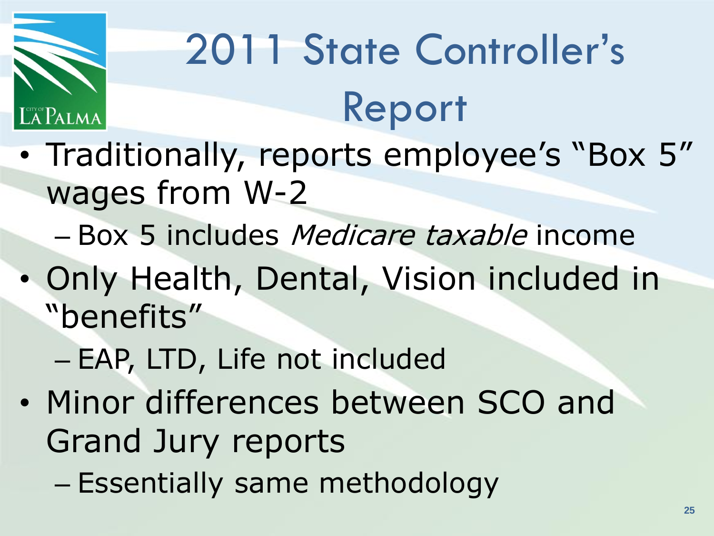

# 2011 State Controller's Report

- Traditionally, reports employee's "Box 5" wages from W-2
	- Box 5 includes Medicare taxable income
- Only Health, Dental, Vision included in "benefits"
	- EAP, LTD, Life not included
- Minor differences between SCO and Grand Jury reports
	- Essentially same methodology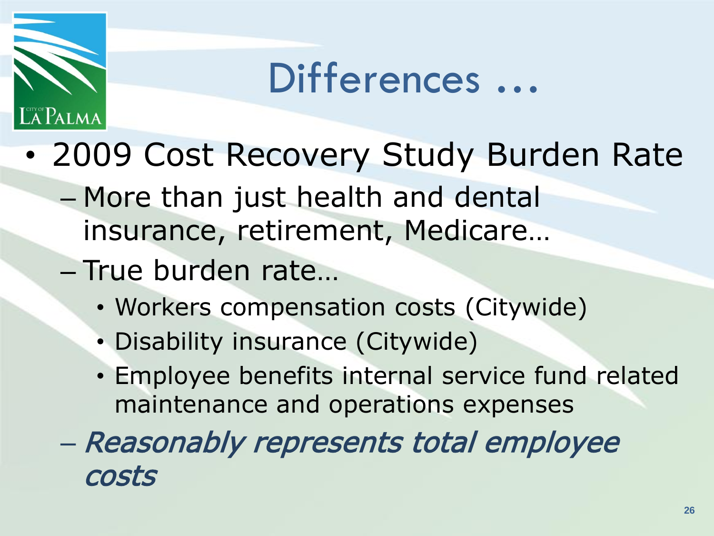

#### Differences …

- 2009 Cost Recovery Study Burden Rate
	- More than just health and dental insurance, retirement, Medicare…
	- True burden rate…
		- Workers compensation costs (Citywide)
		- Disability insurance (Citywide)
		- Employee benefits internal service fund related maintenance and operations expenses
	- Reasonably represents total employee costs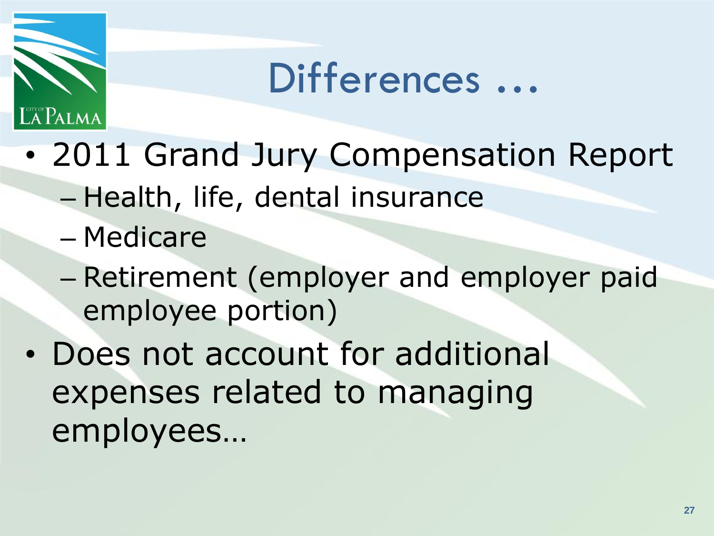

#### Differences …

- 2011 Grand Jury Compensation Report
	- Health, life, dental insurance
	- Medicare
	- Retirement (employer and employer paid employee portion)
- Does not account for additional expenses related to managing employees…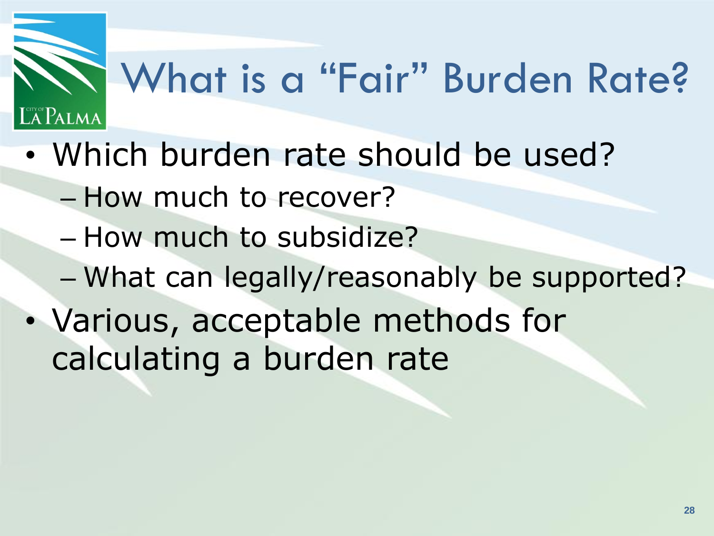# What is a "Fair" Burden Rate?

- Which burden rate should be used?
	- How much to recover?

**A PALMA** 

- How much to subsidize?
- What can legally/reasonably be supported?
- Various, acceptable methods for calculating a burden rate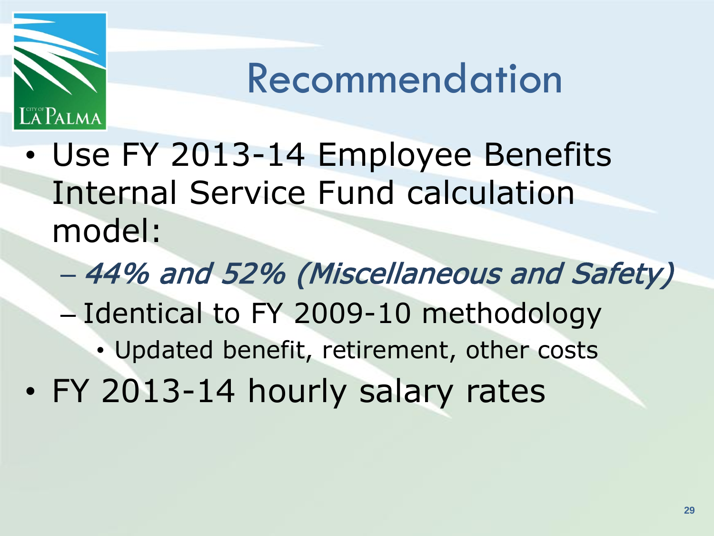

#### Recommendation

- Use FY 2013-14 Employee Benefits Internal Service Fund calculation model:
	- 44% and 52% (Miscellaneous and Safety)
	- Identical to FY 2009-10 methodology
		- Updated benefit, retirement, other costs
- FY 2013-14 hourly salary rates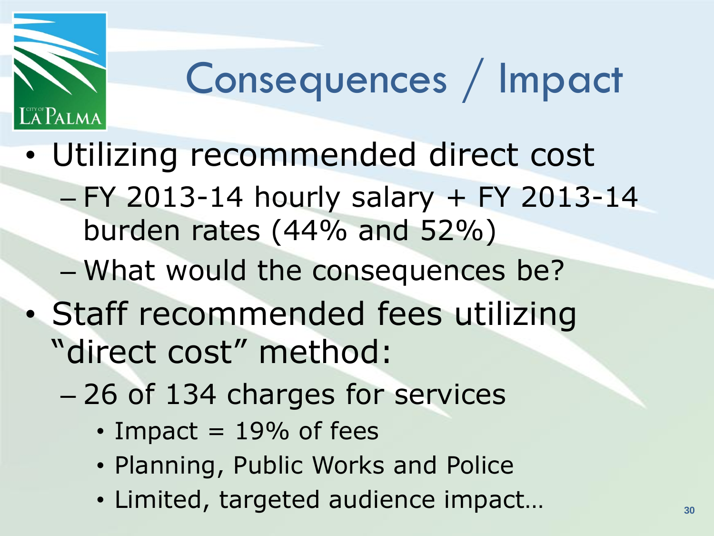

#### Consequences / Impact

- Utilizing recommended direct cost
	- FY 2013-14 hourly salary + FY 2013-14 burden rates (44% and 52%)
	- What would the consequences be?
- Staff recommended fees utilizing "direct cost" method:
	- 26 of 134 charges for services
		- $\cdot$  Impact = 19% of fees
		- Planning, Public Works and Police
		- Limited, targeted audience impact…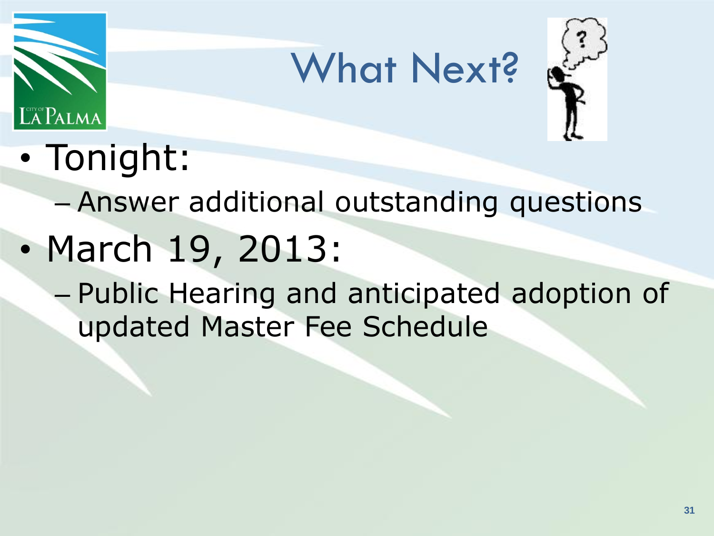

#### What Next?



• Tonight:

#### – Answer additional outstanding questions

- March 19, 2013:
	- Public Hearing and anticipated adoption of updated Master Fee Schedule